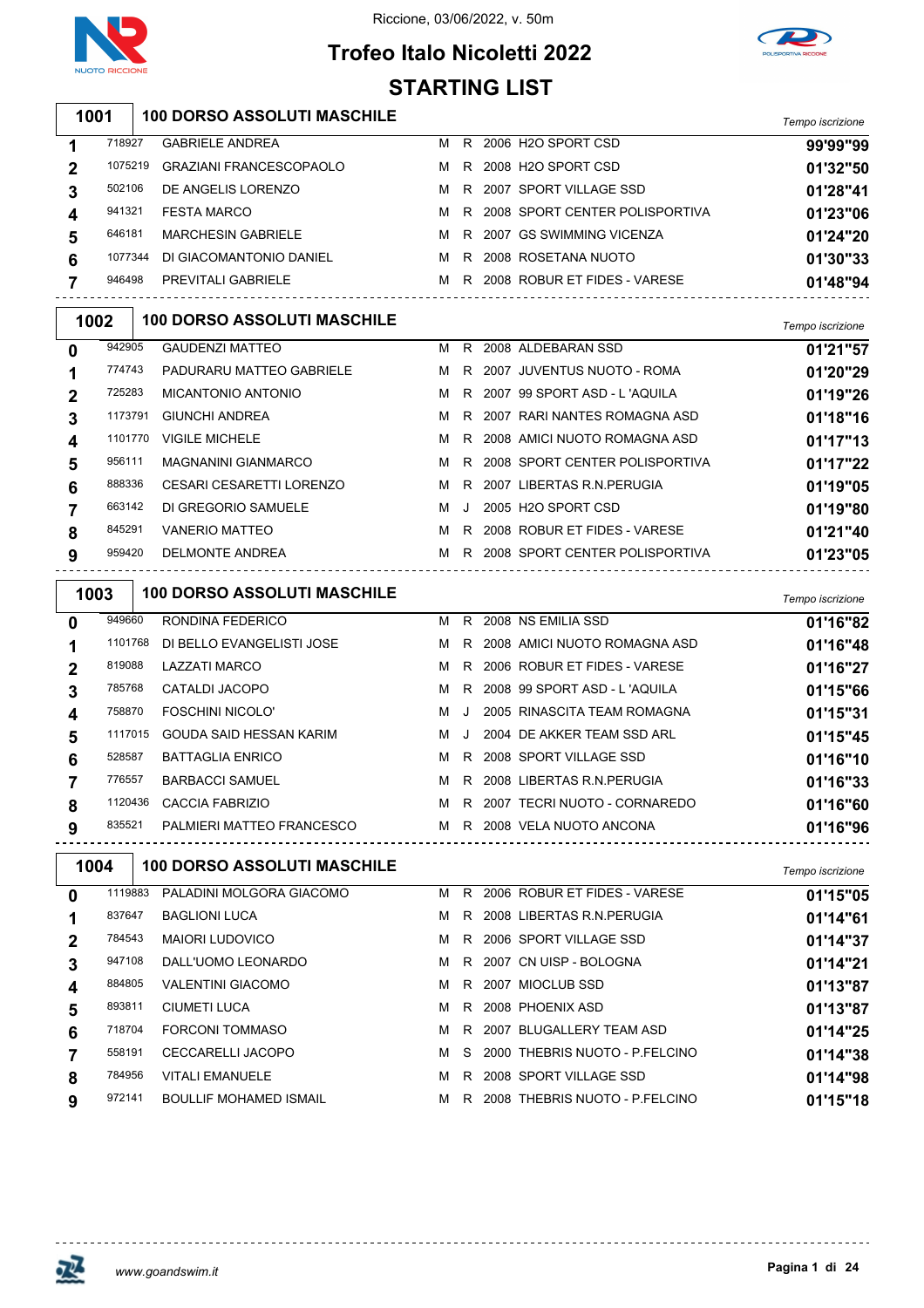

**Trofeo Italo Nicoletti 2022 STARTING LIST**



|   |         |                                                      | <b>STARTING LIST</b> |    |                                    |                  |
|---|---------|------------------------------------------------------|----------------------|----|------------------------------------|------------------|
|   | 1001    | <b>100 DORSO ASSOLUTI MASCHILE</b>                   |                      |    |                                    | Tempo iscrizione |
| 1 | 718927  | <b>GABRIELE ANDREA</b>                               | М                    |    | R 2006 H2O SPORT CSD               | 99'99"99         |
| 2 | 1075219 | <b>GRAZIANI FRANCESCOPAOLO</b>                       | м                    |    | R 2008 H2O SPORT CSD               | 01'32"50         |
| 3 | 502106  | DE ANGELIS LORENZO                                   | M                    |    | R 2007 SPORT VILLAGE SSD           | 01'28"41         |
| 4 | 941321  | <b>FESTA MARCO</b>                                   | м                    | R  | 2008 SPORT CENTER POLISPORTIVA     | 01'23"06         |
| 5 | 646181  | <b>MARCHESIN GABRIELE</b>                            | M                    |    | R 2007 GS SWIMMING VICENZA         | 01'24"20         |
| 6 | 1077344 | DI GIACOMANTONIO DANIEL                              | M                    |    | R 2008 ROSETANA NUOTO              | 01'30"33         |
| 7 | 946498  | PREVITALI GABRIELE                                   |                      |    | M R 2008 ROBUR ET FIDES - VARESE   | 01'48"94         |
|   | 1002    | <b>100 DORSO ASSOLUTI MASCHILE</b>                   |                      |    |                                    | Tempo iscrizione |
| 0 | 942905  | <b>GAUDENZI MATTEO</b>                               | м                    |    | R 2008 ALDEBARAN SSD               | 01'21"57         |
| 1 | 774743  | PADURARU MATTEO GABRIELE                             | M                    | R  | 2007 JUVENTUS NUOTO - ROMA         | 01'20"29         |
| 2 | 725283  | <b>MICANTONIO ANTONIO</b>                            | M                    |    | R 2007 99 SPORT ASD - L'AQUILA     | 01'19"26         |
| 3 | 1173791 | <b>GIUNCHI ANDREA</b>                                | м                    | R. | 2007 RARI NANTES ROMAGNA ASD       | 01'18"16         |
| 4 | 1101770 | <b>VIGILE MICHELE</b>                                | M                    |    | R 2008 AMICI NUOTO ROMAGNA ASD     | 01'17"13         |
| 5 | 956111  | <b>MAGNANINI GIANMARCO</b>                           | M                    | R. | 2008 SPORT CENTER POLISPORTIVA     | 01'17"22         |
| 6 | 888336  | CESARI CESARETTI LORENZO                             | M                    | R. | 2007 LIBERTAS R.N.PERUGIA          | 01'19"05         |
| 7 | 663142  | DI GREGORIO SAMUELE                                  | M                    | J  | 2005 H2O SPORT CSD                 | 01'19"80         |
| 8 | 845291  | <b>VANERIO MATTEO</b>                                | M                    |    | R 2008 ROBUR ET FIDES - VARESE     | 01'21"40         |
| 9 | 959420  | DELMONTE ANDREA                                      |                      |    | M R 2008 SPORT CENTER POLISPORTIVA | 01'23"05         |
|   | 1003    | <b>100 DORSO ASSOLUTI MASCHILE</b>                   |                      |    |                                    | Tempo iscrizione |
| 0 | 949660  | RONDINA FEDERICO                                     | M                    |    | R 2008 NS EMILIA SSD               | 01'16"82         |
| 1 | 1101768 | DI BELLO EVANGELISTI JOSE                            | M                    |    | R 2008 AMICI NUOTO ROMAGNA ASD     | 01'16"48         |
| 2 | 819088  | <b>LAZZATI MARCO</b>                                 | M                    | R. | 2006 ROBUR ET FIDES - VARESE       | 01'16"27         |
| 3 | 785768  |                                                      |                      |    | R 2008 99 SPORT ASD - L'AQUILA     |                  |
| 4 |         | CATALDI JACOPO                                       | M                    |    |                                    | 01'15"66         |
|   | 758870  | <b>FOSCHINI NICOLO'</b>                              | м                    | J  | 2005 RINASCITA TEAM ROMAGNA        | 01'15"31         |
| 5 | 1117015 | GOUDA SAID HESSAN KARIM                              | м                    | J  | 2004 DE AKKER TEAM SSD ARL         | 01'15"45         |
| 6 | 528587  | <b>BATTAGLIA ENRICO</b>                              | м                    |    | R 2008 SPORT VILLAGE SSD           | 01'16"10         |
|   | 776557  | <b>BARBACCI SAMUEL</b>                               |                      |    | M R 2008 LIBERTAS R.N.PERUGIA      | 01'16"33         |
| 8 |         | 1120436 CACCIA FABRIZIO                              |                      |    | M R 2007 TECRI NUOTO - CORNAREDO   | 01'16"60         |
| 9 | 835521  | PALMIERI MATTEO FRANCESCO M R 2008 VELA NUOTO ANCONA |                      |    |                                    | 01'16"96         |
|   | 1004    | <u></u><br><b>100 DORSO ASSOLUTI MASCHILE</b>        |                      |    |                                    | Tempo iscrizione |
| 0 | 1119883 | PALADINI MOLGORA GIACOMO                             |                      |    | M R 2006 ROBUR ET FIDES - VARESE   | 01'15"05         |
| 1 | 837647  | <b>BAGLIONI LUCA</b>                                 |                      |    | M R 2008 LIBERTAS R.N. PERUGIA     | 01'14"61         |
| 2 | 784543  | <b>MAIORI LUDOVICO</b>                               |                      |    | M R 2006 SPORT VILLAGE SSD         | 01'14"37         |
| 3 | 947108  | DALL'UOMO LEONARDO                                   |                      |    | M R 2007 CN UISP - BOLOGNA         | 01'14"21         |
| 4 | 884805  | <b>VALENTINI GIACOMO</b>                             | M                    |    | R 2007 MIOCLUB SSD                 | 01'13"87         |
| 5 | 893811  | <b>CIUMETI LUCA</b>                                  | M                    |    | R 2008 PHOENIX ASD                 | 01'13"87         |
| 6 | 718704  | <b>FORCONI TOMMASO</b>                               | M                    |    | R 2007 BLUGALLERY TEAM ASD         | 01'14"25         |

VITALI EMANUELE M R 2008 SPORT VILLAGE SSD **01'14"98**

BOULLIF MOHAMED ISMAIL M R 2008 THEBRIS NUOTO - P.FELCINO **01'15"18**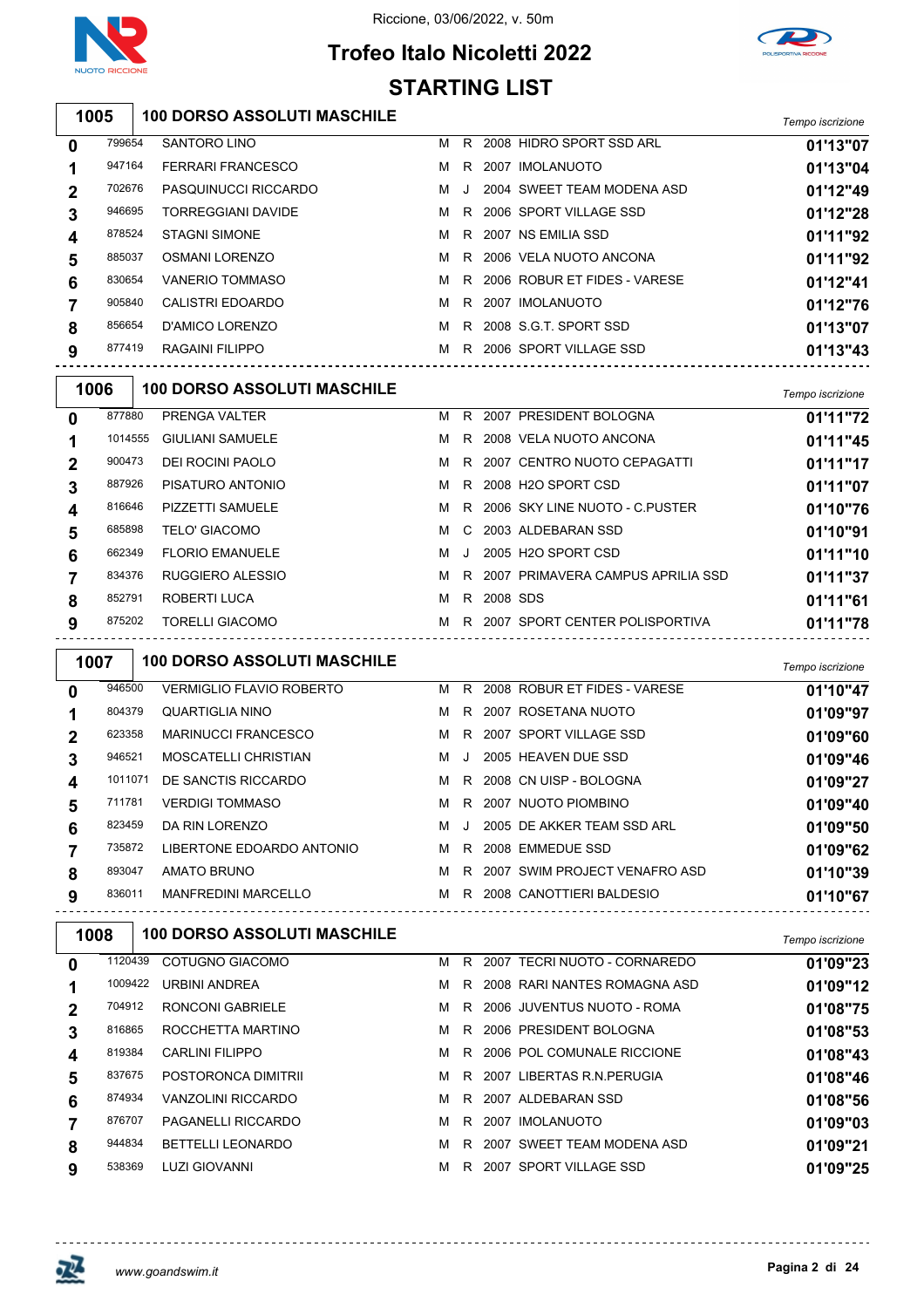



## **Trofeo Italo Nicoletti 2022 STARTING LIST**

| 1005 | 100 DORSO ASSOLUTI MASCHILE | Tempo iscrizione |
|------|-----------------------------|------------------|
|      |                             |                  |

| $\mathbf 0$  | 799654 | <b>SANTORO LINO</b>       | м | R. | 2008 HIDRO SPORT SSD ARL     | 01'13"07 |
|--------------|--------|---------------------------|---|----|------------------------------|----------|
| 1            | 947164 | <b>FERRARI FRANCESCO</b>  | м | R. | 2007 IMOLANUOTO              | 01'13"04 |
| $\mathbf{2}$ | 702676 | PASQUINUCCI RICCARDO      | м |    | 2004 SWEET TEAM MODENA ASD   | 01'12"49 |
| 3            | 946695 | <b>TORREGGIANI DAVIDE</b> | M | R. | 2006 SPORT VILLAGE SSD       | 01'12"28 |
| 4            | 878524 | <b>STAGNI SIMONE</b>      | м |    | R 2007 NS EMILIA SSD         | 01'11"92 |
| 5            | 885037 | OSMANI LORENZO            | M |    | R 2006 VELA NUOTO ANCONA     | 01'11"92 |
| 6            | 830654 | VANERIO TOMMASO           | м | R. | 2006 ROBUR ET FIDES - VARESE | 01'12"41 |
| 7            | 905840 | CALISTRI EDOARDO          | м | R. | 2007 IMOLANUOTO              | 01'12"76 |
| 8            | 856654 | D'AMICO LORENZO           |   |    | M R 2008 S.G.T. SPORT SSD    | 01'13"07 |
| 9            | 877419 | RAGAINI FILIPPO           | м | R. | 2006 SPORT VILLAGE SSD       | 01'13"43 |
|              |        |                           |   |    |                              |          |

| 1006         |         | <b>100 DORSO ASSOLUTI MASCHILE</b> |   |              |          |                                     | Tempo iscrizione |
|--------------|---------|------------------------------------|---|--------------|----------|-------------------------------------|------------------|
| $\mathbf{0}$ | 877880  | PRENGA VALTER                      | м | R.           |          | 2007 PRESIDENT BOLOGNA              | 01'11"72         |
|              | 1014555 | <b>GIULIANI SAMUELE</b>            | м |              |          | R 2008 VELA NUOTO ANCONA            | 01'11"45         |
| $\mathbf 2$  | 900473  | DEI ROCINI PAOLO                   | м |              |          | R 2007 CENTRO NUOTO CEPAGATTI       | 01'11"17         |
| 3            | 887926  | PISATURO ANTONIO                   | м |              |          | R 2008 H2O SPORT CSD                | 01'11"07         |
| 4            | 816646  | PIZZETTI SAMUELE                   | м |              |          | R 2006 SKY LINE NUOTO - C.PUSTER    | 01'10"76         |
| 5            | 685898  | <b>TELO' GIACOMO</b>               | м |              |          | C 2003 ALDEBARAN SSD                | 01'10"91         |
| 6            | 662349  | <b>FLORIO EMANUELE</b>             | м | $\mathbf{J}$ |          | 2005 H2O SPORT CSD                  | 01'11"10         |
|              | 834376  | RUGGIERO ALESSIO                   | м |              |          | R 2007 PRIMAVERA CAMPUS APRILIA SSD | 01'11"37         |
| 8            | 852791  | ROBERTI LUCA                       | м | R.           | 2008 SDS |                                     | 01'11"61         |
| 9            | 875202  | <b>TORELLI GIACOMO</b>             | м |              |          | R 2007 SPORT CENTER POLISPORTIVA    | 01'11"78         |

| 1007           |         | <b>100 DORSO ASSOLUTI MASCHILE</b> |   |    |                               | Tempo iscrizione |
|----------------|---------|------------------------------------|---|----|-------------------------------|------------------|
| 0              | 946500  | <b>VERMIGLIO FLAVIO ROBERTO</b>    | м | R. | 2008 ROBUR ET FIDES - VARESE  | 01'10"47         |
|                | 804379  | QUARTIGLIA NINO                    | м | R. | 2007 ROSETANA NUOTO           | 01'09"97         |
| $\overline{2}$ | 623358  | <b>MARINUCCI FRANCESCO</b>         | м | R. | 2007 SPORT VILLAGE SSD        | 01'09"60         |
| 3              | 946521  | <b>MOSCATELLI CHRISTIAN</b>        | м |    | 2005 HEAVEN DUE SSD           | 01'09"46         |
| 4              | 1011071 | DE SANCTIS RICCARDO                | м |    | R 2008 CN UISP - BOLOGNA      | 01'09"27         |
| 5              | 711781  | <b>VERDIGI TOMMASO</b>             | м | R  | 2007 NUOTO PIOMBINO           | 01'09"40         |
| 6              | 823459  | DA RIN LORENZO                     | м |    | 2005 DE AKKER TEAM SSD ARL    | 01'09"50         |
|                | 735872  | LIBERTONE EDOARDO ANTONIO          | м | R. | 2008 EMMEDUE SSD              | 01'09"62         |
| 8              | 893047  | AMATO BRUNO                        | м | R  | 2007 SWIM PROJECT VENAFRO ASD | 01'10"39         |
| 9              | 836011  | <b>MANFREDINI MARCELLO</b>         | м | R  | 2008 CANOTTIERI BALDESIO      | 01'10"67         |
|                |         |                                    |   |    |                               |                  |

| <b>100 DORSO ASSOLUTI MASCHILE</b><br>1008                                       | Tempo iscrizione |
|----------------------------------------------------------------------------------|------------------|
| COTUGNO GIACOMO<br>2007 TECRI NUOTO - CORNAREDO<br>1120439<br>R<br>м<br>0        | 01'09"23         |
| 1009422<br>2008 RARI NANTES ROMAGNA ASD<br>URBINI ANDREA<br>м<br>R.              | 01'09"12         |
| 704912<br><b>RONCONI GABRIELE</b><br>2006 JUVENTUS NUOTO - ROMA<br>м<br>R.<br>2  | 01'08"75         |
| 2006 PRESIDENT BOLOGNA<br>816865<br>ROCCHETTA MARTINO<br>м<br>R.<br>3            | 01'08"53         |
| 819384<br><b>CARLINI FILIPPO</b><br>2006 POL COMUNALE RICCIONE<br>м<br>R.<br>4   | 01'08"43         |
| 2007 LIBERTAS R.N. PERUGIA<br>837675<br>POSTORONCA DIMITRII<br>м<br>R.<br>5      | 01'08"46         |
| 874934<br>VANZOLINI RICCARDO<br>м<br>2007 ALDEBARAN SSD<br>R.<br>6               | 01'08"56         |
| 876707<br><b>PAGANELLI RICCARDO</b><br>м<br>2007 IMOLANUOTO<br>R.                | 01'09"03         |
| 944834<br><b>BETTELLI LEONARDO</b><br>2007 SWEET TEAM MODENA ASD<br>м<br>R.<br>8 | 01'09"21         |
| 538369<br><b>LUZI GIOVANNI</b><br>2007 SPORT VILLAGE SSD<br>м<br>R.<br>9         | 01'09"25         |

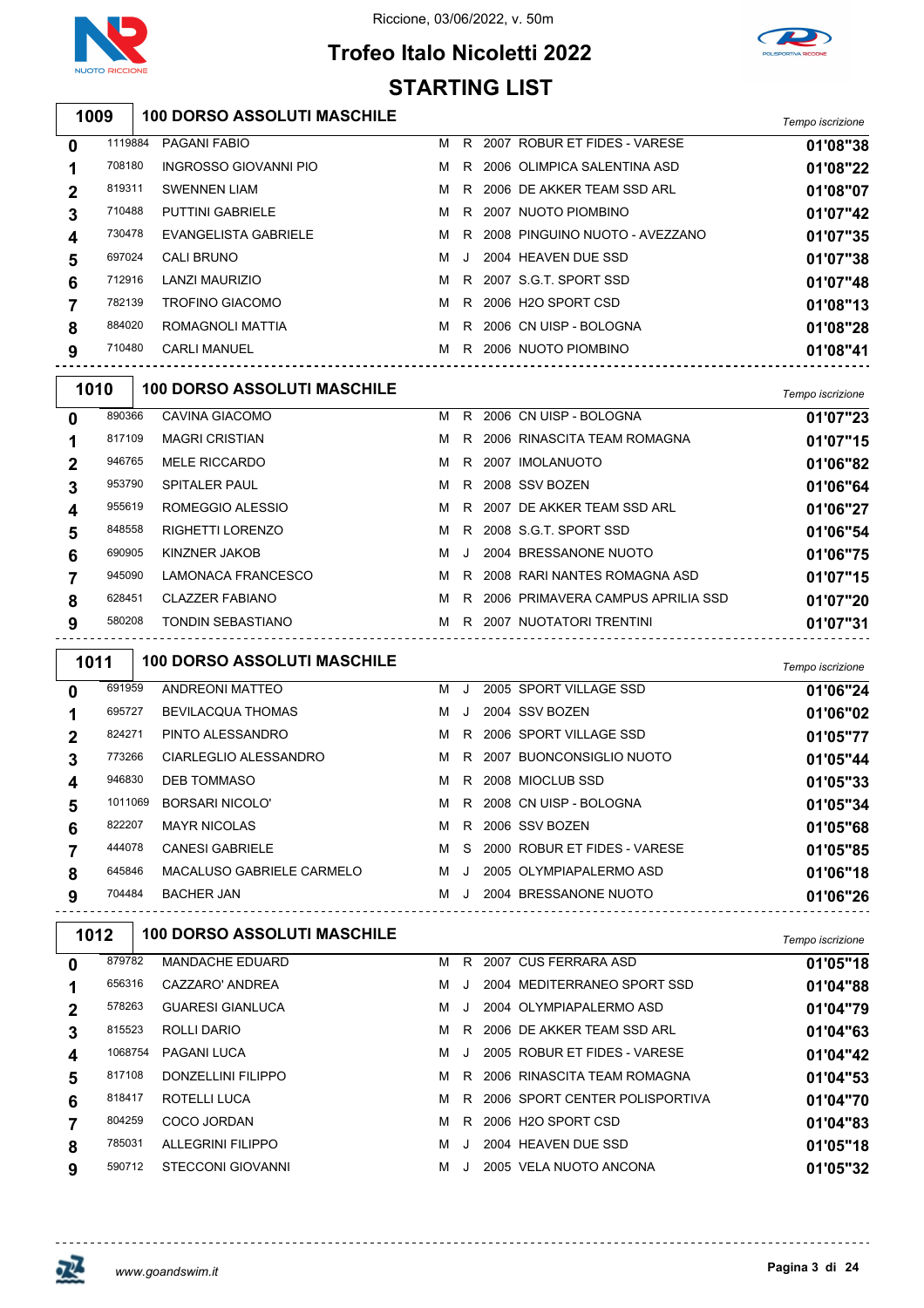



## **Trofeo Italo Nicoletti 2022 STARTING LIST**

| 1009 | 100 DORSO ASSOLUTI MASCHILE | Tempo iscrizione |
|------|-----------------------------|------------------|
|      |                             |                  |

| 0           | 1119884 | PAGANI FABIO            | м | R.    | 2007 ROBUR ET FIDES - VARESE    | 01'08"38 |
|-------------|---------|-------------------------|---|-------|---------------------------------|----------|
|             | 708180  | INGROSSO GIOVANNI PIO   | M | R.    | 2006 OLIMPICA SALENTINA ASD     | 01'08"22 |
| $\mathbf 2$ | 819311  | <b>SWENNEN LIAM</b>     | м | R.    | 2006 DE AKKER TEAM SSD ARL      | 01'08"07 |
| 3           | 710488  | <b>PUTTINI GABRIELE</b> | M | R.    | 2007 NUOTO PIOMBINO             | 01'07"42 |
| 4           | 730478  | EVANGELISTA GABRIELE    | M | R.    | 2008 PINGUINO NUOTO - AVEZZANO  | 01'07"35 |
| 5           | 697024  | CALI BRUNO              | M | . . I | 2004 HEAVEN DUE SSD             | 01'07"38 |
| 6           | 712916  | LANZI MAURIZIO          | м | R.    | 2007 S.G.T. SPORT SSD           | 01'07"48 |
|             | 782139  | <b>TROFINO GIACOMO</b>  | м | R.    | 2006 H <sub>2</sub> O SPORT CSD | 01'08"13 |
| 8           | 884020  | ROMAGNOLI MATTIA        | м | R     | 2006 CN UISP - BOLOGNA          | 01'08"28 |
| 9           | 710480  | <b>CARLI MANUEL</b>     | м | R     | 2006 NUOTO PIOMBINO             | 01'08"41 |
|             |         |                         |   |       |                                 |          |

|              | 1010   | <b>100 DORSO ASSOLUTI MASCHILE</b> |   |         |                                   | Tempo iscrizione |
|--------------|--------|------------------------------------|---|---------|-----------------------------------|------------------|
| $\mathbf{0}$ | 890366 | CAVINA GIACOMO                     | м | R       | 2006 CN UISP - BOLOGNA            | 01'07"23         |
|              | 817109 | <b>MAGRI CRISTIAN</b>              | м | R.      | 2006 RINASCITA TEAM ROMAGNA       | 01'07"15         |
| $\mathbf 2$  | 946765 | <b>MELE RICCARDO</b>               | м | R.      | 2007 IMOLANUOTO                   | 01'06"82         |
| 3            | 953790 | <b>SPITALER PAUL</b>               | м | R       | 2008 SSV BOZEN                    | 01'06"64         |
| 4            | 955619 | ROMEGGIO ALESSIO                   | м |         | R 2007 DE AKKER TEAM SSD ARL      | 01'06"27         |
| 5            | 848558 | RIGHETTI LORENZO                   | м |         | R 2008 S.G.T. SPORT SSD           | 01'06"54         |
| 6            | 690905 | KINZNER JAKOB                      | м | $\cdot$ | 2004 BRESSANONE NUOTO             | 01'06"75         |
|              | 945090 | LAMONACA FRANCESCO                 | м | R       | 2008 RARI NANTES ROMAGNA ASD      | 01'07"15         |
| 8            | 628451 | <b>CLAZZER FABIANO</b>             | м | R.      | 2006 PRIMAVERA CAMPUS APRILIA SSD | 01'07"20         |
| 9            | 580208 | <b>TONDIN SEBASTIANO</b>           | м | R       | 2007 NUOTATORI TRENTINI           | 01'07"31         |
|              |        |                                    |   |         |                                   |                  |

| 1011 |         | <b>100 DORSO ASSOLUTI MASCHILE</b> |   |       |                              | Tempo iscrizione |
|------|---------|------------------------------------|---|-------|------------------------------|------------------|
| 0    | 691959  | ANDREONI MATTEO                    | м | . J . | 2005 SPORT VILLAGE SSD       | 01'06"24         |
|      | 695727  | <b>BEVILACQUA THOMAS</b>           | м | J     | 2004 SSV BOZEN               | 01'06"02         |
| 2    | 824271  | PINTO ALESSANDRO                   | м | R.    | 2006 SPORT VILLAGE SSD       | 01'05"77         |
| 3    | 773266  | CIARLEGLIO ALESSANDRO              | м |       | R 2007 BUONCONSIGLIO NUOTO   | 01'05"44         |
| 4    | 946830  | <b>DEB TOMMASO</b>                 | м |       | R 2008 MIOCLUB SSD           | 01'05"33         |
| 5    | 1011069 | <b>BORSARI NICOLO'</b>             | м |       | R 2008 CN UISP - BOLOGNA     | 01'05"34         |
| 6    | 822207  | <b>MAYR NICOLAS</b>                | м | R.    | 2006 SSV BOZEN               | 01'05"68         |
|      | 444078  | <b>CANESI GABRIELE</b>             | м | S.    | 2000 ROBUR ET FIDES - VARESE | 01'05"85         |
| 8    | 645846  | MACALUSO GABRIELE CARMELO          | м | - J   | 2005 OLYMPIAPALERMO ASD      | 01'06"18         |
| 9    | 704484  | <b>BACHER JAN</b>                  | м | . . 1 | 2004 BRESSANONE NUOTO        | 01'06"26         |

| 1012 |         | <b>100 DORSO ASSOLUTI MASCHILE</b> |   |              |                                | Tempo iscrizione |
|------|---------|------------------------------------|---|--------------|--------------------------------|------------------|
| 0    | 879782  | <b>MANDACHE EDUARD</b>             | м | R            | 2007 CUS FERRARA ASD           | 01'05"18         |
|      | 656316  | CAZZARO' ANDREA                    | м |              | 2004 MEDITERRANEO SPORT SSD    | 01'04"88         |
| 2    | 578263  | <b>GUARESI GIANLUCA</b>            | м | $\mathbf{I}$ | 2004 OLYMPIAPALERMO ASD        | 01'04"79         |
| 3    | 815523  | ROLLI DARIO                        | м | R.           | 2006 DE AKKER TEAM SSD ARL     | 01'04"63         |
| 4    | 1068754 | PAGANI LUCA                        | м | J.           | 2005 ROBUR ET FIDES - VARESE   | 01'04"42         |
| 5    | 817108  | DONZELLINI FILIPPO                 | м | R.           | 2006 RINASCITA TEAM ROMAGNA    | 01'04"53         |
| 6    | 818417  | ROTELLI LUCA                       | м | R            | 2006 SPORT CENTER POLISPORTIVA | 01'04"70         |
|      | 804259  | COCO JORDAN                        | м | R.           | 2006 H2O SPORT CSD             | 01'04"83         |
| 8    | 785031  | ALLEGRINI FILIPPO                  | м |              | 2004 HEAVEN DUE SSD            | 01'05"18         |
| 9    | 590712  | <b>STECCONI GIOVANNI</b>           | м |              | 2005 VELA NUOTO ANCONA         | 01'05"32         |
|      |         |                                    |   |              |                                |                  |

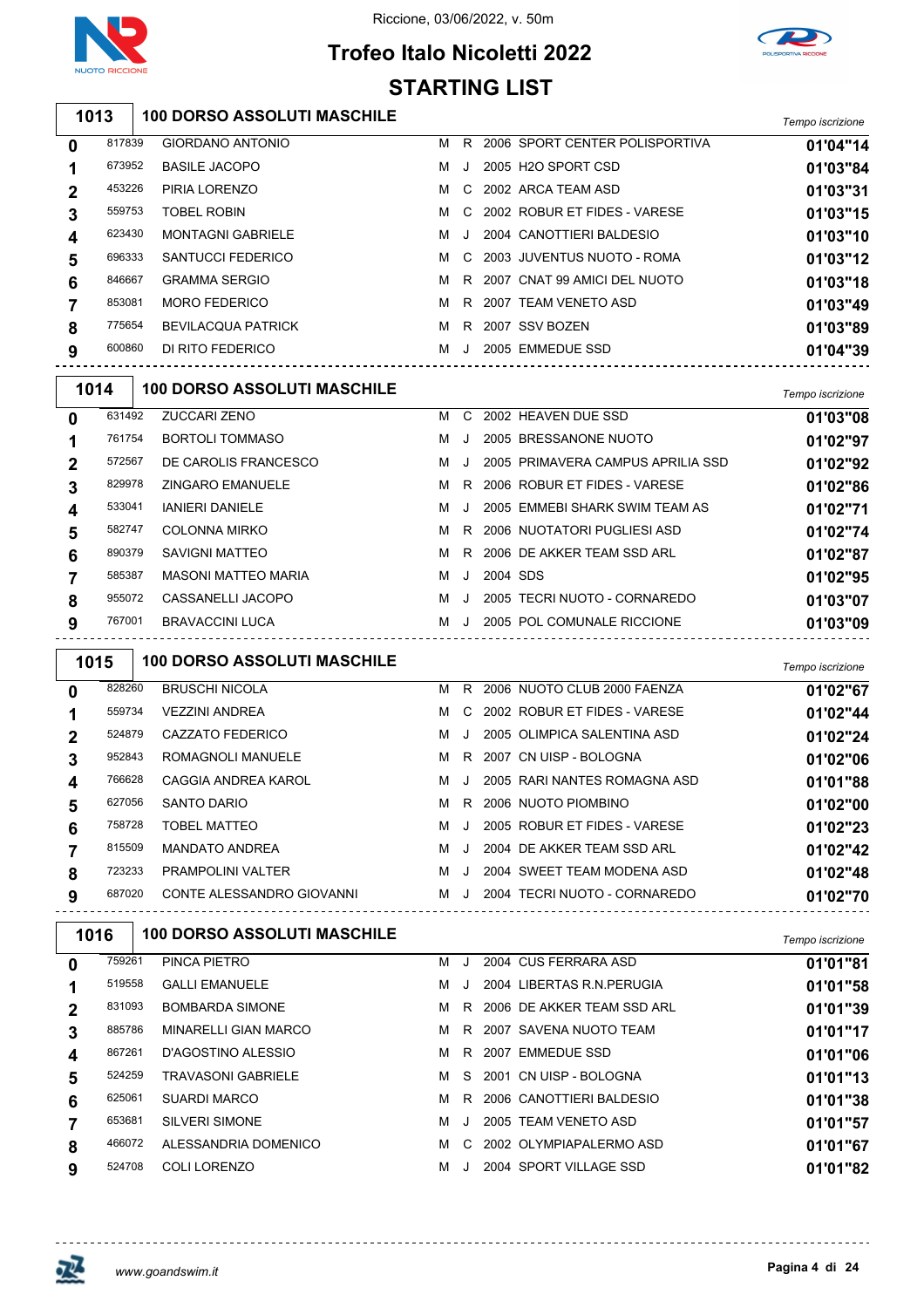

 $\sqrt{2}$ 

#### Riccione, 03/06/2022, v. 50m





# **STARTING LIST**

| 100 DORSO ASSOLUTI MASCHILE | Tempo iscrizione |
|-----------------------------|------------------|
|                             |                  |

| $\mathbf 0$    | 817839 | <b>GIORDANO ANTONIO</b>   | м | R   | 2006 SPORT CENTER POLISPORTIVA | 01'04"14 |
|----------------|--------|---------------------------|---|-----|--------------------------------|----------|
| 1              | 673952 | <b>BASILE JACOPO</b>      | м | J   | 2005 H2O SPORT CSD             | 01'03"84 |
| $\overline{2}$ | 453226 | PIRIA LORENZO             | м | C.  | 2002 ARCA TEAM ASD             | 01'03"31 |
| 3              | 559753 | <b>TOBEL ROBIN</b>        | M |     | C 2002 ROBUR ET FIDES - VARESE | 01'03"15 |
| 4              | 623430 | <b>MONTAGNI GABRIELE</b>  | M |     | 2004 CANOTTIERI BALDESIO       | 01'03"10 |
| 5              | 696333 | SANTUCCI FEDERICO         | м | - C | 2003 JUVENTUS NUOTO - ROMA     | 01'03"12 |
| 6              | 846667 | <b>GRAMMA SERGIO</b>      | м | R.  | 2007 CNAT 99 AMICI DEL NUOTO   | 01'03"18 |
| $\overline{7}$ | 853081 | <b>MORO FEDERICO</b>      | м |     | R 2007 TEAM VENETO ASD         | 01'03"49 |
| 8              | 775654 | <b>BEVILACQUA PATRICK</b> | м | R.  | 2007 SSV BOZEN                 | 01'03"89 |
| 9              | 600860 | DI RITO FEDERICO          | м | J.  | 2005 EMMEDUE SSD               | 01'04"39 |
|                |        |                           |   |     |                                |          |

| 1014             |        | <b>100 DORSO ASSOLUTI MASCHILE</b> |   |         |          |                                   | Tempo iscrizione |
|------------------|--------|------------------------------------|---|---------|----------|-----------------------------------|------------------|
| $\mathbf{0}$     | 631492 | <b>ZUCCARI ZENO</b>                | M | C.      |          | 2002 HEAVEN DUE SSD               | 01'03"08         |
| 1                | 761754 | <b>BORTOLI TOMMASO</b>             | м |         |          | 2005 BRESSANONE NUOTO             | 01'02"97         |
| $\overline{2}$   | 572567 | DE CAROLIS FRANCESCO               | м |         |          | 2005 PRIMAVERA CAMPUS APRILIA SSD | 01'02"92         |
| 3                | 829978 | <b>ZINGARO EMANUELE</b>            | м | R.      |          | 2006 ROBUR ET FIDES - VARESE      | 01'02"86         |
| $\boldsymbol{4}$ | 533041 | <b>IANIERI DANIELE</b>             | м |         |          | 2005 EMMEBI SHARK SWIM TEAM AS    | 01'02"71         |
| 5                | 582747 | <b>COLONNA MIRKO</b>               | м | R.      |          | 2006 NUOTATORI PUGLIESI ASD       | 01'02"74         |
| 6                | 890379 | SAVIGNI MATTEO                     | м | R.      |          | 2006 DE AKKER TEAM SSD ARL        | 01'02"87         |
| $\overline{7}$   | 585387 | <b>MASONI MATTEO MARIA</b>         | м | $\cdot$ | 2004 SDS |                                   | 01'02"95         |
| 8                | 955072 | CASSANELLI JACOPO                  | м |         |          | 2005 TECRI NUOTO - CORNAREDO      | 01'03"07         |
| 9                | 767001 | <b>BRAVACCINI LUCA</b>             | м |         |          | 2005 POL COMUNALE RICCIONE        | 01'03"09         |

| 1015 |        | <b>100 DORSO ASSOLUTI MASCHILE</b> |   |              |                                | Tempo iscrizione |
|------|--------|------------------------------------|---|--------------|--------------------------------|------------------|
| 0    | 828260 | <b>BRUSCHI NICOLA</b>              | м | R.           | 2006 NUOTO CLUB 2000 FAENZA    | 01'02"67         |
|      | 559734 | <b>VEZZINI ANDREA</b>              | м |              | C 2002 ROBUR ET FIDES - VARESE | 01'02"44         |
| 2    | 524879 | CAZZATO FEDERICO                   | м | . . 1        | 2005 OLIMPICA SALENTINA ASD    | 01'02"24         |
| 3    | 952843 | ROMAGNOLI MANUELE                  | м |              | R 2007 CN UISP - BOLOGNA       | 01'02"06         |
| 4    | 766628 | CAGGIA ANDREA KAROL                | м | $\mathbf{J}$ | 2005 RARI NANTES ROMAGNA ASD   | 01'01"88         |
| 5    | 627056 | <b>SANTO DARIO</b>                 | м | R.           | 2006 NUOTO PIOMBINO            | 01'02"00         |
| 6    | 758728 | TOBEL MATTEO                       | м | . . 1        | 2005 ROBUR ET FIDES - VARESE   | 01'02"23         |
|      | 815509 | <b>MANDATO ANDREA</b>              | м | $\cdot$      | 2004 DE AKKER TEAM SSD ARL     | 01'02"42         |
| 8    | 723233 | <b>PRAMPOLINI VALTER</b>           | м | . . 1        | 2004 SWEET TEAM MODENA ASD     | 01'02"48         |
| 9    | 687020 | CONTE ALESSANDRO GIOVANNI          | м | - 1          | 2004 TECRI NUOTO - CORNAREDO   | 01'02"70         |

| 1016 | <b>100 DORSO ASSOLUTI MASCHILE</b> |                                                                                                  |           |                | Tempo iscrizione                                                                                                                                                                                                                                                      |
|------|------------------------------------|--------------------------------------------------------------------------------------------------|-----------|----------------|-----------------------------------------------------------------------------------------------------------------------------------------------------------------------------------------------------------------------------------------------------------------------|
|      | PINCA PIETRO                       | м                                                                                                | J         |                | 01'01"81                                                                                                                                                                                                                                                              |
|      | <b>GALLI EMANUELE</b>              | м                                                                                                | J.        |                | 01'01"58                                                                                                                                                                                                                                                              |
|      | <b>BOMBARDA SIMONE</b>             | м                                                                                                |           |                | 01'01"39                                                                                                                                                                                                                                                              |
|      | <b>MINARELLI GIAN MARCO</b>        | м                                                                                                |           |                | 01'01"17                                                                                                                                                                                                                                                              |
|      | D'AGOSTINO ALESSIO                 | м                                                                                                |           |                | 01'01"06                                                                                                                                                                                                                                                              |
|      | <b>TRAVASONI GABRIELE</b>          | м                                                                                                |           |                | 01'01"13                                                                                                                                                                                                                                                              |
|      | <b>SUARDI MARCO</b>                | м                                                                                                | R.        |                | 01'01"38                                                                                                                                                                                                                                                              |
|      | <b>SILVERI SIMONE</b>              | м                                                                                                | $\cdot$ . |                | 01'01"57                                                                                                                                                                                                                                                              |
|      | ALESSANDRIA DOMENICO               | м                                                                                                |           |                | 01'01"67                                                                                                                                                                                                                                                              |
|      | COLI LORENZO                       | м                                                                                                | $\cdot$   |                | 01'01"82                                                                                                                                                                                                                                                              |
|      |                                    | 759261<br>519558<br>831093<br>885786<br>867261<br>524259<br>625061<br>653681<br>466072<br>524708 |           | R.<br>R.<br>S. | 2004 CUS FERRARA ASD<br>2004 LIBERTAS R.N. PERUGIA<br>2006 DE AKKER TEAM SSD ARL<br>R 2007 SAVENA NUOTO TEAM<br>2007 EMMEDUE SSD<br>2001 CN UISP - BOLOGNA<br>2006 CANOTTIERI BALDESIO<br>2005 TEAM VENETO ASD<br>C 2002 OLYMPIAPALERMO ASD<br>2004 SPORT VILLAGE SSD |

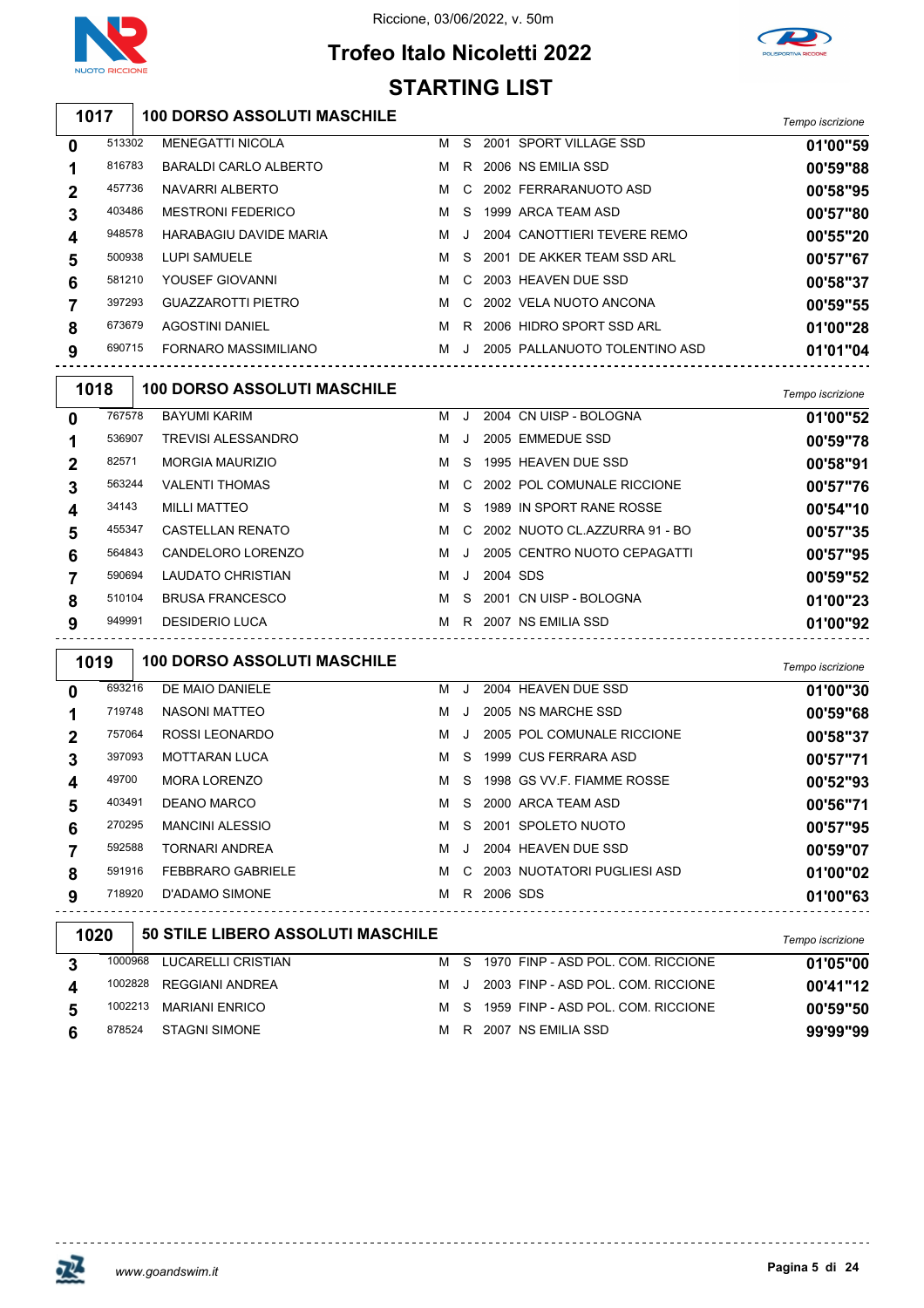



## **Trofeo Italo Nicoletti 2022 STARTING LIST**

**100 DORSO ASSOLUTI MASCHILE** *Tempo iscrizione*

| $\bf{0}$ | 513302 | <b>MENEGATTI NICOLA</b>       | м   | S.        | 2001 SPORT VILLAGE SSD        | 01'00"59 |
|----------|--------|-------------------------------|-----|-----------|-------------------------------|----------|
|          | 816783 | BARALDI CARLO ALBERTO         | м   | R.        | 2006 NS EMILIA SSD            | 00'59"88 |
|          | 457736 | NAVARRI ALBERTO               | M   |           | C 2002 FERRARANUOTO ASD       | 00'58"95 |
| 3        | 403486 | <b>MESTRONI FEDERICO</b>      | M   |           | S 1999 ARCA TEAM ASD          | 00'57"80 |
| 4        | 948578 | <b>HARABAGIU DAVIDE MARIA</b> | NJ. |           | 2004 CANOTTIERI TEVERE REMO   | 00'55"20 |
| 5        | 500938 | LUPI SAMUELE                  | M   |           | S 2001 DE AKKER TEAM SSD ARL  | 00'57"67 |
| 6        | 581210 | YOUSEF GIOVANNI               | M   | C.        | 2003 HEAVEN DUE SSD           | 00'58"37 |
|          | 397293 | <b>GUAZZAROTTI PIETRO</b>     | м   | C.        | 2002 VELA NUOTO ANCONA        | 00'59"55 |
| 8        | 673679 | <b>AGOSTINI DANIEL</b>        | M   | R.        | 2006 HIDRO SPORT SSD ARL      | 01'00"28 |
| 9        | 690715 | FORNARO MASSIMILIANO          | M   | $\cdot$ . | 2005 PALLANUOTO TOLENTINO ASD | 01'01"04 |
|          |        |                               |     |           |                               |          |

| 1018        |        | <b>100 DORSO ASSOLUTI MASCHILE</b> |   |         |          |                                 | Tempo iscrizione |
|-------------|--------|------------------------------------|---|---------|----------|---------------------------------|------------------|
| $\mathbf 0$ | 767578 | <b>BAYUMI KARIM</b>                | м |         |          | 2004 CN UISP - BOLOGNA          | 01'00"52         |
|             | 536907 | TREVISI ALESSANDRO                 | м |         |          | 2005 EMMEDUE SSD                | 00'59"78         |
| $\mathbf 2$ | 82571  | <b>MORGIA MAURIZIO</b>             | м | S.      |          | 1995 HEAVEN DUE SSD             | 00'58"91         |
| 3           | 563244 | <b>VALENTI THOMAS</b>              | м |         |          | C 2002 POL COMUNALE RICCIONE    | 00'57"76         |
| 4           | 34143  | <b>MILLI MATTEO</b>                | м | S.      |          | 1989 IN SPORT RANE ROSSE        | 00'54"10         |
| 5           | 455347 | <b>CASTELLAN RENATO</b>            | м |         |          | C 2002 NUOTO CL.AZZURRA 91 - BO | 00'57"35         |
| 6           | 564843 | CANDELORO LORENZO                  | м |         |          | 2005 CENTRO NUOTO CEPAGATTI     | 00'57"95         |
|             | 590694 | LAUDATO CHRISTIAN                  | м | $\cdot$ | 2004 SDS |                                 | 00'59"52         |
| 8           | 510104 | <b>BRUSA FRANCESCO</b>             | м |         |          | S 2001 CN UISP - BOLOGNA        | 01'00"23         |
| 9           | 949991 | <b>DESIDERIO LUCA</b>              | м | R.      |          | 2007 NS EMILIA SSD              | 01'00"92         |

|   | 1019   | <b>100 DORSO ASSOLUTI MASCHILE</b>       |   |         |            |                               | Tempo iscrizione |
|---|--------|------------------------------------------|---|---------|------------|-------------------------------|------------------|
| 0 | 693216 | DE MAIO DANIELE                          | м | $\cdot$ |            | 2004 HEAVEN DUE SSD           | 01'00"30         |
| 1 | 719748 | NASONI MATTEO                            | м | $\cdot$ |            | 2005 NS MARCHE SSD            | 00'59"68         |
| 2 | 757064 | ROSSI LEONARDO                           | м | $\cdot$ |            | 2005 POL COMUNALE RICCIONE    | 00'58"37         |
| 3 | 397093 | <b>MOTTARAN LUCA</b>                     | м | S.      |            | 1999 CUS FERRARA ASD          | 00'57"71         |
| 4 | 49700  | <b>MORA LORENZO</b>                      | м |         |            | S 1998 GS VV F. FIAMME ROSSE  | 00'52"93         |
| 5 | 403491 | <b>DEANO MARCO</b>                       | м |         |            | S 2000 ARCA TEAM ASD          | 00'56"71         |
| 6 | 270295 | <b>MANCINI ALESSIO</b>                   | м |         |            | S 2001 SPOLETO NUOTO          | 00'57"95         |
|   | 592588 | <b>TORNARI ANDREA</b>                    | м | J       |            | 2004 HEAVEN DUE SSD           | 00'59"07         |
| 8 | 591916 | <b>FEBBRARO GABRIELE</b>                 | м |         |            | C 2003 NUOTATORI PUGLIESI ASD | 01'00"02         |
| 9 | 718920 | D'ADAMO SIMONE                           | м |         | R 2006 SDS |                               | 01'00"63         |
|   | 1020   | <b>50 STILE LIBERO ASSOLUTI MASCHILE</b> |   |         |            |                               | Tempo iscrizione |

| . |        |                            |     |                                        | i empo iscrizione |
|---|--------|----------------------------|-----|----------------------------------------|-------------------|
|   |        | 1000968 LUCARELLI CRISTIAN |     | M S 1970 FINP - ASD POL. COM. RICCIONE | 01'05"00          |
|   |        | 1002828 REGGIANI ANDREA    | NJ. | 2003 FINP - ASD POL. COM. RICCIONE     | 00'41"12          |
|   |        | 1002213 MARIANI ENRICO     |     | M S 1959 FINP - ASD POL. COM. RICCIONE | 00'59"50          |
|   | 878524 | STAGNI SIMONE              |     | M R 2007 NS EMILIA SSD                 | 99'99"99          |



-------------

 $- - - - - - -$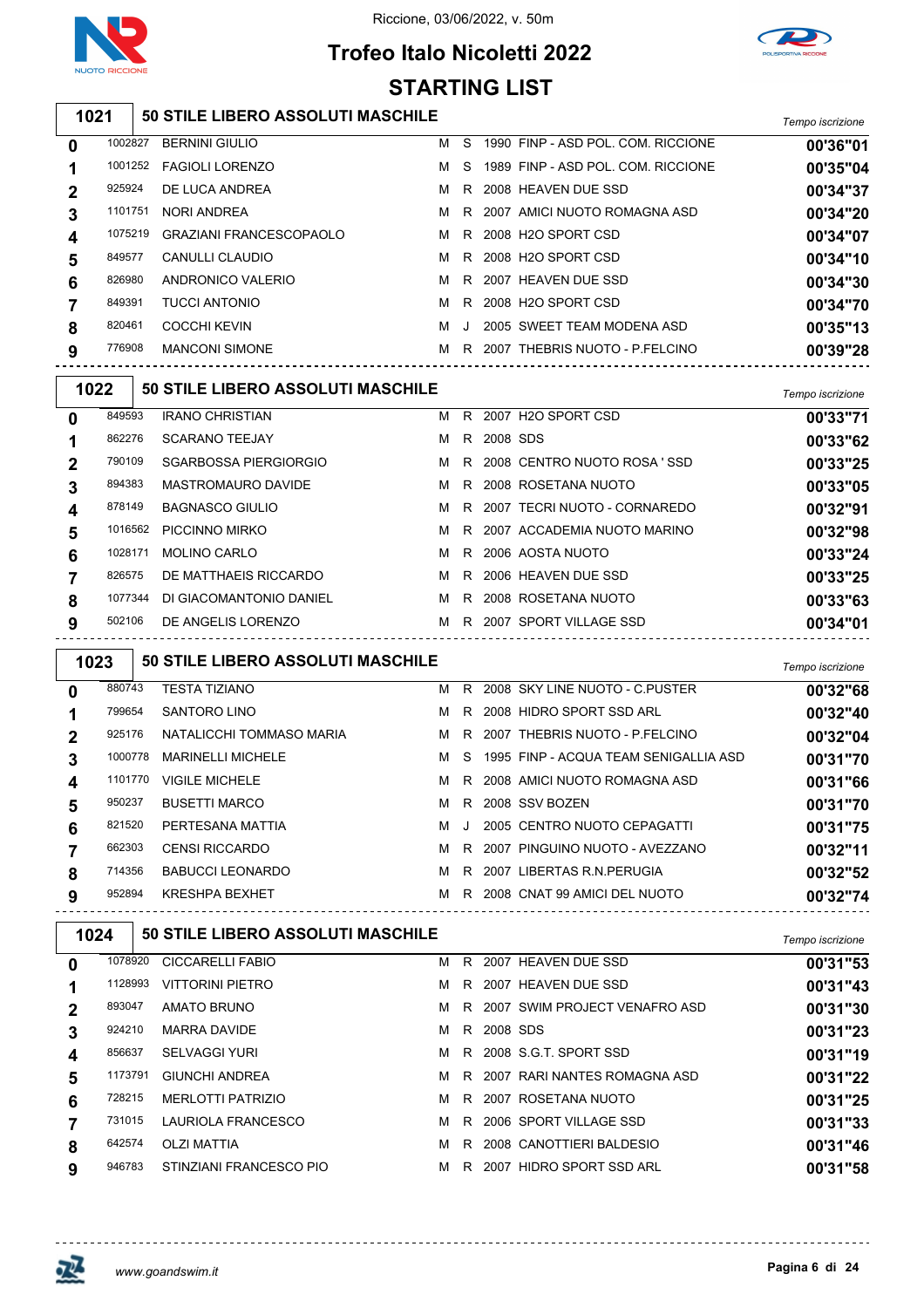

# **Trofeo Italo Nicoletti 2022**

**STARTING LIST**



#### **50 STILE LIBERO ASSOLUTI MASCHILE** *Tempo iscrizione* BERNINI GIULIO M S 1990 FINP - ASD POL. COM. RICCIONE **00'36"01** FAGIOLI LORENZO M S 1989 FINP - ASD POL. COM. RICCIONE **00'35"04** DE LUCA ANDREA M R 2008 HEAVEN DUE SSD **00'34"37** NORI ANDREA M R 2007 AMICI NUOTO ROMAGNA ASD **00'34"20** GRAZIANI FRANCESCOPAOLO M R 2008 H2O SPORT CSD **00'34"07** 849577 CANULLI CLAUDIO **MR** 2008 H2O SPORT CSD **00'34"10**  ANDRONICO VALERIO M R 2007 HEAVEN DUE SSD **00'34"30** TUCCI ANTONIO M R 2008 H2O SPORT CSD **00'34"70** 820461 COCCHI KEVIN **M** J 2005 SWEET TEAM MODENA ASD **00'35"13**  MANCONI SIMONE M R 2007 THEBRIS NUOTO - P.FELCINO **00'39"28 50 STILE LIBERO ASSOLUTI MASCHILE** *Tempo iscrizione*

|   | .       |                              |   |    |          |                                | <i>i</i> empo iscrizione |
|---|---------|------------------------------|---|----|----------|--------------------------------|--------------------------|
| 0 | 849593  | <b>IRANO CHRISTIAN</b>       | м | R. |          | 2007 H2O SPORT CSD             | 00'33"71                 |
|   | 862276  | <b>SCARANO TEEJAY</b>        | м | R. | 2008 SDS |                                | 00'33"62                 |
|   | 790109  | <b>SGARBOSSA PIERGIORGIO</b> | M |    |          | R 2008 CENTRO NUOTO ROSA 'SSD  | 00'33"25                 |
|   | 894383  | <b>MASTROMAURO DAVIDE</b>    | м |    |          | R 2008 ROSETANA NUOTO          | 00'33"05                 |
| 4 | 878149  | <b>BAGNASCO GIULIO</b>       | м |    |          | R 2007 TECRI NUOTO - CORNAREDO | 00'32"91                 |
| 5 | 1016562 | PICCINNO MIRKO               | M |    |          | R 2007 ACCADEMIA NUOTO MARINO  | 00'32"98                 |
| 6 | 1028171 | <b>MOLINO CARLO</b>          | м |    |          | R 2006 AOSTA NUOTO             | 00'33"24                 |
|   | 826575  | DE MATTHAEIS RICCARDO        | м | R. |          | 2006 HEAVEN DUE SSD            | 00'33"25                 |
| 8 | 1077344 | DI GIACOMANTONIO DANIEL      | м | R. |          | 2008 ROSETANA NUOTO            | 00'33"63                 |
| 9 | 502106  | DE ANGELIS LORENZO           | м |    |          | R 2007 SPORT VILLAGE SSD       | 00'34"01                 |

| 1023        |         | 50 STILE LIBERO ASSOLUTI MASCHILE |   |              |                                         | Tempo iscrizione |
|-------------|---------|-----------------------------------|---|--------------|-----------------------------------------|------------------|
| $\bf{0}$    | 880743  | <b>TESTA TIZIANO</b>              | M | R.           | 2008 SKY LINE NUOTO - C PUSTER          | 00'32"68         |
|             | 799654  | SANTORO LINO                      | M |              | R 2008 HIDRO SPORT SSD ARL              | 00'32"40         |
| $\mathbf 2$ | 925176  | NATALICCHI TOMMASO MARIA          | M |              | R 2007 THEBRIS NUOTO - P.FELCINO        | 00'32"04         |
| 3           | 1000778 | <b>MARINELLI MICHELE</b>          | M |              | S 1995 FINP - ACQUA TEAM SENIGALLIA ASD | 00'31"70         |
| 4           | 1101770 | <b>VIGILE MICHELE</b>             | M |              | R 2008 AMICI NUOTO ROMAGNA ASD          | 00'31"66         |
| 5           | 950237  | <b>BUSETTI MARCO</b>              | м | R.           | 2008 SSV BOZEN                          | 00'31"70         |
| 6           | 821520  | PERTESANA MATTIA                  | M | $\mathbf{J}$ | 2005 CENTRO NUOTO CEPAGATTI             | 00'31"75         |
|             | 662303  | <b>CENSI RICCARDO</b>             |   |              | M R 2007 PINGUINO NUOTO - AVEZZANO      | 00'32"11         |
| 8           | 714356  | BABUCCI LEONARDO                  | M | R.           | 2007 LIBERTAS R.N.PERUGIA               | 00'32"52         |
| 9           | 952894  | <b>KRESHPA BEXHET</b>             | M |              | R 2008 CNAT 99 AMICI DEL NUOTO          | 00'32"74         |

| 1024 |         | <b>50 STILE LIBERO ASSOLUTI MASCHILE</b> |   |    |          |                                 | Tempo iscrizione |
|------|---------|------------------------------------------|---|----|----------|---------------------------------|------------------|
| 0    | 1078920 | <b>CICCARELLI FABIO</b>                  | м | R. |          | 2007 HEAVEN DUE SSD             | 00'31"53         |
|      | 1128993 | <b>VITTORINI PIETRO</b>                  | м | R. | 2007     | <b>HEAVEN DUE SSD</b>           | 00'31"43         |
| 2    | 893047  | AMATO BRUNO                              | м |    |          | R 2007 SWIM PROJECT VENAFRO ASD | 00'31"30         |
| 3    | 924210  | <b>MARRA DAVIDE</b>                      | м | R. | 2008 SDS |                                 | 00'31"23         |
| 4    | 856637  | <b>SELVAGGI YURI</b>                     | м |    |          | R 2008 S.G.T. SPORT SSD         | 00'31"19         |
| 5    | 1173791 | <b>GIUNCHI ANDREA</b>                    | м | R  |          | 2007 RARI NANTES ROMAGNA ASD    | 00'31"22         |
| 6    | 728215  | <b>MERLOTTI PATRIZIO</b>                 | м | R. |          | 2007 ROSETANA NUOTO             | 00'31"25         |
|      | 731015  | <b>LAURIOLA FRANCESCO</b>                | м | R  |          | 2006 SPORT VILLAGE SSD          | 00'31"33         |
| 8    | 642574  | <b>OLZI MATTIA</b>                       | м | R  |          | 2008 CANOTTIERI BALDESIO        | 00'31"46         |
| 9    | 946783  | STINZIANI FRANCESCO PIO                  | м | R. | 2007     | <b>HIDRO SPORT SSD ARL</b>      | 00'31"58         |

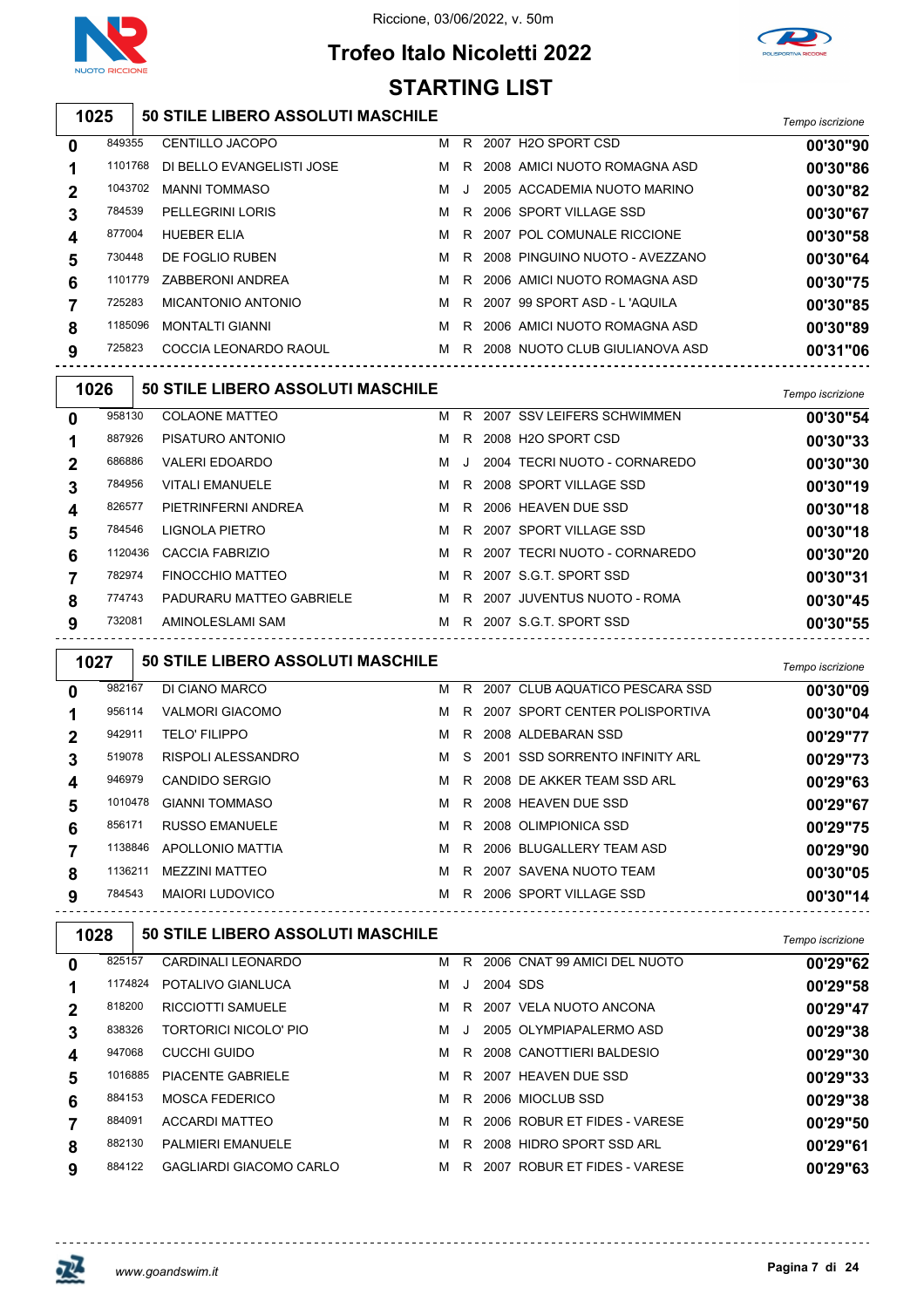

## **Trofeo Italo Nicoletti 2022 STARTING LIST**



#### **50 STILE LIBERO ASSOLUTI MASCHILE** *Tempo iscrizione*

| 0 | 849355  | <b>CENTILLO JACOPO</b>    | м | R  | 2007 H2O SPORT CSD             | 00'30"90 |
|---|---------|---------------------------|---|----|--------------------------------|----------|
|   | 1101768 | DI BELLO EVANGELISTI JOSE | м | R. | 2008 AMICI NUOTO ROMAGNA ASD   | 00'30"86 |
| 2 | 1043702 | <b>MANNI TOMMASO</b>      | м | J  | 2005 ACCADEMIA NUOTO MARINO    | 00'30"82 |
| 3 | 784539  | <b>PELLEGRINI LORIS</b>   | м | R. | 2006 SPORT VILLAGE SSD         | 00'30"67 |
| 4 | 877004  | <b>HUEBER ELIA</b>        | м | R. | 2007 POL COMUNALE RICCIONE     | 00'30"58 |
| 5 | 730448  | DE FOGLIO RUBEN           | м | R. | 2008 PINGUINO NUOTO - AVEZZANO | 00'30"64 |
| 6 | 1101779 | ZABBERONI ANDREA          | м | R. | 2006 AMICI NUOTO ROMAGNA ASD   | 00'30"75 |
|   | 725283  | MICANTONIO ANTONIO        | м | R  | 2007 99 SPORT ASD - L'AQUILA   | 00'30"85 |
| 8 | 1185096 | <b>MONTALTI GIANNI</b>    | м | R. | 2006 AMICI NUOTO ROMAGNA ASD   | 00'30"89 |
| 9 | 725823  | COCCIA LEONARDO RAOUL     | м | R  | 2008 NUOTO CLUB GIULIANOVA ASD | 00'31"06 |
|   |         |                           |   |    |                                |          |

| 1026         |         | 50 STILE LIBERO ASSOLUTI MASCHILE |   |   |                                | Tempo iscrizione |
|--------------|---------|-----------------------------------|---|---|--------------------------------|------------------|
| $\mathbf{0}$ | 958130  | <b>COLAONE MATTEO</b>             | M |   | R 2007 SSV LEIFERS SCHWIMMEN   | 00'30"54         |
| 1            | 887926  | PISATURO ANTONIO                  | м |   | R 2008 H2O SPORT CSD           | 00'30"33         |
| $\mathbf{2}$ | 686886  | <b>VALERI EDOARDO</b>             | м | J | 2004 TECRI NUOTO - CORNAREDO   | 00'30"30         |
| 3            | 784956  | <b>VITALI EMANUELE</b>            | м |   | R 2008 SPORT VILLAGE SSD       | 00'30"19         |
| 4            | 826577  | PIETRINFERNI ANDREA               | M |   | R 2006 HEAVEN DUE SSD          | 00'30"18         |
| 5            | 784546  | LIGNOLA PIETRO                    | M |   | R 2007 SPORT VILLAGE SSD       | 00'30"18         |
| 6            | 1120436 | CACCIA FABRIZIO                   | M |   | R 2007 TECRI NUOTO - CORNAREDO | 00'30"20         |
|              | 782974  | FINOCCHIO MATTEO                  | м |   | R 2007 S.G.T. SPORT SSD        | 00'30"31         |
| 8            | 774743  | PADURARU MATTEO GABRIELE          | M |   | R 2007 JUVENTUS NUOTO - ROMA   | 00'30"45         |
| 9            | 732081  | AMINOLESLAMI SAM                  | M |   | R 2007 S.G.T. SPORT SSD        | 00'30"55         |
|              |         |                                   |   |   |                                |                  |

| 1027 |         | <b>50 STILE LIBERO ASSOLUTI MASCHILE</b> |   |  |                                    | Tempo iscrizione |
|------|---------|------------------------------------------|---|--|------------------------------------|------------------|
| 0    | 982167  | DI CIANO MARCO                           |   |  | M R 2007 CLUB AQUATICO PESCARA SSD | 00'30"09         |
|      | 956114  | <b>VALMORI GIACOMO</b>                   |   |  | M R 2007 SPORT CENTER POLISPORTIVA | 00'30"04         |
| 2    | 942911  | <b>TELO' FILIPPO</b>                     | M |  | R 2008 ALDEBARAN SSD               | 00'29"77         |
| 3    | 519078  | <b>RISPOLI ALESSANDRO</b>                |   |  | M S 2001 SSD SORRENTO INFINITY ARL | 00'29"73         |
| 4    | 946979  | <b>CANDIDO SERGIO</b>                    |   |  | M R 2008 DE AKKER TEAM SSD ARL     | 00'29"63         |
| 5    | 1010478 | <b>GIANNI TOMMASO</b>                    |   |  | M R 2008 HEAVEN DUE SSD            | 00'29"67         |
| 6    | 856171  | <b>RUSSO EMANUELE</b>                    |   |  | M R 2008 OLIMPIONICA SSD           | 00'29"75         |
|      | 1138846 | <b>APOLLONIO MATTIA</b>                  |   |  | M R 2006 BLUGALLERY TEAM ASD       | 00'29"90         |
| 8    | 1136211 | <b>MEZZINI MATTEO</b>                    | M |  | R 2007 SAVENA NUOTO TEAM           | 00'30"05         |
| 9    | 784543  | <b>MAIORI LUDOVICO</b>                   | M |  | R 2006 SPORT VILLAGE SSD           | 00'30"14         |

| 1028        |         | 50 STILE LIBERO ASSOLUTI MASCHILE |   |         |          |                              | Tempo iscrizione |
|-------------|---------|-----------------------------------|---|---------|----------|------------------------------|------------------|
| 0           | 825157  | CARDINALI LEONARDO                | м | R.      |          | 2006 CNAT 99 AMICI DEL NUOTO | 00'29"62         |
|             | 1174824 | POTALIVO GIANLUCA                 | м | J       | 2004 SDS |                              | 00'29"58         |
| $\mathbf 2$ | 818200  | <b>RICCIOTTI SAMUELE</b>          | м | R.      |          | 2007 VELA NUOTO ANCONA       | 00'29"47         |
| 3           | 838326  | TORTORICI NICOLO' PIO             | м | $\cdot$ |          | 2005 OLYMPIAPALERMO ASD      | 00'29"38         |
| 4           | 947068  | CUCCHI GUIDO                      | м | R.      |          | 2008 CANOTTIERI BALDESIO     | 00'29"30         |
| 5           | 1016885 | <b>PIACENTE GABRIELE</b>          | м | R.      |          | 2007 HEAVEN DUE SSD          | 00'29"33         |
| 6           | 884153  | <b>MOSCA FEDERICO</b>             | м | R.      |          | 2006 MIOCLUB SSD             | 00'29"38         |
|             | 884091  | <b>ACCARDI MATTEO</b>             | м | R       |          | 2006 ROBUR ET FIDES - VARESE | 00'29"50         |
| 8           | 882130  | <b>PALMIERI EMANUELE</b>          | м | R.      |          | 2008 HIDRO SPORT SSD ARL     | 00'29"61         |
| 9           | 884122  | GAGLIARDI GIACOMO CARLO           | м | R       | 2007     | ROBUR ET FIDES - VARESE      | 00'29"63         |

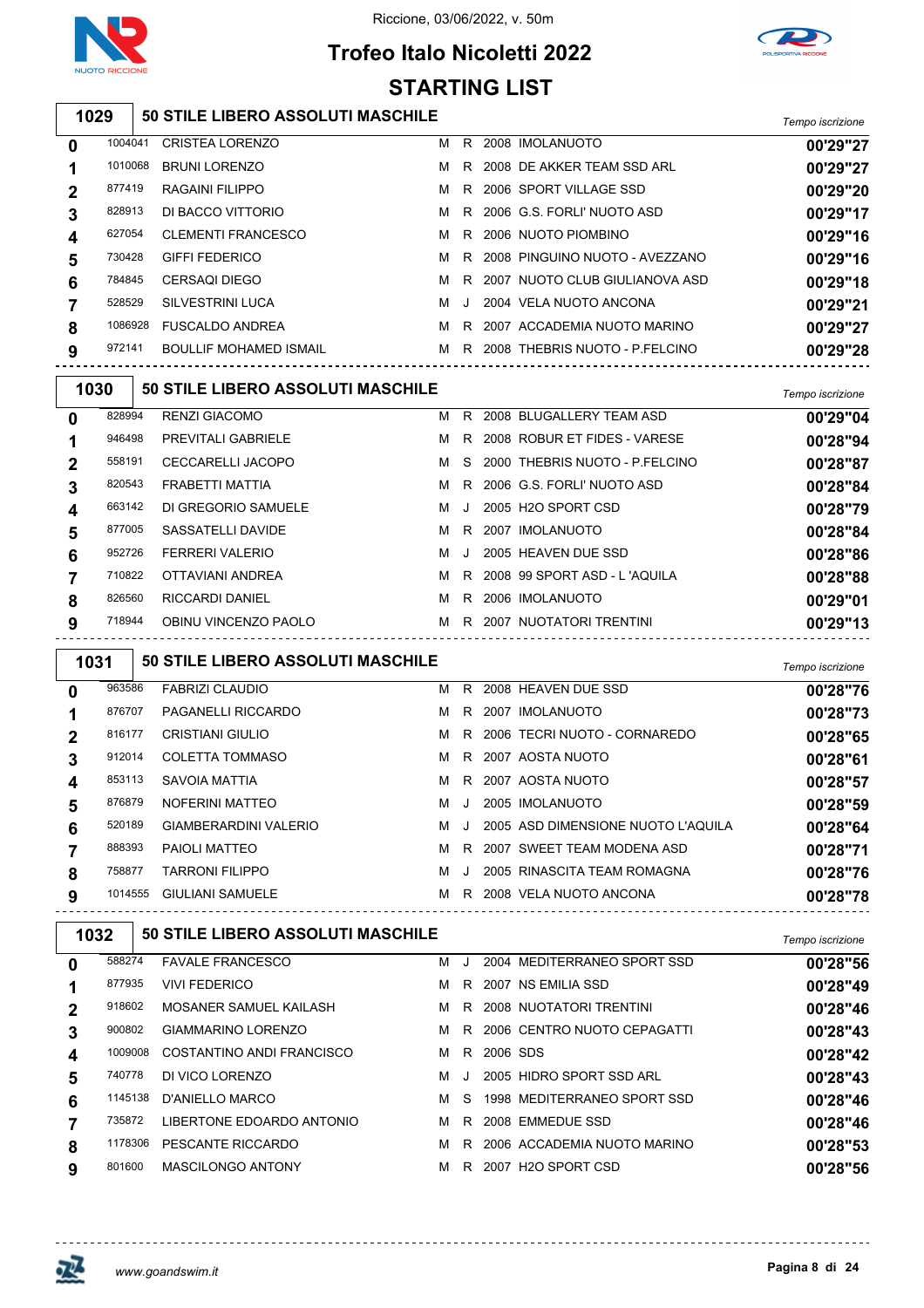

## **Trofeo Italo Nicoletti 2022 STARTING LIST**



## **50 STILE LIBERO ASSOLUTI MASCHILE** *Tempo iscrizione*

| 0 | 1004041 | <b>CRISTEA LORENZO</b>        | м |         | R 2008 IMOLANUOTO                | 00'29"27 |
|---|---------|-------------------------------|---|---------|----------------------------------|----------|
|   | 1010068 | <b>BRUNI LORENZO</b>          | м |         | R 2008 DE AKKER TEAM SSD ARL     | 00'29"27 |
| 2 | 877419  | RAGAINI FILIPPO               | м |         | R 2006 SPORT VILLAGE SSD         | 00'29"20 |
| 3 | 828913  | DI BACCO VITTORIO             | м |         | R 2006 G.S. FORLI' NUOTO ASD     | 00'29"17 |
| 4 | 627054  | <b>CLEMENTI FRANCESCO</b>     | м |         | R 2006 NUOTO PIOMBINO            | 00'29"16 |
| 5 | 730428  | <b>GIFFI FEDERICO</b>         | м |         | R 2008 PINGUINO NUOTO - AVEZZANO | 00'29"16 |
| 6 | 784845  | CERSAOI DIEGO                 | м |         | R 2007 NUOTO CLUB GIULIANOVA ASD | 00'29"18 |
|   | 528529  | SILVESTRINI LUCA              | м | $\cdot$ | 2004 VELA NUOTO ANCONA           | 00'29"21 |
| 8 | 1086928 | <b>FUSCALDO ANDREA</b>        | м |         | R 2007 ACCADEMIA NUOTO MARINO    | 00'29"27 |
| 9 | 972141  | <b>BOULLIF MOHAMED ISMAIL</b> | м |         | R 2008 THEBRIS NUOTO - P.FELCINO | 00'29"28 |
|   |         |                               |   |         |                                  |          |

| 1030         |        | 50 STILE LIBERO ASSOLUTI MASCHILE |   |     |                                  | Tempo iscrizione |
|--------------|--------|-----------------------------------|---|-----|----------------------------------|------------------|
| $\mathbf{0}$ | 828994 | <b>RENZI GIACOMO</b>              |   |     | M R 2008 BLUGALLERY TEAM ASD     | 00'29"04         |
|              | 946498 | <b>PREVITALI GABRIELE</b>         | м | R.  | 2008 ROBUR ET FIDES - VARESE     | 00'28"94         |
| 2            | 558191 | <b>CECCARELLI JACOPO</b>          | M |     | S 2000 THEBRIS NUOTO - P.FELCINO | 00'28"87         |
| 3            | 820543 | FRABETTI MATTIA                   | м |     | R 2006 G.S. FORLI' NUOTO ASD     | 00'28"84         |
| 4            | 663142 | DI GREGORIO SAMUELE               | M | - J | 2005 H2O SPORT CSD               | 00'28"79         |
| 5            | 877005 | SASSATELLI DAVIDE                 | M |     | R 2007 IMOLANUOTO                | 00'28"84         |
| 6            | 952726 | <b>FERRERI VALERIO</b>            | м | J   | 2005 HEAVEN DUE SSD              | 00'28"86         |
|              | 710822 | OTTAVIANI ANDREA                  |   |     | M R 2008 99 SPORT ASD - L'AQUILA | 00'28"88         |
| 8            | 826560 | <b>RICCARDI DANIEL</b>            | м | R.  | 2006 IMOLANUOTO                  | 00'29"01         |
| 9            | 718944 | OBINU VINCENZO PAOLO              | M |     | R 2007 NUOTATORI TRENTINI        | 00'29"13         |

| 1031         |         | <b>50 STILE LIBERO ASSOLUTI MASCHILE</b> |   |         |                                    | Tempo iscrizione |
|--------------|---------|------------------------------------------|---|---------|------------------------------------|------------------|
| $\mathbf{0}$ | 963586  | <b>FABRIZI CLAUDIO</b>                   | м | R.      | 2008 HEAVEN DUE SSD                | 00'28"76         |
|              | 876707  | PAGANELLI RICCARDO                       | м | R.      | 2007 IMOLANUOTO                    | 00'28"73         |
|              | 816177  | <b>CRISTIANI GIULIO</b>                  | м | R.      | 2006 TECRI NUOTO - CORNAREDO       | 00'28"65         |
| 3            | 912014  | <b>COLETTA TOMMASO</b>                   | м | R.      | 2007 AOSTA NUOTO                   | 00'28"61         |
| 4            | 853113  | SAVOIA MATTIA                            | м | R.      | 2007 AOSTA NUOTO                   | 00'28"57         |
| 5            | 876879  | NOFERINI MATTEO                          | м | $\cdot$ | 2005 IMOLANUOTO                    | 00'28"59         |
| 6            | 520189  | GIAMBERARDINI VALERIO                    | м | $\cdot$ | 2005 ASD DIMENSIONE NUOTO L'AQUILA | 00'28"64         |
|              | 888393  | PAIOLI MATTEO                            | м | R.      | 2007 SWEET TEAM MODENA ASD         | 00'28"71         |
| 8            | 758877  | <b>TARRONI FILIPPO</b>                   | м |         | 2005 RINASCITA TEAM ROMAGNA        | 00'28"76         |
| 9            | 1014555 | <b>GIULIANI SAMUELE</b>                  | м | R.      | 2008 VELA NUOTO ANCONA             | 00'28"78         |

| 1032        |         | <b>50 STILE LIBERO ASSOLUTI MASCHILE</b> | Tempo iscrizione |         |          |                             |          |
|-------------|---------|------------------------------------------|------------------|---------|----------|-----------------------------|----------|
| 0           | 588274  | <b>FAVALE FRANCESCO</b>                  | м                | $\cdot$ |          | 2004 MEDITERRANEO SPORT SSD | 00'28"56 |
|             | 877935  | <b>VIVI FEDERICO</b>                     | м                | R.      |          | 2007 NS EMILIA SSD          | 00'28"49 |
| $\mathbf 2$ | 918602  | MOSANER SAMUEL KAILASH                   | м                |         |          | R 2008 NUOTATORI TRENTINI   | 00'28"46 |
| 3           | 900802  | GIAMMARINO LORENZO                       | м                | R       |          | 2006 CENTRO NUOTO CEPAGATTI | 00'28"43 |
| 4           | 1009008 | COSTANTINO ANDI FRANCISCO                | м                | R.      | 2006 SDS |                             | 00'28"42 |
| 5           | 740778  | DI VICO LORENZO                          | м                |         |          | 2005 HIDRO SPORT SSD ARL    | 00'28"43 |
| 6           | 1145138 | D'ANIELLO MARCO                          | м                | S.      |          | 1998 MEDITERRANEO SPORT SSD | 00'28"46 |
|             | 735872  | LIBERTONE EDOARDO ANTONIO                | м                | R       |          | 2008 EMMEDUE SSD            | 00'28"46 |
| 8           | 1178306 | PESCANTE RICCARDO                        | м                | R.      |          | 2006 ACCADEMIA NUOTO MARINO | 00'28"53 |
| 9           | 801600  | <b>MASCILONGO ANTONY</b>                 | м                | R       |          | 2007 H2O SPORT CSD          | 00'28"56 |

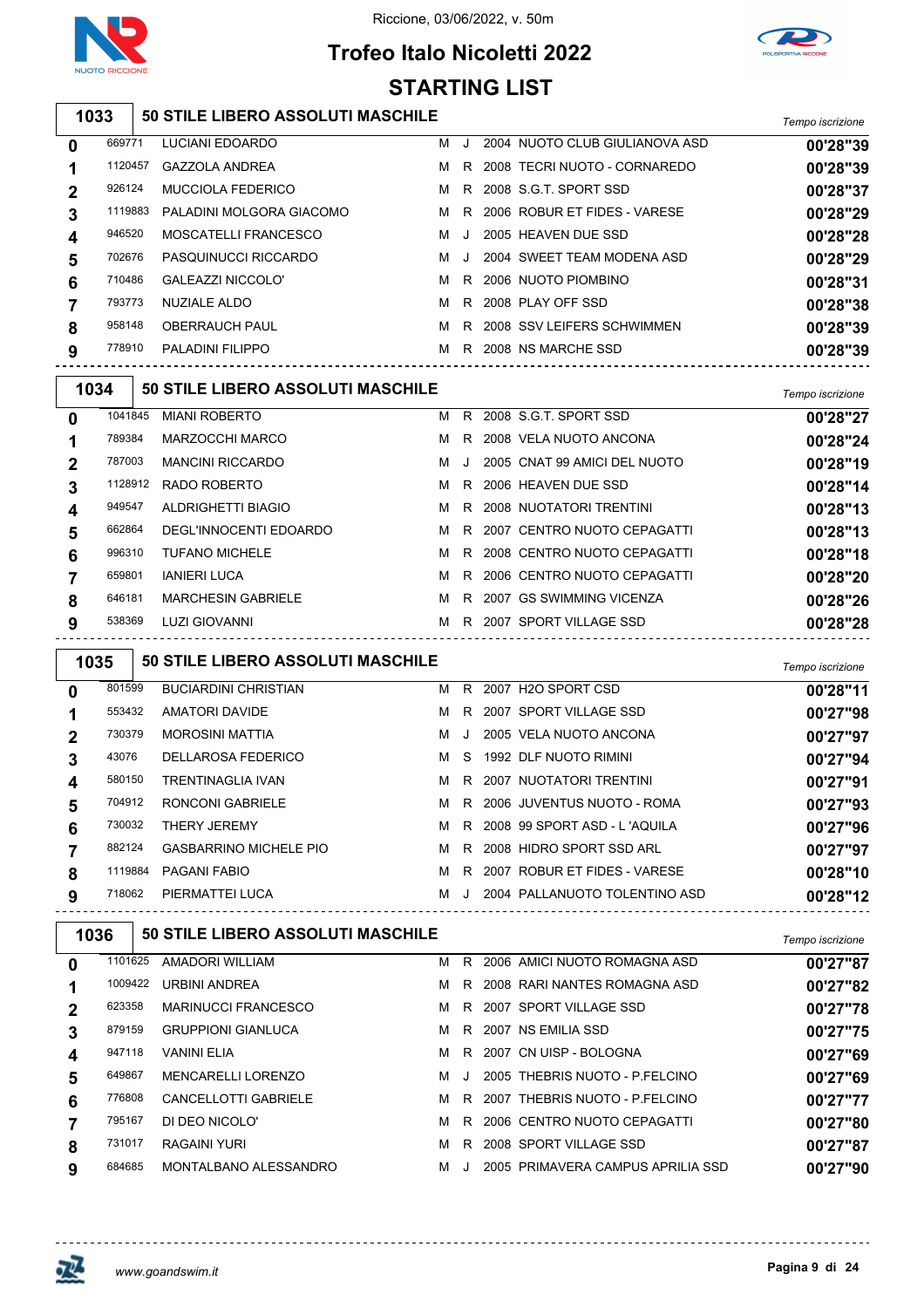

# **Trofeo Italo Nicoletti 2022**



#### **50 STILE LIBERO ASSOLUTI MASCHILE** *Tempo iscrizione* LUCIANI EDOARDO M J 2004 NUOTO CLUB GIULIANOVA ASD **00'28"39** GAZZOLA ANDREA M R 2008 TECRI NUOTO - CORNAREDO **00'28"39** MUCCIOLA FEDERICO M R 2008 S.G.T. SPORT SSD **00'28"37** PALADINI MOLGORA GIACOMO M R 2006 ROBUR ET FIDES - VARESE **00'28"29** MOSCATELLI FRANCESCO M J 2005 HEAVEN DUE SSD **00'28"28** PASQUINUCCI RICCARDO M J 2004 SWEET TEAM MODENA ASD **00'28"29 STARTING LIST**

 GALEAZZI NICCOLO' M R 2006 NUOTO PIOMBINO **00'28"31** NUZIALE ALDO M R 2008 PLAY OFF SSD **00'28"38** 

 OBERRAUCH PAUL M R 2008 SSV LEIFERS SCHWIMMEN **00'28"39** PALADINI FILIPPO M R 2008 NS MARCHE SSD **00'28"39**

**50 STILE LIBERO ASSOLUTI MASCHILE** *Tempo iscrizione*

|                  |         |                           |   |         |                               | <i><b>Fempo ISCHZIONE</b></i> |
|------------------|---------|---------------------------|---|---------|-------------------------------|-------------------------------|
| $\mathbf 0$      | 1041845 | <b>MIANI ROBERTO</b>      | м | R.      | 2008 S.G.T. SPORT SSD         | 00'28"27                      |
| 1                | 789384  | <b>MARZOCCHI MARCO</b>    | м |         | R 2008 VELA NUOTO ANCONA      | 00'28"24                      |
| $\mathbf{2}$     | 787003  | <b>MANCINI RICCARDO</b>   | м | $\cdot$ | 2005 CNAT 99 AMICI DEL NUOTO  | 00'28"19                      |
| 3                | 1128912 | RADO ROBERTO              | м |         | R 2006 HEAVEN DUE SSD         | 00'28"14                      |
| $\boldsymbol{4}$ | 949547  | ALDRIGHETTI BIAGIO        | м |         | R 2008 NUOTATORI TRENTINI     | 00'28"13                      |
| 5                | 662864  | DEGL'INNOCENTI EDOARDO    | м |         | R 2007 CENTRO NUOTO CEPAGATTI | 00'28"13                      |
| 6                | 996310  | <b>TUFANO MICHELE</b>     | м |         | R 2008 CENTRO NUOTO CEPAGATTI | 00'28"18                      |
| $\overline{7}$   | 659801  | <b>IANIERI LUCA</b>       | м |         | R 2006 CENTRO NUOTO CEPAGATTI | 00'28"20                      |
| 8                | 646181  | <b>MARCHESIN GABRIELE</b> | м |         | R 2007 GS SWIMMING VICENZA    | 00'28"26                      |
| 9                | 538369  | LUZI GIOVANNI             | м |         | R 2007 SPORT VILLAGE SSD      | 00'28"28                      |
|                  |         |                           |   |         |                               |                               |

| 1035         |         | <b>50 STILE LIBERO ASSOLUTI MASCHILE</b> |   |    |                                | Tempo iscrizione |
|--------------|---------|------------------------------------------|---|----|--------------------------------|------------------|
| $\mathbf{0}$ | 801599  | <b>BUCIARDINI CHRISTIAN</b>              | м |    | R 2007 H2O SPORT CSD           | 00'28"11         |
| 1            | 553432  | AMATORI DAVIDE                           | м |    | R 2007 SPORT VILLAGE SSD       | 00'27"98         |
| $\mathbf 2$  | 730379  | MOROSINI MATTIA                          | м |    | 2005 VELA NUOTO ANCONA         | 00'27"97         |
| 3            | 43076   | DELLAROSA FEDERICO                       | м | S. | 1992 DLF NUOTO RIMINI          | 00'27"94         |
| 4            | 580150  | <b>TRENTINAGLIA IVAN</b>                 | м |    | R 2007 NUOTATORI TRENTINI      | 00'27"91         |
| 5            | 704912  | <b>RONCONI GABRIELE</b>                  | м |    | R 2006 JUVENTUS NUOTO - ROMA   | 00'27"93         |
| 6            | 730032  | <b>THERY JEREMY</b>                      | м |    | R 2008 99 SPORT ASD - L'AQUILA | 00'27"96         |
|              | 882124  | <b>GASBARRINO MICHELE PIO</b>            | м |    | R 2008 HIDRO SPORT SSD ARL     | 00'27"97         |
| 8            | 1119884 | PAGANI FABIO                             | м | R. | 2007 ROBUR ET FIDES - VARESE   | 00'28"10         |
| 9            | 718062  | PIERMATTEI LUCA                          | м |    | 2004 PALLANUOTO TOLENTINO ASD  | 00'28"12         |
|              |         |                                          |   |    |                                |                  |

| 1036        |         | <b>50 STILE LIBERO ASSOLUTI MASCHILE</b> |   |    |                                   | Tempo iscrizione |
|-------------|---------|------------------------------------------|---|----|-----------------------------------|------------------|
| $\bf{0}$    | 1101625 | AMADORI WILLIAM                          | м | R. | 2006 AMICI NUOTO ROMAGNA ASD      | 00'27"87         |
|             | 1009422 | URBINI ANDREA                            | м | R. | 2008 RARI NANTES ROMAGNA ASD      | 00'27"82         |
| $\mathbf 2$ | 623358  | <b>MARINUCCI FRANCESCO</b>               | м |    | R 2007 SPORT VILLAGE SSD          | 00'27"78         |
| 3           | 879159  | <b>GRUPPIONI GIANLUCA</b>                | м |    | R 2007 NS EMILIA SSD              | 00'27"75         |
| 4           | 947118  | <b>VANINI ELIA</b>                       | м | R  | 2007 CN UISP - BOLOGNA            | 00'27"69         |
| 5           | 649867  | <b>MENCARELLI LORENZO</b>                | м | J  | 2005 THEBRIS NUOTO - P.FELCINO    | 00'27"69         |
| 6           | 776808  | <b>CANCELLOTTI GABRIELE</b>              | м | R. | 2007 THEBRIS NUOTO - P.FELCINO    | 00'27"77         |
|             | 795167  | DI DEO NICOLO'                           | м | R. | 2006 CENTRO NUOTO CEPAGATTI       | 00'27"80         |
| 8           | 731017  | RAGAINI YURI                             | м | R  | 2008 SPORT VILLAGE SSD            | 00'27"87         |
| 9           | 684685  | MONTALBANO ALESSANDRO                    | м |    | 2005 PRIMAVERA CAMPUS APRILIA SSD | 00'27"90         |



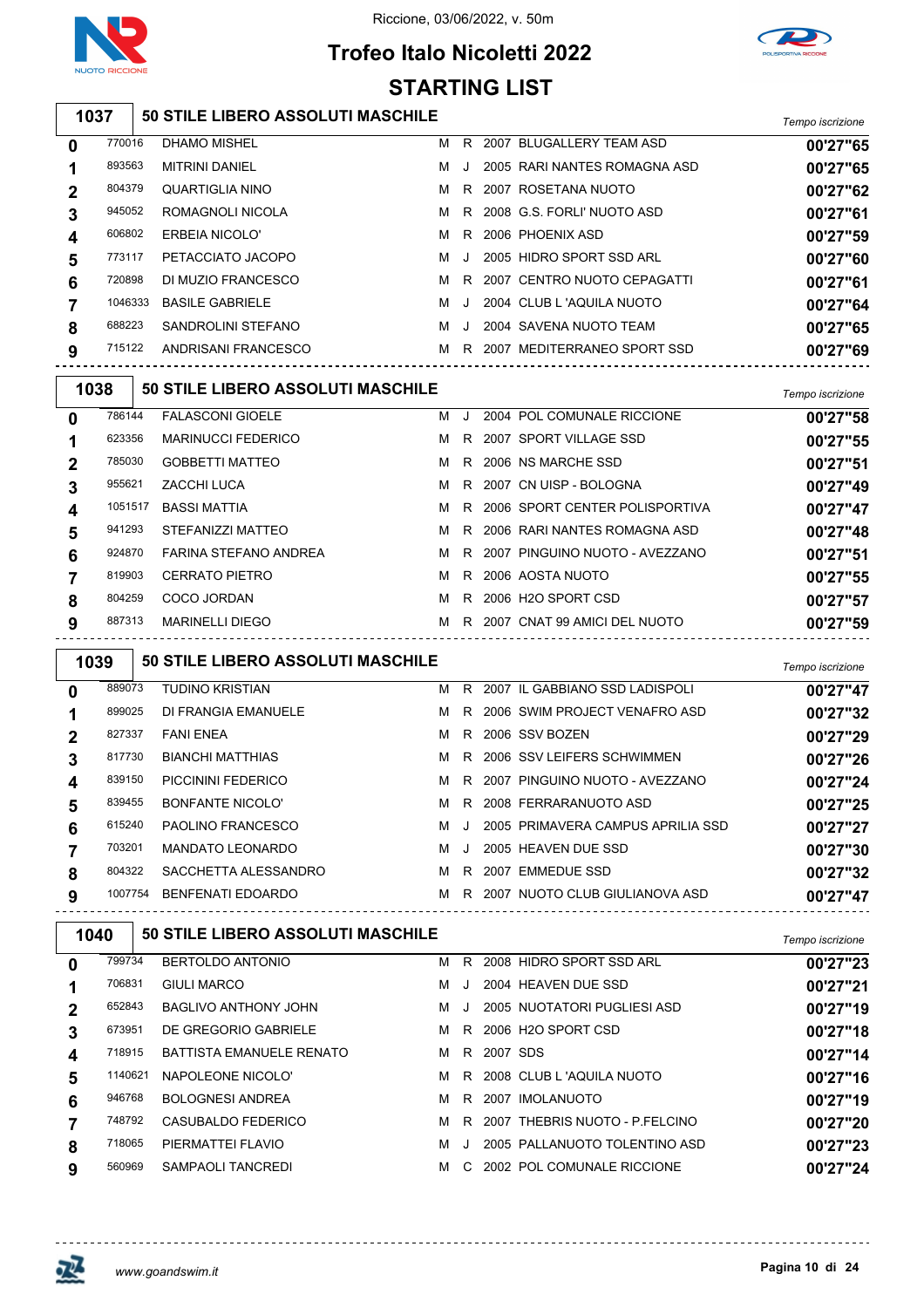

## **Trofeo Italo Nicoletti 2022 STARTING LIST**



## **50 STILE LIBERO ASSOLUTI MASCHILE** *Tempo iscrizione*

| 0 | 770016  | DHAMO MISHEL           | м | R       |      | 2007 BLUGALLERY TEAM ASD     | 00'27"65 |
|---|---------|------------------------|---|---------|------|------------------------------|----------|
|   | 893563  | <b>MITRINI DANIEL</b>  | м | $\cdot$ |      | 2005 RARI NANTES ROMAGNA ASD | 00'27"65 |
| 2 | 804379  | QUARTIGLIA NINO        | м | R.      |      | 2007 ROSETANA NUOTO          | 00'27"62 |
| 3 | 945052  | ROMAGNOLI NICOLA       | м |         |      | R 2008 G.S. FORLI' NUOTO ASD | 00'27"61 |
|   | 606802  | ERBEIA NICOLO'         | м |         |      | R 2006 PHOENIX ASD           | 00'27"59 |
| 5 | 773117  | PETACCIATO JACOPO      | м | $\cdot$ |      | 2005 HIDRO SPORT SSD ARL     | 00'27"60 |
| 6 | 720898  | DI MUZIO FRANCESCO     | м | R.      |      | 2007 CENTRO NUOTO CEPAGATTI  | 00'27"61 |
|   | 1046333 | <b>BASILE GABRIELE</b> | м | $\cdot$ |      | 2004 CLUB L 'AQUILA NUOTO    | 00'27"64 |
| 8 | 688223  | SANDROLINI STEFANO     | м | $\cdot$ |      | 2004 SAVENA NUOTO TEAM       | 00'27"65 |
| 9 | 715122  | ANDRISANI FRANCESCO    | м | R       | 2007 | MEDITERRANEO SPORT SSD       | 00'27"69 |
|   |         |                        |   |         |      |                              |          |

| 1038         |         | <b>50 STILE LIBERO ASSOLUTI MASCHILE</b> |   |    |                                  | Tempo iscrizione |
|--------------|---------|------------------------------------------|---|----|----------------------------------|------------------|
| $\mathbf{0}$ | 786144  | <b>FALASCONI GIOELE</b>                  | м |    | 2004 POL COMUNALE RICCIONE       | 00'27"58         |
|              | 623356  | <b>MARINUCCI FEDERICO</b>                | м | R. | 2007 SPORT VILLAGE SSD           | 00'27"55         |
| $\mathbf 2$  | 785030  | <b>GOBBETTI MATTEO</b>                   | м |    | R 2006 NS MARCHE SSD             | 00'27"51         |
| 3            | 955621  | ZACCHI LUCA                              | м |    | R 2007 CN UISP - BOLOGNA         | 00'27"49         |
| 4            | 1051517 | <b>BASSI MATTIA</b>                      | M |    | R 2006 SPORT CENTER POLISPORTIVA | 00'27"47         |
| 5            | 941293  | STEFANIZZI MATTEO                        | M |    | R 2006 RARI NANTES ROMAGNA ASD   | 00'27"48         |
| 6            | 924870  | FARINA STEFANO ANDREA                    | M |    | R 2007 PINGUINO NUOTO - AVEZZANO | 00'27"51         |
|              | 819903  | <b>CERRATO PIETRO</b>                    | M |    | R 2006 AOSTA NUOTO               | 00'27"55         |
| 8            | 804259  | COCO JORDAN                              | м | R. | 2006 H2O SPORT CSD               | 00'27"57         |
| 9            | 887313  | <b>MARINELLI DIEGO</b>                   | M |    | R 2007 CNAT 99 AMICI DEL NUOTO   | 00'27"59         |

| 1039        |         | <b>50 STILE LIBERO ASSOLUTI MASCHILE</b> |   |              |                                   | Tempo iscrizione |
|-------------|---------|------------------------------------------|---|--------------|-----------------------------------|------------------|
| 0           | 889073  | <b>TUDINO KRISTIAN</b>                   | м |              | R 2007 IL GABBIANO SSD LADISPOLI  | 00'27"47         |
|             | 899025  | DI FRANGIA EMANUELE                      | м |              | R 2006 SWIM PROJECT VENAFRO ASD   | 00'27"32         |
| $\mathbf 2$ | 827337  | <b>FANI ENEA</b>                         | м | R.           | 2006 SSV BOZEN                    | 00'27"29         |
| 3           | 817730  | <b>BIANCHI MATTHIAS</b>                  | м |              | R 2006 SSV LEIFERS SCHWIMMEN      | 00'27"26         |
| 4           | 839150  | PICCININI FEDERICO                       | м |              | R 2007 PINGUINO NUOTO - AVEZZANO  | 00'27"24         |
| 5           | 839455  | BONFANTE NICOLO'                         | м |              | R 2008 FERRARANUOTO ASD           | 00'27"25         |
| 6           | 615240  | PAOLINO FRANCESCO                        | м | $\cdot$ .    | 2005 PRIMAVERA CAMPUS APRILIA SSD | 00'27"27         |
|             | 703201  | <b>MANDATO LEONARDO</b>                  | м | $\mathbf{I}$ | 2005 HEAVEN DUE SSD               | 00'27"30         |
| 8           | 804322  | SACCHETTA ALESSANDRO                     | м | R.           | 2007 EMMEDUE SSD                  | 00'27"32         |
| 9           | 1007754 | <b>BENFENATI EDOARDO</b>                 | м |              | R 2007 NUOTO CLUB GIULIANOVA ASD  | 00'27"47         |
|             |         |                                          |   |              |                                   |                  |

| 1040 |         | <b>50 STILE LIBERO ASSOLUTI MASCHILE</b> | Tempo iscrizione |        |          |                                |          |
|------|---------|------------------------------------------|------------------|--------|----------|--------------------------------|----------|
| 0    | 799734  | BERTOLDO ANTONIO                         | м                | R.     |          | 2008 HIDRO SPORT SSD ARL       | 00'27"23 |
|      | 706831  | <b>GIULI MARCO</b>                       | м                |        |          | 2004 HEAVEN DUE SSD            | 00'27"21 |
| 2    | 652843  | BAGLIVO ANTHONY JOHN                     | м                | $\Box$ |          | 2005 NUOTATORI PUGLIESI ASD    | 00'27"19 |
| 3    | 673951  | DE GREGORIO GABRIELE                     | м                | R.     |          | 2006 H2O SPORT CSD             | 00'27"18 |
| 4    | 718915  | <b>BATTISTA EMANUELE RENATO</b>          | M                | R.     | 2007 SDS |                                | 00'27"14 |
| 5    | 1140621 | NAPOLEONE NICOLO'                        | м                | R.     |          | 2008 CLUB L 'AQUILA NUOTO      | 00'27"16 |
| 6    | 946768  | <b>BOLOGNESI ANDREA</b>                  | м                | R.     | 2007     | <b>IMOLANUOTO</b>              | 00'27"19 |
|      | 748792  | CASUBALDO FEDERICO                       | м                | R.     |          | 2007 THEBRIS NUOTO - P.FELCINO | 00'27"20 |
| 8    | 718065  | PIERMATTEI FLAVIO                        | м                |        |          | 2005 PALLANUOTO TOLENTINO ASD  | 00'27"23 |
| 9    | 560969  | SAMPAOLI TANCREDI                        | м                | C.     |          | 2002 POL COMUNALE RICCIONE     | 00'27"24 |

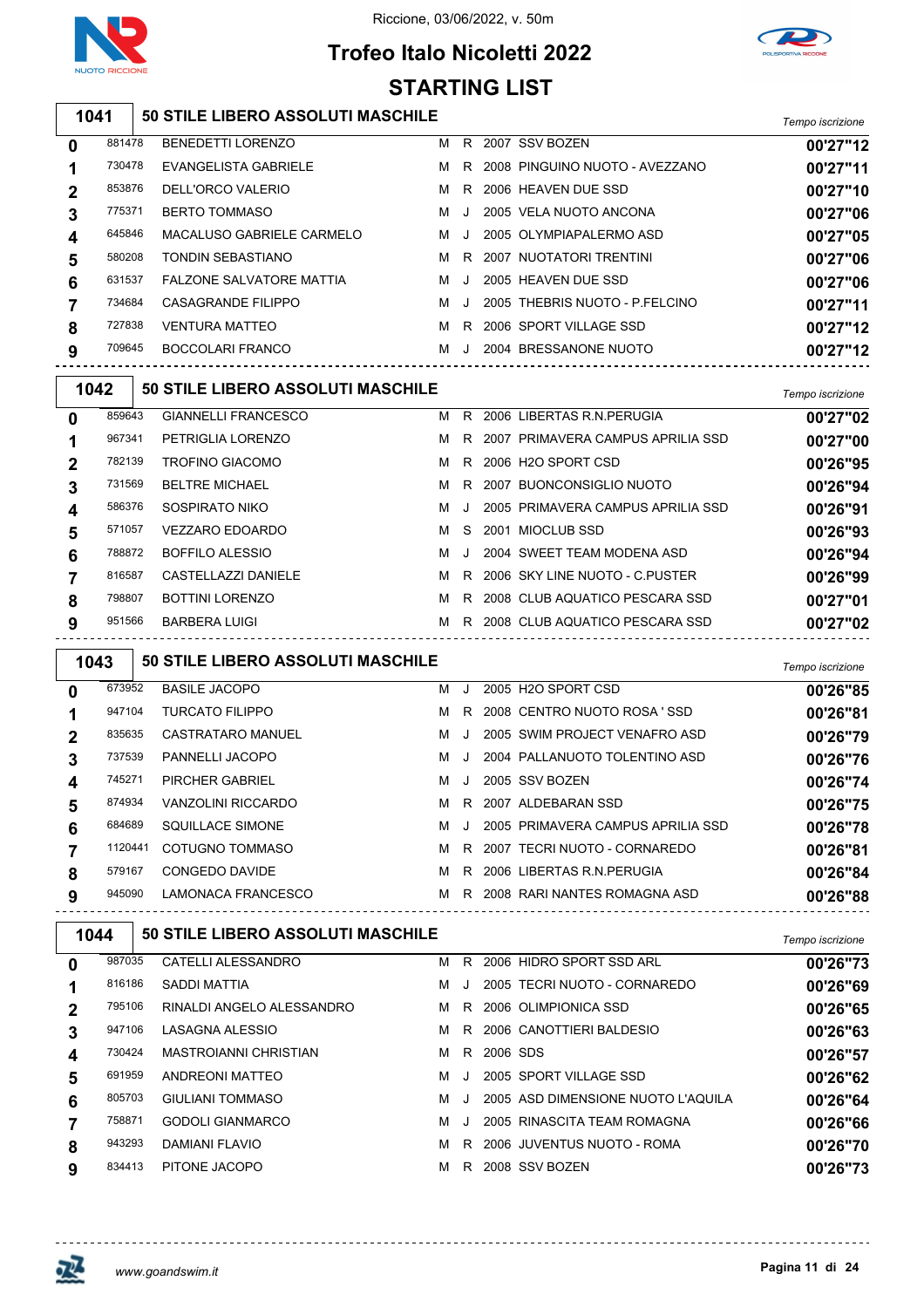

## **Trofeo Italo Nicoletti 2022 STARTING LIST**



#### **50 STILE LIBERO ASSOLUTI MASCHILE** *Tempo iscrizione*

| 0 | 881478 | BENEDETTI LORENZO         | м | R       | 2007 SSV BOZEN                   | 00'27"12 |
|---|--------|---------------------------|---|---------|----------------------------------|----------|
|   | 730478 | EVANGELISTA GABRIELE      | м |         | R 2008 PINGUINO NUOTO - AVEZZANO | 00'27"11 |
| 2 | 853876 | DELL'ORCO VALERIO         | м | R.      | 2006 HEAVEN DUE SSD              | 00'27"10 |
| 3 | 775371 | <b>BERTO TOMMASO</b>      | м | J       | 2005 VELA NUOTO ANCONA           | 00'27"06 |
| 4 | 645846 | MACALUSO GABRIELE CARMELO | м | $\cdot$ | 2005 OLYMPIAPALERMO ASD          | 00'27"05 |
| 5 | 580208 | <b>TONDIN SEBASTIANO</b>  | м | R       | 2007 NUOTATORI TRENTINI          | 00'27"06 |
| 6 | 631537 | FALZONE SALVATORE MATTIA  | м | $\cdot$ | 2005 HEAVEN DUE SSD              | 00'27"06 |
|   | 734684 | CASAGRANDE FILIPPO        | м | J.      | 2005 THEBRIS NUOTO - P FELCINO   | 00'27"11 |
| 8 | 727838 | <b>VENTURA MATTEO</b>     | м | R.      | 2006 SPORT VILLAGE SSD           | 00'27"12 |
| 9 | 709645 | BOCCOLARI FRANCO          | м |         | 2004 BRESSANONE NUOTO            | 00'27"12 |
|   |        |                           |   |         |                                  |          |

| 00'27"02 |
|----------|
|          |
| 00'27"00 |
| 00'26"95 |
| 00'26"94 |
| 00'26"91 |
| 00'26"93 |
| 00'26"94 |
| 00'26"99 |
| 00'27"01 |
| 00'27"02 |
|          |

| 1043 |         | <b>50 STILE LIBERO ASSOLUTI MASCHILE</b> |   |         |                                   | Tempo iscrizione |
|------|---------|------------------------------------------|---|---------|-----------------------------------|------------------|
| 0    | 673952  | <b>BASILE JACOPO</b>                     | м | $\cdot$ | 2005 H2O SPORT CSD                | 00'26"85         |
|      | 947104  | <b>TURCATO FILIPPO</b>                   | м | R.      | 2008 CENTRO NUOTO ROSA 'SSD       | 00'26"81         |
|      | 835635  | CASTRATARO MANUEL                        | м |         | 2005 SWIM PROJECT VENAFRO ASD     | 00'26"79         |
| 3    | 737539  | PANNELLI JACOPO                          | м |         | 2004 PALLANUOTO TOLENTINO ASD     | 00'26"76         |
| 4    | 745271  | PIRCHER GABRIEL                          | м | $\cdot$ | 2005 SSV BOZEN                    | 00'26"74         |
| 5    | 874934  | <b>VANZOLINI RICCARDO</b>                | м | R       | 2007 ALDEBARAN SSD                | 00'26"75         |
| 6    | 684689  | SQUILLACE SIMONE                         | м |         | 2005 PRIMAVERA CAMPUS APRILIA SSD | 00'26"78         |
|      | 1120441 | COTUGNO TOMMASO                          | м | R.      | 2007 TECRI NUOTO - CORNAREDO      | 00'26"81         |
| 8    | 579167  | CONGEDO DAVIDE                           | м | R.      | 2006 LIBERTAS R.N. PERUGIA        | 00'26"84         |
| 9    | 945090  | LAMONACA FRANCESCO                       | м | R.      | 2008 RARI NANTES ROMAGNA ASD      | 00'26"88         |

| 1044        |        | <b>50 STILE LIBERO ASSOLUTI MASCHILE</b> | Tempo iscrizione |         |          |                                    |          |
|-------------|--------|------------------------------------------|------------------|---------|----------|------------------------------------|----------|
| 0           | 987035 | CATELLI ALESSANDRO                       | м                | R.      |          | 2006 HIDRO SPORT SSD ARL           | 00'26"73 |
|             | 816186 | SADDI MATTIA                             | м                | J.      |          | 2005 TECRI NUOTO - CORNAREDO       | 00'26"69 |
| $\mathbf 2$ | 795106 | RINALDI ANGELO ALESSANDRO                | м                | R.      |          | 2006 OLIMPIONICA SSD               | 00'26"65 |
| 3           | 947106 | LASAGNA ALESSIO                          | м                | R.      |          | 2006 CANOTTIERI BALDESIO           | 00'26"63 |
| 4           | 730424 | <b>MASTROIANNI CHRISTIAN</b>             | м                | R.      | 2006 SDS |                                    | 00'26"57 |
| 5           | 691959 | ANDREONI MATTEO                          | м                | J.      |          | 2005 SPORT VILLAGE SSD             | 00'26"62 |
| 6           | 805703 | <b>GIULIANI TOMMASO</b>                  | м                | $\cdot$ |          | 2005 ASD DIMENSIONE NUOTO L'AQUILA | 00'26"64 |
|             | 758871 | <b>GODOLI GIANMARCO</b>                  | м                | $\cdot$ |          | 2005 RINASCITA TEAM ROMAGNA        | 00'26"66 |
| 8           | 943293 | DAMIANI FLAVIO                           | м                | R.      |          | 2006 JUVENTUS NUOTO - ROMA         | 00'26"70 |
| 9           | 834413 | PITONE JACOPO                            | м                | R.      |          | 2008 SSV BOZEN                     | 00'26"73 |

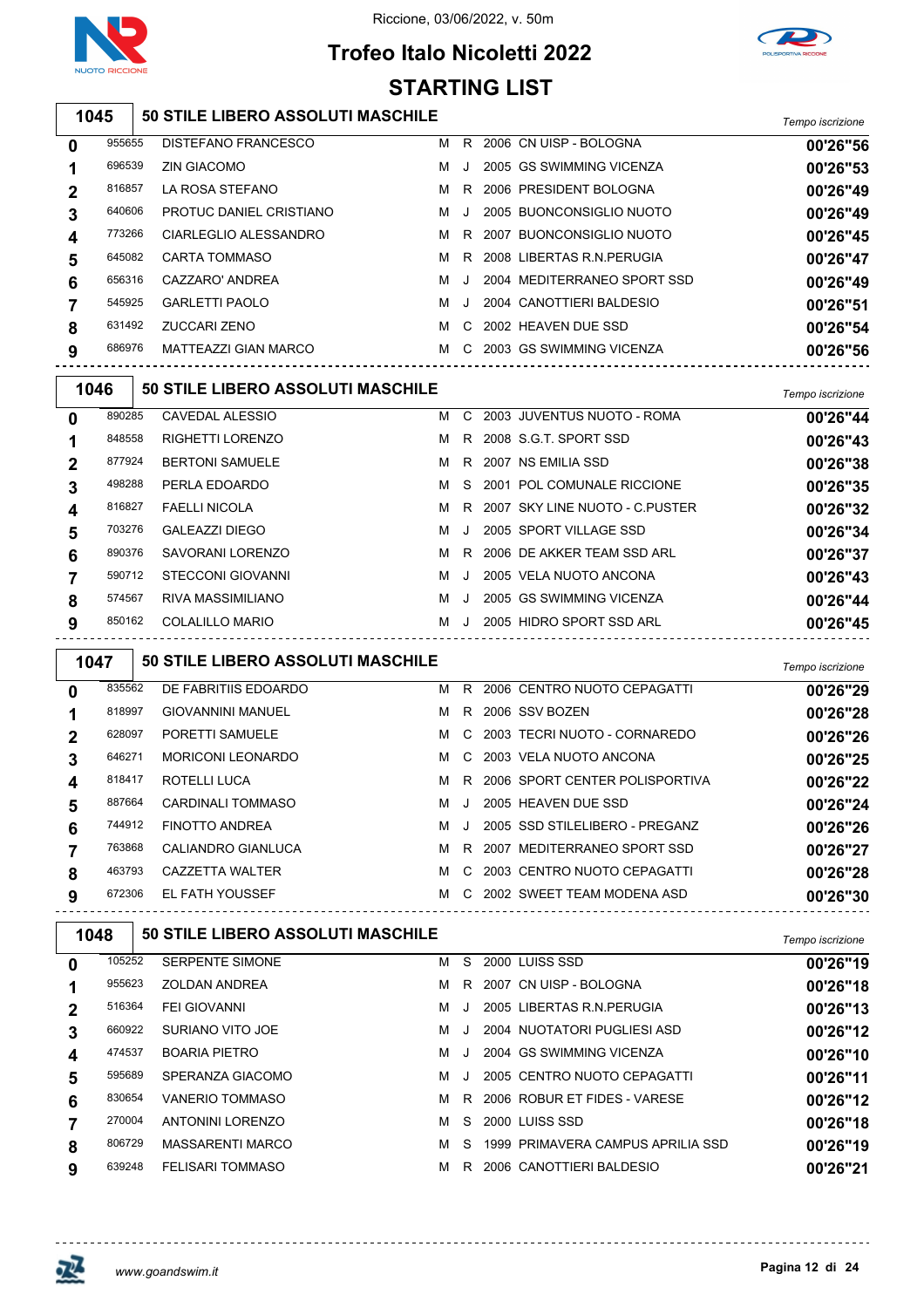

## **Trofeo Italo Nicoletti 2022 STARTING LIST**



#### **50 STILE LIBERO ASSOLUTI MASCHILE** *Tempo iscrizione*

| 0           | 955655 | DISTEFANO FRANCESCO     | м | R.      | 2006 CN UISP - BOLOGNA      | 00'26"56 |
|-------------|--------|-------------------------|---|---------|-----------------------------|----------|
|             | 696539 | <b>ZIN GIACOMO</b>      | м |         | 2005 GS SWIMMING VICENZA    | 00'26"53 |
| $\mathbf 2$ | 816857 | LA ROSA STEFANO         | M | R       | 2006 PRESIDENT BOLOGNA      | 00'26"49 |
| 3           | 640606 | PROTUC DANIEL CRISTIANO | м | $\cdot$ | 2005 BUONCONSIGLIO NUOTO    | 00'26"49 |
| 4           | 773266 | CIARLEGLIO ALESSANDRO   | M | R.      | 2007 BUONCONSIGLIO NUOTO    | 00'26"45 |
| 5           | 645082 | <b>CARTA TOMMASO</b>    | M | R       | 2008 LIBERTAS R.N. PERUGIA  | 00'26"47 |
| 6           | 656316 | CAZZARO' ANDREA         | м | $\cdot$ | 2004 MEDITERRANEO SPORT SSD | 00'26"49 |
|             | 545925 | <b>GARLETTI PAOLO</b>   | м | $\cdot$ | 2004 CANOTTIERI BALDESIO    | 00'26"51 |
| 8           | 631492 | ZUCCARI ZENO            | м | C.      | 2002 HEAVEN DUE SSD         | 00'26"54 |
| 9           | 686976 | MATTEAZZI GIAN MARCO    | M | C.      | 2003 GS SWIMMING VICENZA    | 00'26"56 |
|             |        |                         |   |         |                             |          |

| 1046     |        | 50 STILE LIBERO ASSOLUTI MASCHILE |   |         |                                  | Tempo iscrizione |
|----------|--------|-----------------------------------|---|---------|----------------------------------|------------------|
| $\bf{0}$ | 890285 | CAVEDAL ALESSIO                   | м |         | C 2003 JUVENTUS NUOTO - ROMA     | 00'26"44         |
|          | 848558 | <b>RIGHETTI LORENZO</b>           | м |         | R 2008 S.G.T. SPORT SSD          | 00'26"43         |
| 2        | 877924 | <b>BERTONI SAMUELE</b>            | M |         | R 2007 NS EMILIA SSD             | 00'26"38         |
| 3        | 498288 | PERLA EDOARDO                     | м |         | S 2001 POL COMUNALE RICCIONE     | 00'26"35         |
| 4        | 816827 | <b>FAELLI NICOLA</b>              | м |         | R 2007 SKY LINE NUOTO - C.PUSTER | 00'26"32         |
| 5        | 703276 | GALEAZZI DIEGO                    | м | - J     | 2005 SPORT VILLAGE SSD           | 00'26"34         |
| 6        | 890376 | SAVORANI LORENZO                  | м | R.      | 2006 DE AKKER TEAM SSD ARL       | 00'26"37         |
|          | 590712 | STECCONI GIOVANNI                 | м | J       | 2005 VELA NUOTO ANCONA           | 00'26"43         |
| 8        | 574567 | RIVA MASSIMILIANO                 | м |         | 2005 GS SWIMMING VICENZA         | 00'26"44         |
| 9        | 850162 | COLALILLO MARIO                   | м | $\cdot$ | 2005 HIDRO SPORT SSD ARL         | 00'26"45         |
|          |        |                                   |   |         |                                  |                  |

| 1047     |        | <b>50 STILE LIBERO ASSOLUTI MASCHILE</b> |   |              |                                | Tempo iscrizione |
|----------|--------|------------------------------------------|---|--------------|--------------------------------|------------------|
| $\bf{0}$ | 835562 | DE FABRITIIS EDOARDO                     | м | R.           | 2006 CENTRO NUOTO CEPAGATTI    | 00'26"29         |
|          | 818997 | <b>GIOVANNINI MANUEL</b>                 | м | R.           | 2006 SSV BOZEN                 | 00'26"28         |
|          | 628097 | PORETTI SAMUELE                          | м | C.           | 2003 TECRI NUOTO - CORNAREDO   | 00'26"26         |
| 3        | 646271 | <b>MORICONI LEONARDO</b>                 | M | C.           | 2003 VELA NUOTO ANCONA         | 00'26"25         |
| 4        | 818417 | ROTELLI LUCA                             | м | R.           | 2006 SPORT CENTER POLISPORTIVA | 00'26"22         |
| 5        | 887664 | CARDINALI TOMMASO                        | м | $\mathbf{I}$ | 2005 HEAVEN DUE SSD            | 00'26"24         |
| 6        | 744912 | <b>FINOTTO ANDREA</b>                    | м | $\cdot$      | 2005 SSD STILELIBERO - PREGANZ | 00'26"26         |
|          | 763868 | CALIANDRO GIANLUCA                       | м | R.           | 2007 MEDITERRANEO SPORT SSD    | 00'26"27         |
| 8        | 463793 | <b>CAZZETTA WALTER</b>                   | м | C.           | 2003 CENTRO NUOTO CEPAGATTI    | 00'26"28         |
| 9        | 672306 | EL FATH YOUSSEF                          | м |              | C 2002 SWEET TEAM MODENA ASD   | 00'26"30         |

| 1048        |        | <b>50 STILE LIBERO ASSOLUTI MASCHILE</b> |   |    |                                   | Tempo iscrizione |
|-------------|--------|------------------------------------------|---|----|-----------------------------------|------------------|
| 0           | 105252 | <b>SERPENTE SIMONE</b>                   | м | S. | 2000 LUISS SSD                    | 00'26"19         |
|             | 955623 | <b>ZOLDAN ANDREA</b>                     | м | R. | 2007 CN UISP - BOLOGNA            | 00'26"18         |
| $\mathbf 2$ | 516364 | <b>FEI GIOVANNI</b>                      | м |    | 2005 LIBERTAS R.N. PERUGIA        | 00'26"13         |
|             | 660922 | SURIANO VITO JOE                         | м |    | 2004 NUOTATORI PUGLIESI ASD       | 00'26"12         |
| 4           | 474537 | <b>BOARIA PIETRO</b>                     | м |    | 2004 GS SWIMMING VICENZA          | 00'26"10         |
| 5           | 595689 | SPERANZA GIACOMO                         | м |    | 2005 CENTRO NUOTO CEPAGATTI       | 00'26"11         |
| 6           | 830654 | VANERIO TOMMASO                          | м | R. | 2006 ROBUR ET FIDES - VARESE      | 00'26"12         |
|             | 270004 | <b>ANTONINI LORENZO</b>                  | м | S. | 2000 LUISS SSD                    | 00'26"18         |
| 8           | 806729 | <b>MASSARENTI MARCO</b>                  | м | S. | 1999 PRIMAVERA CAMPUS APRILIA SSD | 00'26"19         |
| 9           | 639248 | <b>FELISARI TOMMASO</b>                  | м | R. | 2006 CANOTTIERI BALDESIO          | 00'26"21         |

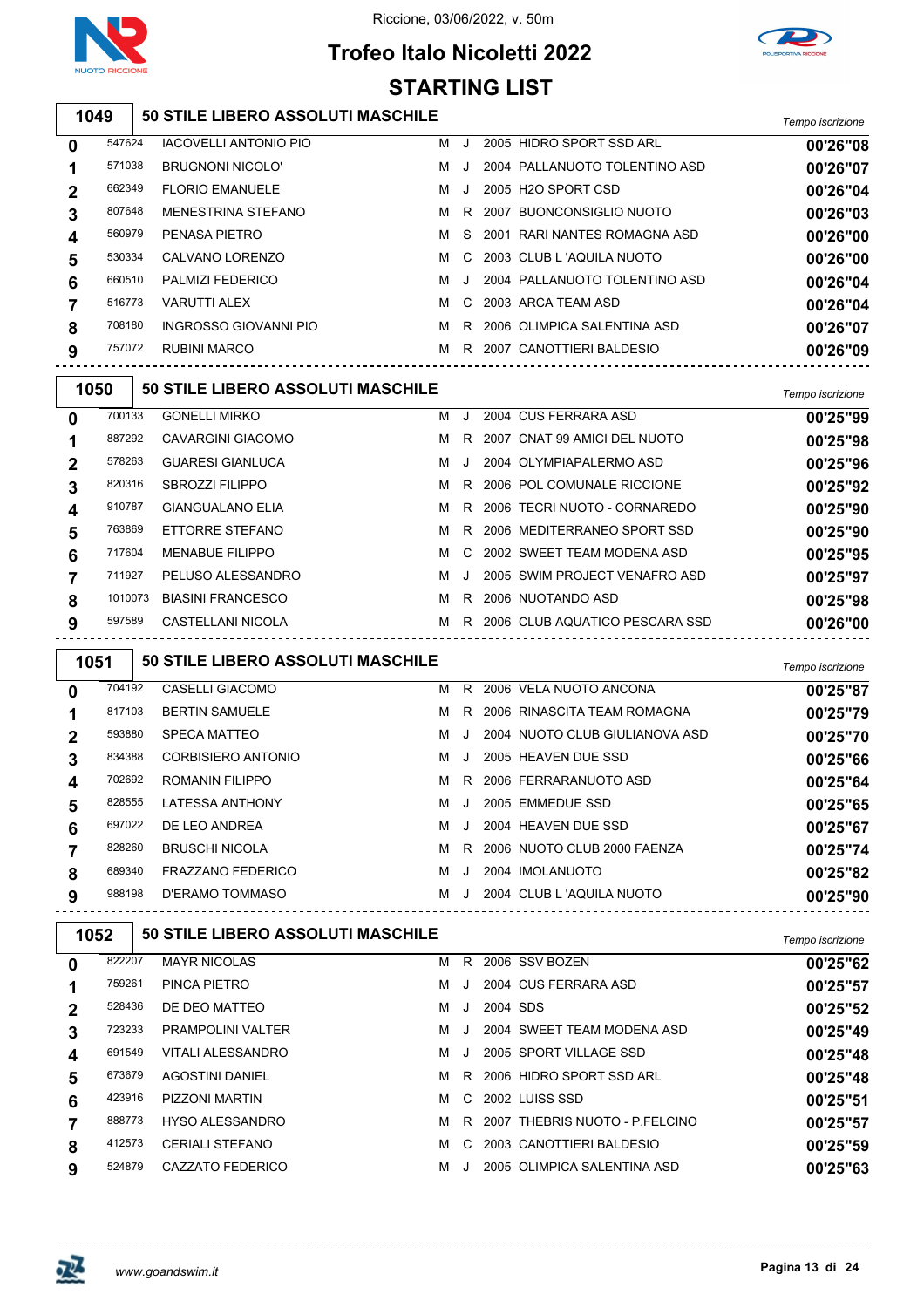

┑

Riccione, 03/06/2022, v. 50m

## **Trofeo Italo Nicoletti 2022 STARTING LIST**



#### **50 STILE LIBERO ASSOLUTI MASCHILE** *Tempo iscrizione*

| 0 | 547624 | <b>IACOVELLI ANTONIO PIO</b> | м | $\cdot$ | 2005 HIDRO SPORT SSD ARL        | 00'26"08 |
|---|--------|------------------------------|---|---------|---------------------------------|----------|
|   | 571038 | <b>BRUGNONI NICOLO'</b>      | м | $\cdot$ | 2004 PALLANUOTO TOLENTINO ASD   | 00'26"07 |
| 2 | 662349 | <b>FLORIO EMANUELE</b>       | м | $\cdot$ | 2005 H <sub>2</sub> O SPORT CSD | 00'26"04 |
| 3 | 807648 | <b>MENESTRINA STEFANO</b>    | м |         | R 2007 BUONCONSIGLIO NUOTO      | 00'26"03 |
| 4 | 560979 | PENASA PIETRO                | м |         | S 2001 RARI NANTES ROMAGNA ASD  | 00'26"00 |
| 5 | 530334 | CALVANO LORENZO              | м |         | C 2003 CLUB L 'AQUILA NUOTO     | 00'26"00 |
| 6 | 660510 | <b>PALMIZI FEDERICO</b>      | м | $\cdot$ | 2004 PALLANUOTO TOLENTINO ASD   | 00'26"04 |
|   | 516773 | <b>VARUTTI ALEX</b>          | м |         | C 2003 ARCA TEAM ASD            | 00'26"04 |
| 8 | 708180 | INGROSSO GIOVANNI PIO        | м | R       | 2006 OLIMPICA SALENTINA ASD     | 00'26"07 |
| 9 | 757072 | <b>RUBINI MARCO</b>          | м |         | R 2007 CANOTTIERI BALDESIO      | 00'26"09 |
|   |        |                              |   |         |                                 |          |

|             | 1050    | 50 STILE LIBERO ASSOLUTI MASCHILE |   |              |                                  | Tempo iscrizione |
|-------------|---------|-----------------------------------|---|--------------|----------------------------------|------------------|
| $\bf{0}$    | 700133  | <b>GONELLI MIRKO</b>              | м | . . 1        | 2004 CUS FERRARA ASD             | 00'25"99         |
|             | 887292  | CAVARGINI GIACOMO                 | м | R.           | 2007 CNAT 99 AMICI DEL NUOTO     | 00'25"98         |
| $\mathbf 2$ | 578263  | <b>GUARESI GIANLUCA</b>           | м | $\cdot$ .    | 2004 OLYMPIAPALERMO ASD          | 00'25"96         |
| 3           | 820316  | <b>SBROZZI FILIPPO</b>            | м | R.           | 2006 POL COMUNALE RICCIONE       | 00'25"92         |
| 4           | 910787  | <b>GIANGUALANO ELIA</b>           | м | R.           | 2006 TECRI NUOTO - CORNAREDO     | 00'25"90         |
| 5           | 763869  | ETTORRE STEFANO                   | м |              | R 2006 MEDITERRANEO SPORT SSD    | 00'25"90         |
| 6           | 717604  | <b>MENABUE FILIPPO</b>            | м | C.           | 2002 SWEET TEAM MODENA ASD       | 00'25"95         |
|             | 711927  | PELUSO ALESSANDRO                 | м | $\mathbf{I}$ | 2005 SWIM PROJECT VENAFRO ASD    | 00'25"97         |
| 8           | 1010073 | <b>BIASINI FRANCESCO</b>          | м | R.           | 2006 NUOTANDO ASD                | 00'25"98         |
| 9           | 597589  | CASTELLANI NICOLA                 | м |              | R 2006 CLUB AQUATICO PESCARA SSD | 00'26"00         |
|             |         |                                   |   |              |                                  |                  |

| 1051           |        | <b>50 STILE LIBERO ASSOLUTI MASCHILE</b> |   |         |                                | Tempo iscrizione |
|----------------|--------|------------------------------------------|---|---------|--------------------------------|------------------|
| 0              | 704192 | <b>CASELLI GIACOMO</b>                   | м | R       | 2006 VELA NUOTO ANCONA         | 00'25"87         |
|                | 817103 | <b>BERTIN SAMUELE</b>                    | м | R       | 2006 RINASCITA TEAM ROMAGNA    | 00'25"79         |
| $\overline{2}$ | 593880 | <b>SPECA MATTEO</b>                      | м |         | 2004 NUOTO CLUB GIULIANOVA ASD | 00'25"70         |
| 3              | 834388 | CORBISIERO ANTONIO                       | м | $\cdot$ | 2005 HEAVEN DUE SSD            | 00'25"66         |
| 4              | 702692 | ROMANIN FILIPPO                          | м | R.      | 2006 FERRARANUOTO ASD          | 00'25"64         |
| 5              | 828555 | <b>LATESSA ANTHONY</b>                   | м | $\cdot$ | 2005 EMMEDUE SSD               | 00'25"65         |
| 6              | 697022 | DE LEO ANDREA                            | м | $\cdot$ | 2004 HEAVEN DUE SSD            | 00'25"67         |
|                | 828260 | <b>BRUSCHI NICOLA</b>                    | м | R       | 2006 NUOTO CLUB 2000 FAENZA    | 00'25"74         |
| 8              | 689340 | <b>FRAZZANO FEDERICO</b>                 | м | $\cdot$ | 2004 IMOLANUOTO                | 00'25"82         |
| 9              | 988198 | D'ERAMO TOMMASO                          | м | J.      | 2004 CLUB L 'AQUILA NUOTO      | 00'25"90         |

| 1052        |        | <b>50 STILE LIBERO ASSOLUTI MASCHILE</b> | Tempo iscrizione         |   |              |          |                                |          |
|-------------|--------|------------------------------------------|--------------------------|---|--------------|----------|--------------------------------|----------|
| 0           | 822207 |                                          | <b>MAYR NICOLAS</b>      | м | R            |          | 2006 SSV BOZEN                 | 00'25"62 |
|             | 759261 |                                          | PINCA PIETRO             | м | $\cdot$      |          | 2004 CUS FERRARA ASD           | 00'25"57 |
| $\mathbf 2$ | 528436 |                                          | DE DEO MATTEO            | м | J.           | 2004 SDS |                                | 00'25"52 |
| 3           | 723233 |                                          | <b>PRAMPOLINI VALTER</b> | м | $\cdot$      |          | 2004 SWEET TEAM MODENA ASD     | 00'25"49 |
| 4           | 691549 |                                          | VITALI ALESSANDRO        | м | $\mathbf{J}$ |          | 2005 SPORT VILLAGE SSD         | 00'25"48 |
| 5           | 673679 |                                          | <b>AGOSTINI DANIEL</b>   | м | R.           |          | 2006 HIDRO SPORT SSD ARL       | 00'25"48 |
| 6           | 423916 |                                          | <b>PIZZONI MARTIN</b>    | м | C.           |          | 2002 LUISS SSD                 | 00'25"51 |
|             | 888773 |                                          | <b>HYSO ALESSANDRO</b>   | м | R.           |          | 2007 THEBRIS NUOTO - P.FELCINO | 00'25"57 |
| 8           | 412573 |                                          | <b>CERIALI STEFANO</b>   | м | C.           |          | 2003 CANOTTIERI BALDESIO       | 00'25"59 |
| 9           | 524879 |                                          | CAZZATO FEDERICO         | м | $\cdot$      |          | 2005 OLIMPICA SALENTINA ASD    | 00'25"63 |

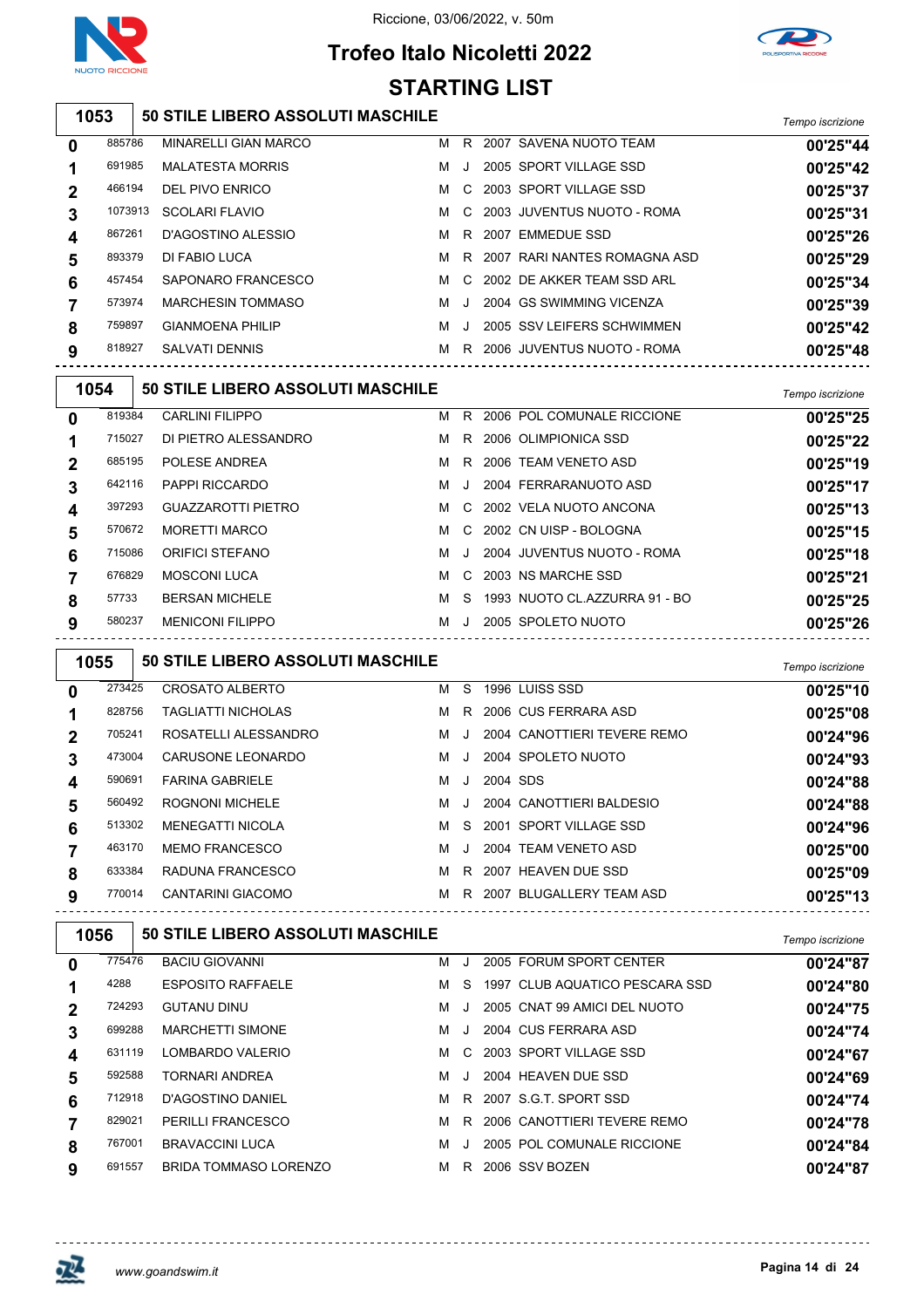

## **Trofeo Italo Nicoletti 2022 STARTING LIST**



#### **50 STILE LIBERO ASSOLUTI MASCHILE** *Tempo iscrizione*

| 0 | 885786  | <b>MINARELLI GIAN MARCO</b> | м | R       | 2007 SAVENA NUOTO TEAM       | 00'25"44 |
|---|---------|-----------------------------|---|---------|------------------------------|----------|
|   | 691985  | <b>MALATESTA MORRIS</b>     | м | J.      | 2005 SPORT VILLAGE SSD       | 00'25"42 |
| 2 | 466194  | DEL PIVO ENRICO             | м | C.      | 2003 SPORT VILLAGE SSD       | 00'25"37 |
| 3 | 1073913 | SCOLARI FLAVIO              | м | C.      | 2003 JUVENTUS NUOTO - ROMA   | 00'25"31 |
|   | 867261  | D'AGOSTINO ALESSIO          | M | R.      | 2007 EMMEDUE SSD             | 00'25"26 |
| 5 | 893379  | DI FABIO LUCA               | м | R       | 2007 RARI NANTES ROMAGNA ASD | 00'25"29 |
| 6 | 457454  | SAPONARO FRANCESCO          | м | C.      | 2002 DE AKKER TEAM SSD ARI   | 00'25"34 |
|   | 573974  | <b>MARCHESIN TOMMASO</b>    | м | $\cdot$ | 2004 GS SWIMMING VICENZA     | 00'25"39 |
| 8 | 759897  | <b>GIANMOENA PHILIP</b>     | м | $\cdot$ | 2005 SSV LEIFERS SCHWIMMEN   | 00'25"42 |
| 9 | 818927  | <b>SALVATI DENNIS</b>       | м | R.      | 2006 JUVENTUS NUOTO - ROMA   | 00'25"48 |
|   |         |                             |   |         |                              |          |

| 1054        |        | 50 STILE LIBERO ASSOLUTI MASCHILE |   |           |                               | Tempo iscrizione |
|-------------|--------|-----------------------------------|---|-----------|-------------------------------|------------------|
| $\bf{0}$    | 819384 | <b>CARLINI FILIPPO</b>            | м | R.        | 2006 POL COMUNALE RICCIONE    | 00'25"25         |
|             | 715027 | DI PIETRO ALESSANDRO              | м |           | R 2006 OLIMPIONICA SSD        | 00'25"22         |
| $\mathbf 2$ | 685195 | POLESE ANDREA                     | M |           | R 2006 TEAM VENETO ASD        | 00'25"19         |
| 3           | 642116 | <b>PAPPI RICCARDO</b>             | м | $\cdot$ . | 2004 FERRARANUOTO ASD         | 00'25"17         |
| 4           | 397293 | <b>GUAZZAROTTI PIETRO</b>         | M |           | C 2002 VELA NUOTO ANCONA      | 00'25"13         |
| 5           | 570672 | <b>MORETTI MARCO</b>              | м |           | C 2002 CN UISP - BOLOGNA      | 00'25"15         |
| 6           | 715086 | ORIFICI STEFANO                   | м | $\Box$    | 2004 JUVENTUS NUOTO - ROMA    | 00'25"18         |
|             | 676829 | <b>MOSCONI LUCA</b>               | м |           | C 2003 NS MARCHE SSD          | 00'25"21         |
| 8           | 57733  | <b>BERSAN MICHELE</b>             | м | S.        | 1993 NUOTO CL.AZZURRA 91 - BO | 00'25"25         |
| 9           | 580237 | <b>MENICONI FILIPPO</b>           | м | $\cdot$ . | 2005 SPOLETO NUOTO            | 00'25"26         |

| 1055        |        | <b>50 STILE LIBERO ASSOLUTI MASCHILE</b> |   |              |          |                             | Tempo iscrizione |
|-------------|--------|------------------------------------------|---|--------------|----------|-----------------------------|------------------|
| $\bf{0}$    | 273425 | <b>CROSATO ALBERTO</b>                   | м | -S           |          | 1996 LUISS SSD              | 00'25"10         |
|             | 828756 | TAGLIATTI NICHOLAS                       | м |              |          | R 2006 CUS FERRARA ASD      | 00'25"08         |
| $\mathbf 2$ | 705241 | ROSATELLI ALESSANDRO                     | M | $\Box$       |          | 2004 CANOTTIERI TEVERE REMO | 00'24"96         |
| 3           | 473004 | <b>CARUSONE LEONARDO</b>                 | M | . J.         |          | 2004 SPOLETO NUOTO          | 00'24"93         |
| 4           | 590691 | <b>FARINA GABRIELE</b>                   | м | J            | 2004 SDS |                             | 00'24"88         |
| 5           | 560492 | <b>ROGNONI MICHELE</b>                   | M | $\mathbf{J}$ |          | 2004 CANOTTIERI BALDESIO    | 00'24"88         |
| 6           | 513302 | <b>MENEGATTI NICOLA</b>                  | M |              |          | S 2001 SPORT VILLAGE SSD    | 00'24"96         |
|             | 463170 | <b>MEMO FRANCESCO</b>                    | м | - J          |          | 2004 TEAM VENETO ASD        | 00'25"00         |
| 8           | 633384 | RADUNA FRANCESCO                         | M |              |          | R 2007 HEAVEN DUE SSD       | 00'25"09         |
| 9           | 770014 | <b>CANTARINI GIACOMO</b>                 | м |              |          | R 2007 BLUGALLERY TEAM ASD  | 00'25"13         |

|      |      |                                                                                        |   |                                   |  | Tempo iscrizione                                                                                                                                                                                                                                                               |
|------|------|----------------------------------------------------------------------------------------|---|-----------------------------------|--|--------------------------------------------------------------------------------------------------------------------------------------------------------------------------------------------------------------------------------------------------------------------------------|
|      |      | <b>BACIU GIOVANNI</b>                                                                  | м |                                   |  | 00'24"87                                                                                                                                                                                                                                                                       |
| 4288 |      | <b>ESPOSITO RAFFAELE</b>                                                               | м | S.                                |  | 00'24"80                                                                                                                                                                                                                                                                       |
|      |      | <b>GUTANU DINU</b>                                                                     | м | $\cdot$ .                         |  | 00'24"75                                                                                                                                                                                                                                                                       |
|      |      | <b>MARCHETTI SIMONE</b>                                                                | м |                                   |  | 00'24"74                                                                                                                                                                                                                                                                       |
|      |      | LOMBARDO VALERIO                                                                       | м |                                   |  | 00'24"67                                                                                                                                                                                                                                                                       |
|      |      | <b>TORNARI ANDREA</b>                                                                  | м |                                   |  | 00'24"69                                                                                                                                                                                                                                                                       |
|      |      | D'AGOSTINO DANIEL                                                                      | м |                                   |  | 00'24"74                                                                                                                                                                                                                                                                       |
|      |      | <b>PERILLI FRANCESCO</b>                                                               | м | R.                                |  | 00'24"78                                                                                                                                                                                                                                                                       |
|      |      | <b>BRAVACCINI LUCA</b>                                                                 | м |                                   |  | 00'24"84                                                                                                                                                                                                                                                                       |
|      |      | <b>BRIDA TOMMASO LORENZO</b>                                                           | м | R                                 |  | 00'24"87                                                                                                                                                                                                                                                                       |
|      | 1056 | 775476<br>724293<br>699288<br>631119<br>592588<br>712918<br>829021<br>767001<br>691557 |   | 50 STILE LIBERO ASSOLUTI MASCHILE |  | 2005 FORUM SPORT CENTER<br>1997 CLUB AQUATICO PESCARA SSD<br>2005 CNAT 99 AMICI DEL NUOTO<br>2004 CUS FERRARA ASD<br>C 2003 SPORT VILLAGE SSD<br>2004 HEAVEN DUE SSD<br>R 2007 S.G.T. SPORT SSD<br>2006 CANOTTIERI TEVERE REMO<br>2005 POL COMUNALE RICCIONE<br>2006 SSV BOZEN |

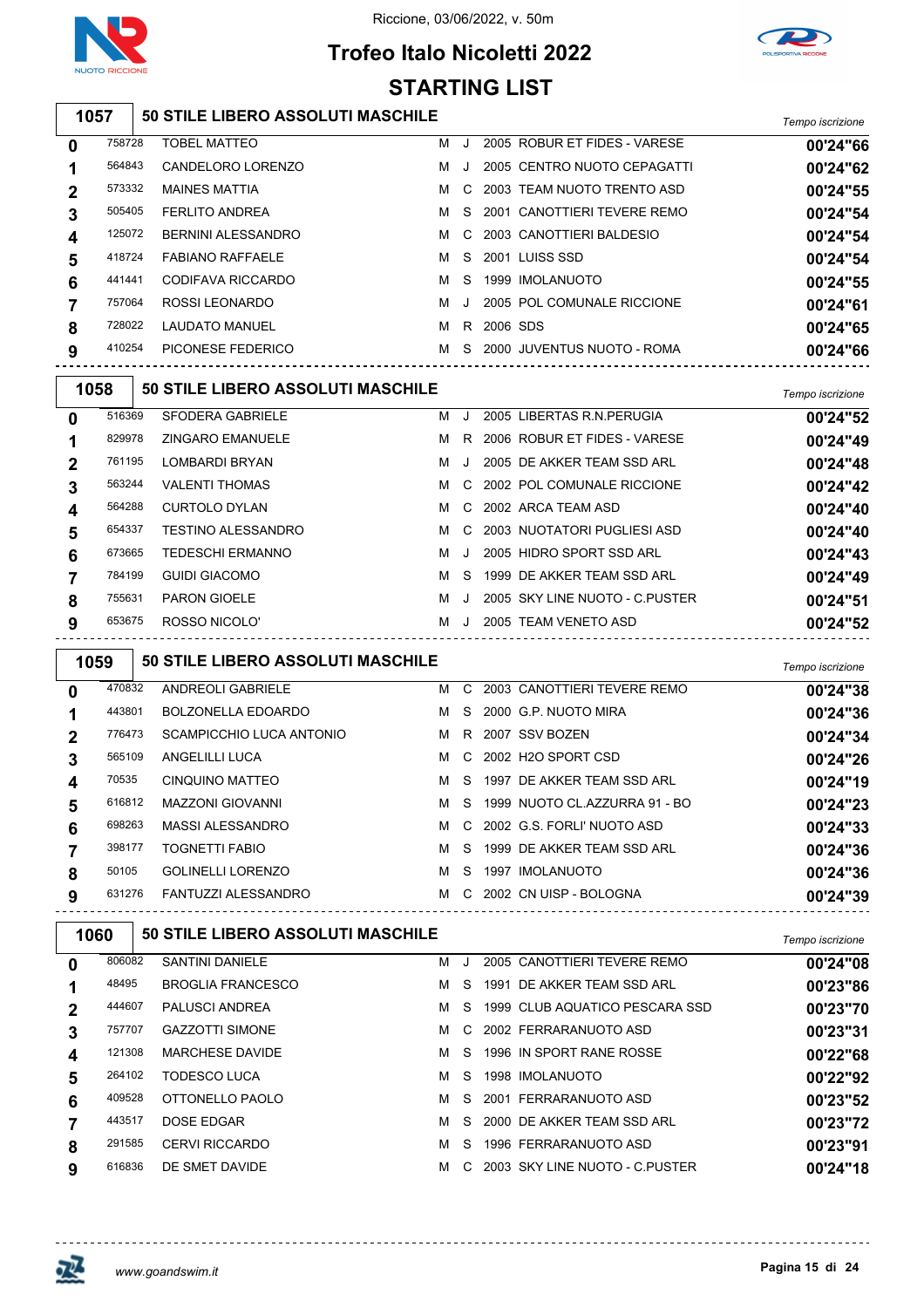

## **Trofeo Italo Nicoletti 2022 STARTING LIST**

#### **50 STILE LIBERO ASSOLUTI MASCHILE** *Tempo iscrizione*

| 0           | 758728 | <b>TOBEL MATTEO</b>     | м | $\cdot$ |          | 2005 ROBUR ET FIDES - VARESE | 00'24"66 |
|-------------|--------|-------------------------|---|---------|----------|------------------------------|----------|
|             | 564843 | CANDELORO LORENZO       | м |         |          | 2005 CENTRO NUOTO CEPAGATTI  | 00'24"62 |
| $\mathbf 2$ | 573332 | <b>MAINES MATTIA</b>    | м | C.      |          | 2003 TEAM NUOTO TRENTO ASD   | 00'24"55 |
| 3           | 505405 | <b>FERLITO ANDREA</b>   | м | S.      |          | 2001 CANOTTIERI TEVERE REMO  | 00'24"54 |
| 4           | 125072 | BERNINI ALESSANDRO      | м | C.      |          | 2003 CANOTTIERI BALDESIO     | 00'24"54 |
| 5           | 418724 | <b>FABIANO RAFFAELE</b> | м | S.      |          | 2001 LUISS SSD               | 00'24"54 |
| 6           | 441441 | CODIFAVA RICCARDO       | м | S.      |          | 1999 IMOLANUOTO              | 00'24"55 |
|             | 757064 | ROSSI LEONARDO          | м | J.      |          | 2005 POL COMUNALE RICCIONE   | 00'24"61 |
| 8           | 728022 | <b>LAUDATO MANUEL</b>   | м | R.      | 2006 SDS |                              | 00'24"65 |
| 9           | 410254 | PICONESE FEDERICO       | м | S.      |          | 2000 JUVENTUS NUOTO - ROMA   | 00'24"66 |
|             |        |                         |   |         |          |                              |          |

| 1058           |        | 50 STILE LIBERO ASSOLUTI MASCHILE |   |              |                                | Tempo iscrizione |
|----------------|--------|-----------------------------------|---|--------------|--------------------------------|------------------|
| $\bf{0}$       | 516369 | SFODERA GABRIELE                  | м | J.           | 2005 LIBERTAS R.N. PERUGIA     | 00'24"52         |
|                | 829978 | <b>ZINGARO EMANUELE</b>           | м | R.           | 2006 ROBUR ET FIDES - VARESE   | 00'24"49         |
| $\overline{2}$ | 761195 | <b>LOMBARDI BRYAN</b>             | м | $\mathbf{J}$ | 2005 DE AKKER TEAM SSD ARL     | 00'24"48         |
| 3              | 563244 | <b>VALENTI THOMAS</b>             | м |              | C 2002 POL COMUNALE RICCIONE   | 00'24"42         |
| 4              | 564288 | CURTOLO DYLAN                     | м |              | C 2002 ARCA TEAM ASD           | 00'24"40         |
| 5              | 654337 | <b>TESTINO ALESSANDRO</b>         | м |              | C 2003 NUOTATORI PUGLIESI ASD  | 00'24"40         |
| 6              | 673665 | <b>TEDESCHI ERMANNO</b>           | м | J            | 2005 HIDRO SPORT SSD ARL       | 00'24"43         |
|                | 784199 | <b>GUIDI GIACOMO</b>              | м | S.           | 1999 DE AKKER TEAM SSD ARL     | 00'24"49         |
| 8              | 755631 | <b>PARON GIOELE</b>               | м |              | 2005 SKY LINE NUOTO - C PUSTER | 00'24"51         |
| 9              | 653675 | ROSSO NICOLO'                     | м | $\cdot$      | 2005 TEAM VENETO ASD           | 00'24"52         |
|                |        |                                   |   |              |                                |                  |

| 1059           |        | <b>50 STILE LIBERO ASSOLUTI MASCHILE</b> |   |     |                                 | Tempo iscrizione |
|----------------|--------|------------------------------------------|---|-----|---------------------------------|------------------|
| $\bf{0}$       | 470832 | <b>ANDREOLI GABRIELE</b>                 |   |     | M C 2003 CANOTTIERI TEVERE REMO | 00'24"38         |
|                | 443801 | <b>BOLZONELLA EDOARDO</b>                |   |     | M S 2000 G.P. NUOTO MIRA        | 00'24"36         |
| $\overline{2}$ | 776473 | SCAMPICCHIO LUCA ANTONIO                 |   |     | M R 2007 SSV BOZEN              | 00'24"34         |
| 3              | 565109 | ANGELILLI LUCA                           |   |     | M C 2002 H2O SPORT CSD          | 00'24"26         |
| 4              | 70535  | <b>CINQUINO MATTEO</b>                   |   |     | M S 1997 DE AKKER TEAM SSD ARL  | 00'24"19         |
| 5              | 616812 | <b>MAZZONI GIOVANNI</b>                  | M |     | S 1999 NUOTO CL.AZZURRA 91 - BO | 00'24"23         |
| 6              | 698263 | MASSI ALESSANDRO                         | M |     | C 2002 G.S. FORLI' NUOTO ASD    | 00'24"33         |
|                | 398177 | <b>TOGNETTI FABIO</b>                    | м | -S  | 1999 DE AKKER TEAM SSD ARL      | 00'24"36         |
| 8              | 50105  | <b>GOLINELLI LORENZO</b>                 | M | -S. | 1997 IMOLANUOTO                 | 00'24"36         |
| 9              | 631276 | FANTUZZI ALESSANDRO                      | м | C.  | 2002 CN UISP - BOLOGNA          | 00'24"39         |
|                |        |                                          |   |     |                                 |                  |

| 1060         |        | <b>50 STILE LIBERO ASSOLUTI MASCHILE</b> | Tempo iscrizione |              |                                |          |
|--------------|--------|------------------------------------------|------------------|--------------|--------------------------------|----------|
| $\mathbf{0}$ | 806082 | <b>SANTINI DANIELE</b>                   | м                | $\cdot$      | 2005 CANOTTIERI TEVERE REMO    | 00'24"08 |
|              | 48495  | <b>BROGLIA FRANCESCO</b>                 | м                | S.           | DE AKKER TEAM SSD ARL<br>1991  | 00'23"86 |
| $\mathbf 2$  | 444607 | <b>PALUSCI ANDREA</b>                    | м                | S.           | 1999 CLUB AQUATICO PESCARA SSD | 00'23"70 |
| 3            | 757707 | <b>GAZZOTTI SIMONE</b>                   | м                | $\mathbf{C}$ | 2002 FERRARANUOTO ASD          | 00'23"31 |
| 4            | 121308 | <b>MARCHESE DAVIDE</b>                   | м                | S.           | 1996 IN SPORT RANE ROSSE       | 00'22"68 |
| 5            | 264102 | TODESCO LUCA                             | м                | S.           | 1998 IMOLANUOTO                | 00'22"92 |
| 6            | 409528 | OTTONELLO PAOLO                          | м                | S.           | 2001 FERRARANUOTO ASD          | 00'23"52 |
|              | 443517 | <b>DOSE EDGAR</b>                        | м                | S.           | 2000 DE AKKER TEAM SSD ARL     | 00'23"72 |
| 8            | 291585 | <b>CERVI RICCARDO</b>                    | м                | S.           | 1996 FERRARANUOTO ASD          | 00'23"91 |
| 9            | 616836 | DE SMET DAVIDE                           | м                | $\mathbf{C}$ | 2003 SKY LINE NUOTO - C PUSTER | 00'24"18 |

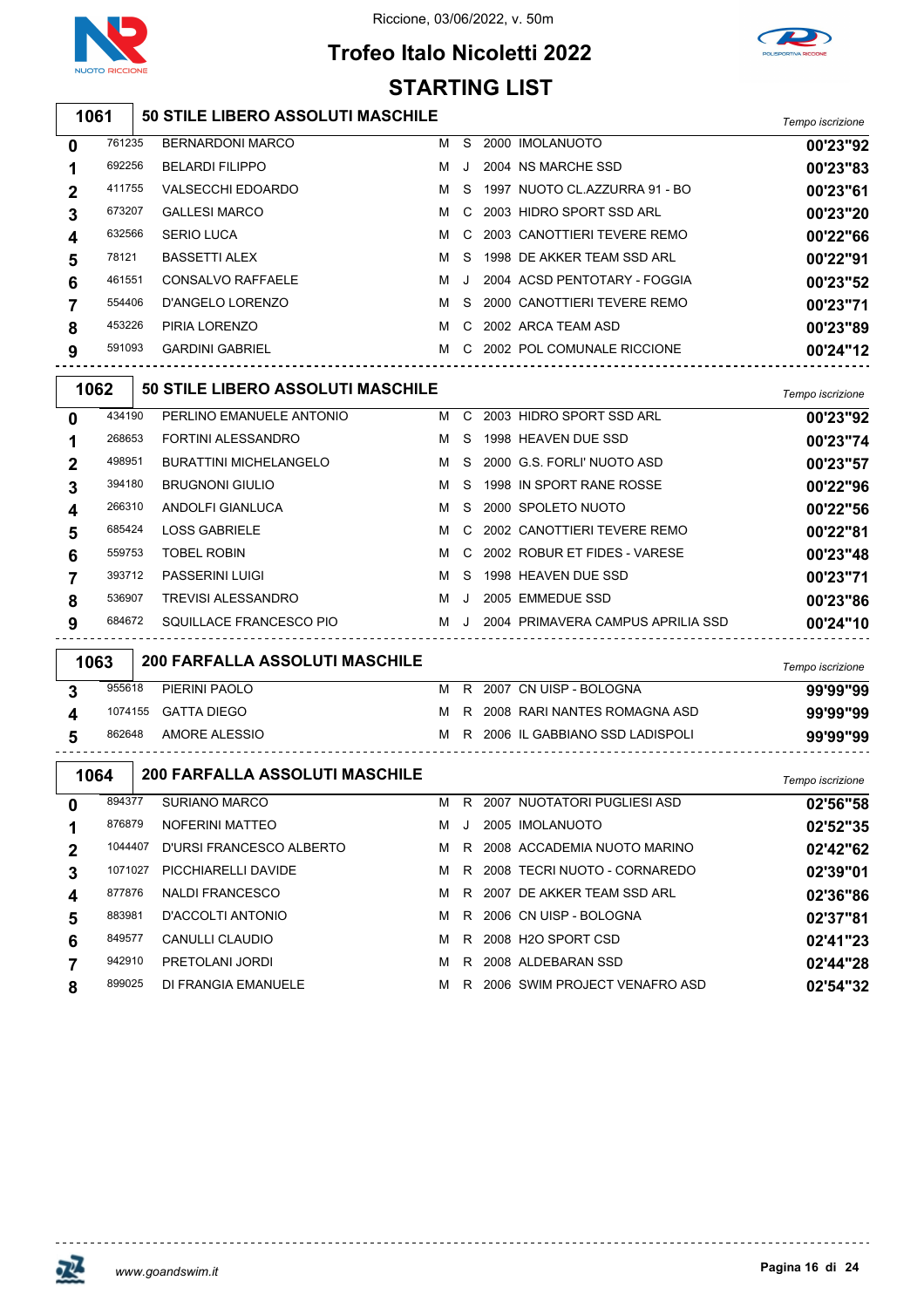

## **Trofeo Italo Nicoletti 2022 STARTING LIST**



#### **50 STILE LIBERO ASSOLUTI MASCHILE** *Tempo iscrizione*

| 0 | 761235 | <b>BERNARDONI MARCO</b>  | м | S       | 2000 IMOLANUOTO                | 00'23"92 |
|---|--------|--------------------------|---|---------|--------------------------------|----------|
|   | 692256 | <b>BELARDI FILIPPO</b>   | м | J.      | 2004 NS MARCHE SSD             | 00'23"83 |
| 2 | 411755 | <b>VALSECCHI EDOARDO</b> | м | S.      | 1997 NUOTO CL. AZZURRA 91 - BO | 00'23"61 |
| 3 | 673207 | <b>GALLESI MARCO</b>     | м | C.      | 2003 HIDRO SPORT SSD ARL       | 00'23"20 |
| 4 | 632566 | <b>SERIO LUCA</b>        | M | C.      | 2003 CANOTTIERI TEVERE REMO    | 00'22"66 |
| 5 | 78121  | <b>BASSETTI ALEX</b>     | м | S.      | 1998 DE AKKER TEAM SSD ARL     | 00'22"91 |
| 6 | 461551 | CONSALVO RAFFAELE        | м | $\cdot$ | 2004 ACSD PENTOTARY - FOGGIA   | 00'23"52 |
|   | 554406 | D'ANGELO LORENZO         | м | S.      | 2000 CANOTTIERI TEVERE REMO    | 00'23"71 |
| 8 | 453226 | PIRIA LORENZO            | м | C.      | 2002 ARCA TEAM ASD             | 00'23"89 |
| 9 | 591093 | <b>GARDINI GABRIEL</b>   | м | C.      | 2002 POL COMUNALE RICCIONE     | 00'24"12 |
|   |        |                          |   |         |                                |          |

| 1062 |        | 50 STILE LIBERO ASSOLUTI MASCHILE |   |       |                                   | Tempo iscrizione |
|------|--------|-----------------------------------|---|-------|-----------------------------------|------------------|
| 0    | 434190 | PERLINO EMANUELE ANTONIO          | м | C.    | 2003 HIDRO SPORT SSD ARL          | 00'23"92         |
|      | 268653 | FORTINI ALESSANDRO                | м | S.    | 1998 HEAVEN DUE SSD               | 00'23"74         |
| 2    | 498951 | <b>BURATTINI MICHELANGELO</b>     | м | S.    | 2000 G.S. FORLI' NUOTO ASD        | 00'23"57         |
| 3    | 394180 | <b>BRUGNONI GIULIO</b>            | м | S.    | 1998 IN SPORT RANE ROSSE          | 00'22"96         |
| 4    | 266310 | ANDOLFI GIANLUCA                  | м | S.    | 2000 SPOLETO NUOTO                | 00'22"56         |
| 5    | 685424 | <b>LOSS GABRIELE</b>              | м |       | C 2002 CANOTTIFRI TEVERE REMO     | 00'22"81         |
| 6    | 559753 | <b>TOBEL ROBIN</b>                | м |       | C 2002 ROBUR ET FIDES - VARESE    | 00'23"48         |
|      | 393712 | <b>PASSERINI LUIGI</b>            | м | S.    | 1998 HEAVEN DUE SSD               | 00'23"71         |
| 8    | 536907 | <b>TREVISI ALESSANDRO</b>         | м |       | 2005 EMMEDUE SSD                  | 00'23"86         |
| 9    | 684672 | SQUILLACE FRANCESCO PIO           | м | . J . | 2004 PRIMAVERA CAMPUS APRILIA SSD | 00'24"10         |
|      |        |                                   |   |       |                                   |                  |

| 1063   | <b>200 FARFALLA ASSOLUTI MASCHILE</b> |  |                                    | Tempo iscrizione |
|--------|---------------------------------------|--|------------------------------------|------------------|
| 955618 | PIERINI PAOLO                         |  | M R 2007 CN UISP - BOLOGNA         | 99'99"99         |
|        | 1074155 GATTA DIEGO                   |  | M R 2008 RARI NANTES ROMAGNA ASD   | 99'99"99         |
| 862648 | AMORE ALESSIO                         |  | M R 2006 IL GABBIANO SSD LADISPOLI | 99'99"99         |
|        |                                       |  |                                    |                  |

| 1064        |         | 200 FARFALLA ASSOLUTI MASCHILE |   |         |                               | Tempo iscrizione |
|-------------|---------|--------------------------------|---|---------|-------------------------------|------------------|
| 0           | 894377  | SURIANO MARCO                  | м | R.      | 2007 NUOTATORI PUGLIESI ASD   | 02'56"58         |
|             | 876879  | NOFERINI MATTEO                | м | $\cdot$ | 2005 IMOLANUOTO               | 02'52"35         |
| $\mathbf 2$ | 1044407 | D'URSI FRANCESCO ALBERTO       | м | R.      | 2008 ACCADEMIA NUOTO MARINO   | 02'42"62         |
| 3           | 1071027 | PICCHIARELLI DAVIDE            | м | R.      | 2008 TECRI NUOTO - CORNAREDO  | 02'39"01         |
| 4           | 877876  | <b>NALDI FRANCESCO</b>         | м | R       | 2007 DE AKKER TEAM SSD ARL    | 02'36"86         |
| 5           | 883981  | D'ACCOLTI ANTONIO              | м | R.      | 2006 CN UISP - BOLOGNA        | 02'37"81         |
| 6           | 849577  | CANULLI CLAUDIO                | м | R.      | 2008 H2O SPORT CSD            | 02'41"23         |
|             | 942910  | PRETOLANI JORDI                | м | R       | 2008 ALDEBARAN SSD            | 02'44"28         |
| 8           | 899025  | DI FRANGIA EMANUELE            | м | R       | 2006 SWIM PROJECT VENAFRO ASD | 02'54"32         |

 $\Gamma$ 

<u>-------------</u>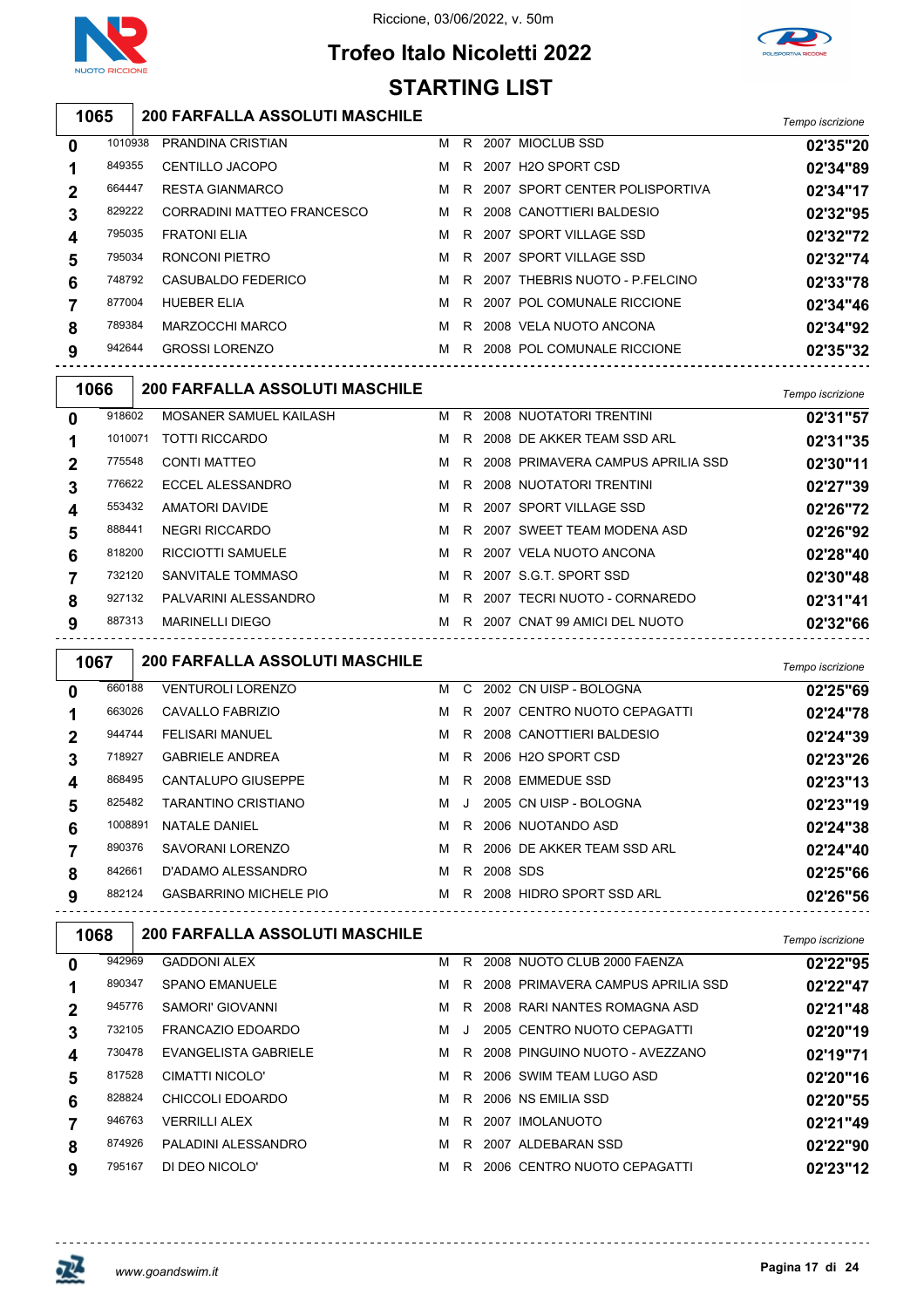

## **Trofeo Italo Nicoletti 2022 STARTING LIST**



#### **200 FARFALLA ASSOLUTI MASCHILE** *Tempo iscrizione*

| 0           | 1010938 | PRANDINA CRISTIAN          | м | R  | 2007 MIOCLUB SSD               | 02'35"20 |
|-------------|---------|----------------------------|---|----|--------------------------------|----------|
|             | 849355  | CENTILLO JACOPO            | м | R  | 2007 H2O SPORT CSD             | 02'34"89 |
| $\mathbf 2$ | 664447  | <b>RESTA GIANMARCO</b>     | м | R  | 2007 SPORT CENTER POLISPORTIVA | 02'34"17 |
| 3           | 829222  | CORRADINI MATTEO FRANCESCO | M | R  | 2008 CANOTTIERI BALDESIO       | 02'32"95 |
| 4           | 795035  | <b>FRATONI ELIA</b>        | м | R. | 2007 SPORT VILLAGE SSD         | 02'32"72 |
| 5           | 795034  | RONCONI PIETRO             | м | R  | 2007 SPORT VILLAGE SSD         | 02'32"74 |
| 6           | 748792  | CASUBALDO FEDERICO         | м | R  | 2007 THEBRIS NUOTO - P.FELCINO | 02'33"78 |
|             | 877004  | <b>HUEBER ELIA</b>         | м | R  | 2007 POL COMUNALE RICCIONE     | 02'34"46 |
| 8           | 789384  | MARZOCCHI MARCO            | м | R  | 2008 VELA NUOTO ANCONA         | 02'34"92 |
| 9           | 942644  | <b>GROSSI LORENZO</b>      | м | R  | 2008 POL COMUNALE RICCIONE     | 02'35"32 |
|             |         |                            |   |    |                                |          |

| 1066        |         | <b>200 FARFALLA ASSOLUTI MASCHILE</b> |   |    |                                   | Tempo iscrizione |
|-------------|---------|---------------------------------------|---|----|-----------------------------------|------------------|
| $\bf{0}$    | 918602  | MOSANER SAMUEL KAILASH                | м | R. | 2008 NUOTATORI TRENTINI           | 02'31"57         |
|             | 1010071 | <b>TOTTI RICCARDO</b>                 | м |    | R 2008 DE AKKER TEAM SSD ARL      | 02'31"35         |
| $\mathbf 2$ | 775548  | <b>CONTI MATTEO</b>                   | м | R. | 2008 PRIMAVERA CAMPUS APRILIA SSD | 02'30"11         |
| 3           | 776622  | ECCEL ALESSANDRO                      | м |    | R 2008 NUOTATORI TRENTINI         | 02'27"39         |
| 4           | 553432  | AMATORI DAVIDE                        | M |    | R 2007 SPORT VILLAGE SSD          | 02'26"72         |
| 5           | 888441  | <b>NEGRI RICCARDO</b>                 | м |    | R 2007 SWEET TEAM MODENA ASD      | 02'26"92         |
| 6           | 818200  | <b>RICCIOTTI SAMUELE</b>              | м |    | R 2007 VELA NUOTO ANCONA          | 02'28"40         |
|             | 732120  | SANVITALE TOMMASO                     | м |    | R 2007 S.G.T. SPORT SSD           | 02'30"48         |
| 8           | 927132  | PALVARINI ALESSANDRO                  | M |    | R 2007 TECRI NUOTO - CORNAREDO    | 02'31"41         |
| 9           | 887313  | <b>MARINELLI DIEGO</b>                | м | R. | 2007 CNAT 99 AMICI DEL NUOTO      | 02'32"66         |
|             |         |                                       |   |    |                                   |                  |

| 1067 |         | <b>200 FARFALLA ASSOLUTI MASCHILE</b> |   |    |          |                               | Tempo iscrizione |
|------|---------|---------------------------------------|---|----|----------|-------------------------------|------------------|
| 0    | 660188  | <b>VENTUROLI LORENZO</b>              | м |    |          | C 2002 CN UISP - BOLOGNA      | 02'25"69         |
|      | 663026  | CAVALLO FABRIZIO                      | м |    |          | R 2007 CENTRO NUOTO CEPAGATTI | 02'24"78         |
| 2    | 944744  | <b>FELISARI MANUEL</b>                | м | R. |          | 2008 CANOTTIERI BALDESIO      | 02'24"39         |
| 3    | 718927  | <b>GABRIELE ANDREA</b>                | м |    |          | R 2006 H2O SPORT CSD          | 02'23"26         |
| 4    | 868495  | CANTALUPO GIUSEPPE                    | м | R  |          | 2008 EMMEDUE SSD              | 02'23"13         |
| 5    | 825482  | TARANTINO CRISTIANO                   | м | J  |          | 2005 CN UISP - BOLOGNA        | 02'23"19         |
| 6    | 1008891 | NATALE DANIEL                         | M |    |          | R 2006 NUOTANDO ASD           | 02'24"38         |
|      | 890376  | SAVORANI LORENZO                      | м | R. |          | 2006 DE AKKER TEAM SSD ARL    | 02'24"40         |
| 8    | 842661  | D'ADAMO ALESSANDRO                    | м | R. | 2008 SDS |                               | 02'25"66         |
| 9    | 882124  | <b>GASBARRINO MICHELE PIO</b>         | M |    |          | R 2008 HIDRO SPORT SSD ARL    | 02'26"56         |

| 1068        |        | <b>200 FARFALLA ASSOLUTI MASCHILE</b> |   |         |      |                                   | Tempo iscrizione |
|-------------|--------|---------------------------------------|---|---------|------|-----------------------------------|------------------|
| 0           | 942969 | <b>GADDONI ALEX</b>                   | м | R.      |      | 2008 NUOTO CLUB 2000 FAENZA       | 02'22"95         |
|             | 890347 | <b>SPANO EMANUELE</b>                 | м | R.      |      | 2008 PRIMAVERA CAMPUS APRILIA SSD | 02'22"47         |
| $\mathbf 2$ | 945776 | SAMORI' GIOVANNI                      | м | R.      |      | 2008 RARI NANTES ROMAGNA ASD      | 02'21"48         |
| 3           | 732105 | FRANCAZIO EDOARDO                     | м | $\cdot$ |      | 2005 CENTRO NUOTO CEPAGATTI       | 02'20"19         |
| 4           | 730478 | EVANGELISTA GABRIELE                  | м | R.      |      | 2008 PINGUINO NUOTO - AVEZZANO    | 02'19"71         |
| 5           | 817528 | CIMATTI NICOLO'                       | м | R.      |      | 2006 SWIM TEAM LUGO ASD           | 02'20"16         |
| 6           | 828824 | CHICCOLI EDOARDO                      | м | R.      |      | 2006 NS EMILIA SSD                | 02'20"55         |
|             | 946763 | <b>VERRILLI ALEX</b>                  | м | R.      | 2007 | <b>IMOLANUOTO</b>                 | 02'21"49         |
| 8           | 874926 | PALADINI ALESSANDRO                   | M | R.      |      | 2007 ALDEBARAN SSD                | 02'22"90         |
| 9           | 795167 | DI DEO NICOLO'                        | м | R.      |      | 2006 CENTRO NUOTO CEPAGATTI       | 02'23"12         |

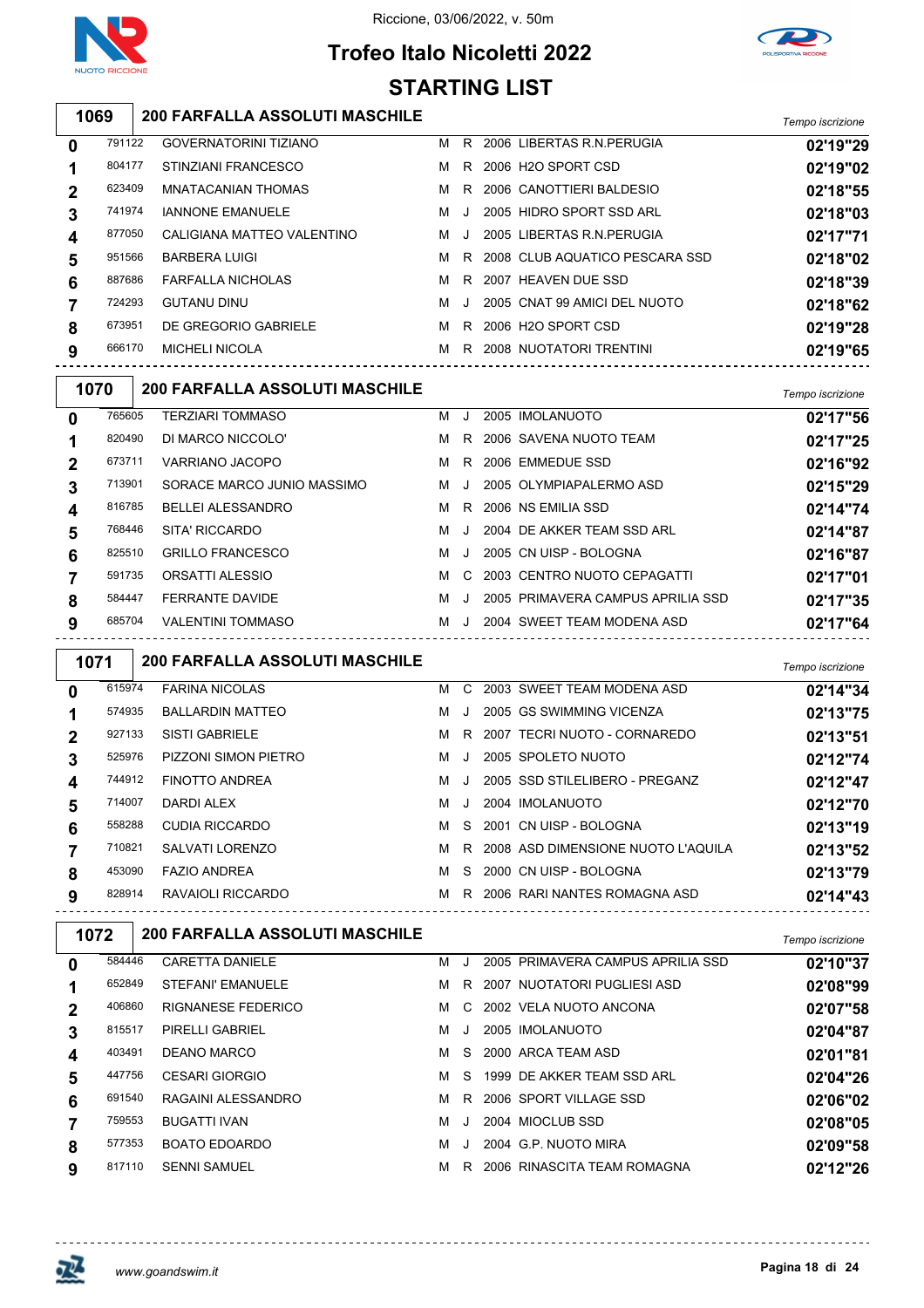



## **Trofeo Italo Nicoletti 2022 STARTING LIST**

**200 FARFALLA ASSOLUTI MASCHILE** *Tempo iscrizione*

| $\mathbf 0$      | 791122 | <b>GOVERNATORINI TIZIANO</b> | м | R.     | 2006 LIBERTAS R.N. PERUGIA     | 02'19"29 |
|------------------|--------|------------------------------|---|--------|--------------------------------|----------|
| 1                | 804177 | STINZIANI FRANCESCO          | м | R.     | 2006 H2O SPORT CSD             | 02'19"02 |
| $\mathbf 2$      | 623409 | MNATACANIAN THOMAS           | м | R.     | 2006 CANOTTIERI BALDESIO       | 02'18"55 |
| 3                | 741974 | <b>IANNONE EMANUELE</b>      | м | J.     | 2005 HIDRO SPORT SSD ARL       | 02'18"03 |
| $\boldsymbol{4}$ | 877050 | CALIGIANA MATTEO VALENTINO   | M | . J. . | 2005 LIBERTAS R.N. PERUGIA     | 02'17"71 |
| 5                | 951566 | <b>BARBERA LUIGI</b>         | м | R.     | 2008 CLUB AQUATICO PESCARA SSD | 02'18"02 |
| 6                | 887686 | <b>FARFALLA NICHOLAS</b>     | м | R.     | 2007 HEAVEN DUE SSD            | 02'18"39 |
| 7                | 724293 | <b>GUTANU DINU</b>           | м |        | 2005 CNAT 99 AMICI DEL NUOTO   | 02'18"62 |
| 8                | 673951 | DE GREGORIO GABRIELE         | м | R.     | 2006 H2O SPORT CSD             | 02'19"28 |
| 9                | 666170 | <b>MICHELI NICOLA</b>        | м | R.     | 2008 NUOTATORI TRENTINI        | 02'19"65 |
|                  |        |                              |   |        |                                |          |

| 1070         |        | <b>200 FARFALLA ASSOLUTI MASCHILE</b> |   |              |                                   | Tempo iscrizione |
|--------------|--------|---------------------------------------|---|--------------|-----------------------------------|------------------|
| $\mathbf{0}$ | 765605 | <b>TERZIARI TOMMASO</b>               | м | . J          | 2005 IMOLANUOTO                   | 02'17"56         |
| 1            | 820490 | DI MARCO NICCOLO'                     | м |              | R 2006 SAVENA NUOTO TEAM          | 02'17"25         |
| $\mathbf{2}$ | 673711 | VARRIANO JACOPO                       | м | R            | 2006 EMMEDUE SSD                  | 02'16"92         |
| 3            | 713901 | SORACE MARCO JUNIO MASSIMO            | м | $\mathbf{J}$ | 2005 OLYMPIAPALERMO ASD           | 02'15"29         |
| 4            | 816785 | <b>BELLEI ALESSANDRO</b>              | м |              | R 2006 NS EMILIA SSD              | 02'14"74         |
| 5            | 768446 | SITA' RICCARDO                        | м | J.           | 2004 DE AKKER TEAM SSD ARL        | 02'14"87         |
| 6            | 825510 | <b>GRILLO FRANCESCO</b>               | м | $\mathbf{J}$ | 2005 CN UISP - BOLOGNA            | 02'16"87         |
|              | 591735 | ORSATTI ALESSIO                       | м |              | C 2003 CENTRO NUOTO CEPAGATTI     | 02'17"01         |
| 8            | 584447 | <b>FERRANTE DAVIDE</b>                | м | $\cdot$      | 2005 PRIMAVERA CAMPUS APRILIA SSD | 02'17"35         |
| 9            | 685704 | <b>VALENTINI TOMMASO</b>              | м |              | 2004 SWEET TEAM MODENA ASD        | 02'17"64         |
|              |        |                                       |   |              |                                   |                  |

| 1071         |        | <b>200 FARFALLA ASSOLUTI MASCHILE</b> |   |           |                                      | Tempo iscrizione |
|--------------|--------|---------------------------------------|---|-----------|--------------------------------------|------------------|
| $\mathbf{0}$ | 615974 | <b>FARINA NICOLAS</b>                 | M |           | C 2003 SWEET TEAM MODENA ASD         | 02'14"34         |
|              | 574935 | <b>BALLARDIN MATTEO</b>               | м | J         | 2005 GS SWIMMING VICENZA             | 02'13"75         |
|              | 927133 | <b>SISTI GABRIELE</b>                 | м |           | R 2007 TECRI NUOTO - CORNAREDO       | 02'13"51         |
| 3            | 525976 | PIZZONI SIMON PIETRO                  | м | $\cdot$   | 2005 SPOLETO NUOTO                   | 02'12"74         |
| 4            | 744912 | <b>FINOTTO ANDREA</b>                 | м | $\Box$    | 2005 SSD STILELIBERO - PREGANZ       | 02'12"47         |
| 5            | 714007 | DARDI ALEX                            | м | $\cdot$ . | 2004 IMOLANUOTO                      | 02'12"70         |
| 6            | 558288 | <b>CUDIA RICCARDO</b>                 | м |           | S 2001 CN UISP - BOLOGNA             | 02'13"19         |
|              | 710821 | SALVATI LORENZO                       | M |           | R 2008 ASD DIMENSIONE NUOTO L'AQUILA | 02'13"52         |
| 8            | 453090 | <b>FAZIO ANDREA</b>                   | м |           | S 2000 CN UISP - BOLOGNA             | 02'13"79         |
| 9            | 828914 | RAVAIOLI RICCARDO                     | м |           | R 2006 RARI NANTES ROMAGNA ASD       | 02'14"43         |

| 1072        |        | <b>200 FARFALLA ASSOLUTI MASCHILE</b> |   |         |                                   | Tempo iscrizione |
|-------------|--------|---------------------------------------|---|---------|-----------------------------------|------------------|
| $\mathbf 0$ | 584446 | <b>CARETTA DANIELE</b>                | м |         | 2005 PRIMAVERA CAMPUS APRILIA SSD | 02'10"37         |
|             | 652849 | STEFANI' EMANUELE                     | м | R.      | 2007 NUOTATORI PUGLIESI ASD       | 02'08"99         |
| $\mathbf 2$ | 406860 | RIGNANESE FEDERICO                    | м | C.      | 2002 VELA NUOTO ANCONA            | 02'07"58         |
| 3           | 815517 | PIRELLI GABRIEL                       | м | $\cdot$ | 2005 IMOLANUOTO                   | 02'04"87         |
| 4           | 403491 | DEANO MARCO                           | м | S.      | 2000 ARCA TEAM ASD                | 02'01"81         |
| 5           | 447756 | <b>CESARI GIORGIO</b>                 | м | S.      | 1999 DE AKKER TEAM SSD ARL        | 02'04"26         |
| 6           | 691540 | RAGAINI ALESSANDRO                    | м | R       | 2006 SPORT VILLAGE SSD            | 02'06"02         |
|             | 759553 | <b>BUGATTI IVAN</b>                   | м |         | 2004 MIOCLUB SSD                  | 02'08"05         |
| 8           | 577353 | <b>BOATO EDOARDO</b>                  | м | $\cdot$ | 2004 G.P. NUOTO MIRA              | 02'09"58         |
| 9           | 817110 | <b>SENNI SAMUEL</b>                   | м | R       | 2006 RINASCITA TEAM ROMAGNA       | 02'12"26         |

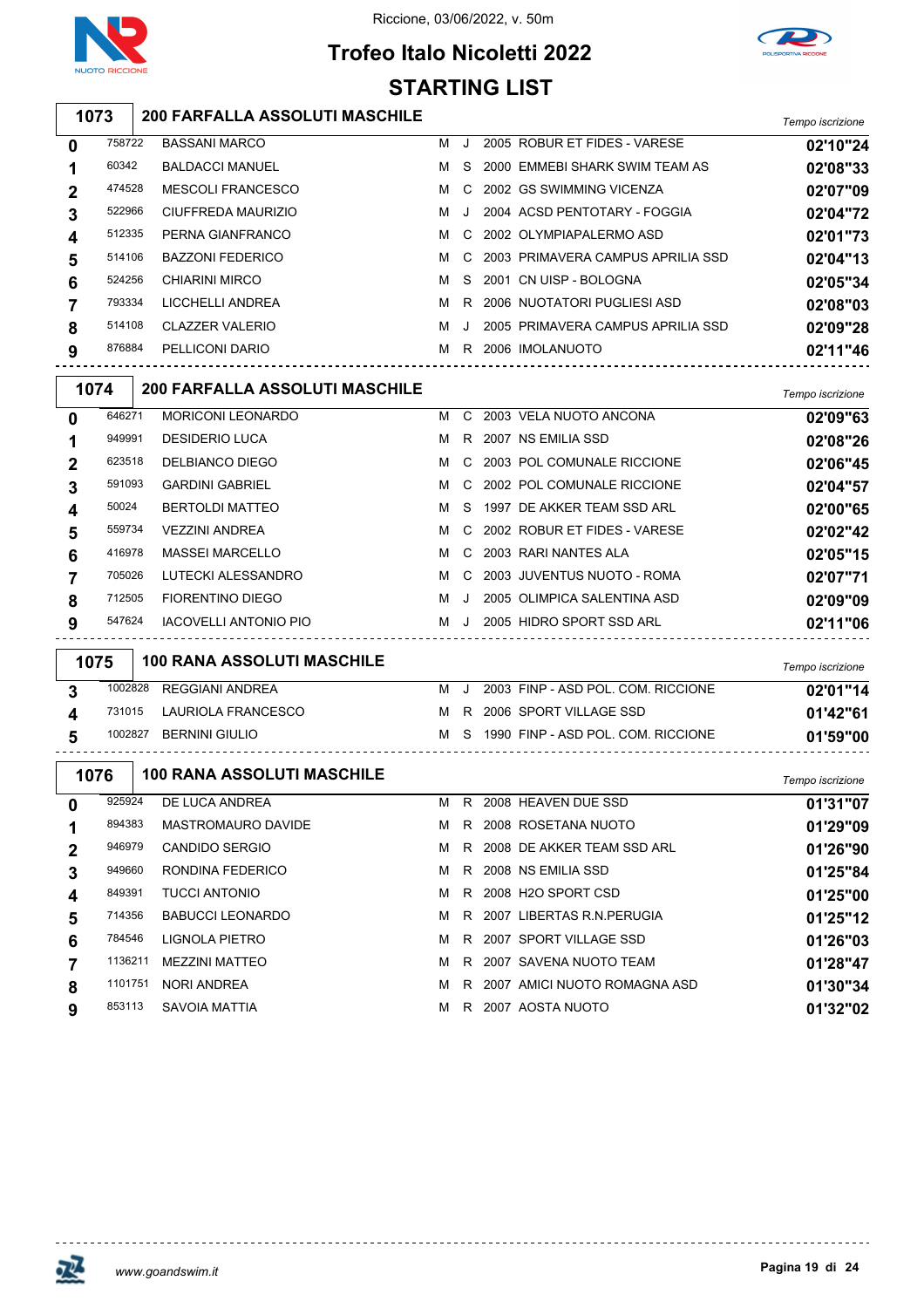



## **Trofeo Italo Nicoletti 2022 STARTING LIST**

| 1073 200 FARFALLA ASSOLUTI MASCHILE |                  |
|-------------------------------------|------------------|
|                                     | Tempo iscrizione |

| $\mathbf 0$ | 758722 | <b>BASSANI MARCO</b>    | м   | - 1 | 2005 ROBUR ET FIDES - VARESE        | 02'10"24 |
|-------------|--------|-------------------------|-----|-----|-------------------------------------|----------|
| 1           | 60342  | <b>BALDACCI MANUEL</b>  | M   | S.  | 2000 EMMEBI SHARK SWIM TEAM AS      | 02'08"33 |
| $\mathbf 2$ | 474528 | MESCOLI FRANCESCO       | M   |     | C 2002 GS SWIMMING VICENZA          | 02'07"09 |
| 3           | 522966 | CIUFFREDA MAURIZIO      | MJ. |     | 2004 ACSD PENTOTARY - FOGGIA        | 02'04"72 |
| 4           | 512335 | PERNA GIANFRANCO        | M   |     | C 2002 OLYMPIAPALERMO ASD           | 02'01"73 |
| 5           | 514106 | <b>BAZZONI FEDERICO</b> | M   |     | C 2003 PRIMAVERA CAMPUS APRILIA SSD | 02'04"13 |
| 6           | 524256 | CHIARINI MIRCO          | м   | S.  | 2001 CN UISP - BOLOGNA              | 02'05"34 |
| 7           | 793334 | LICCHELLI ANDREA        | M   | R   | 2006 NUOTATORI PUGLIESI ASD         | 02'08"03 |
| 8           | 514108 | <b>CLAZZER VALERIO</b>  | NJ. |     | 2005 PRIMAVERA CAMPUS APRILIA SSD   | 02'09"28 |
| 9           | 876884 | PELLICONI DARIO         | м   | R.  | 2006 IMOLANUOTO                     | 02'11"46 |
|             |        |                         |     |     |                                     |          |

| 1074 |        | <b>200 FARFALLA ASSOLUTI MASCHILE</b> |   |                |                                | Tempo iscrizione |
|------|--------|---------------------------------------|---|----------------|--------------------------------|------------------|
| 0    | 646271 | <b>MORICONI LEONARDO</b>              | M |                | C 2003 VELA NUOTO ANCONA       | 02'09"63         |
|      | 949991 | <b>DESIDERIO LUCA</b>                 | м | R.             | 2007 NS EMILIA SSD             | 02'08"26         |
| 2    | 623518 | DELBIANCO DIEGO                       | M |                | C 2003 POL COMUNALE RICCIONE   | 02'06"45         |
| 3    | 591093 | <b>GARDINI GABRIEL</b>                | м |                | C 2002 POL COMUNALE RICCIONE   | 02'04"57         |
| 4    | 50024  | <b>BERTOLDI MATTEO</b>                | м | S.             | 1997 DE AKKER TEAM SSD ARL     | 02'00"65         |
| 5    | 559734 | <b>VEZZINI ANDREA</b>                 | M |                | C 2002 ROBUR ET FIDES - VARESE | 02'02"42         |
| 6    | 416978 | <b>MASSEI MARCELLO</b>                | м |                | C 2003 RARI NANTES ALA         | 02'05"15         |
|      | 705026 | LUTECKI ALESSANDRO                    | м | $\overline{C}$ | 2003 JUVENTUS NUOTO - ROMA     | 02'07"71         |
| 8    | 712505 | FIORENTINO DIEGO                      | м | $\cdot$ .      | 2005 OLIMPICA SALENTINA ASD    | 02'09"09         |
| 9    | 547624 | <b>IACOVELLI ANTONIO PIO</b>          | м | - . 1          | 2005 HIDRO SPORT SSD ARL       | 02'11"06         |

| 1075    | 100 RANA ASSOLUTI MASCHILE |   |  |                                        | Tempo iscrizione |
|---------|----------------------------|---|--|----------------------------------------|------------------|
| 1002828 | REGGIANI ANDREA            | м |  | 2003 FINP - ASD POL. COM. RICCIONE     | 02'01"14         |
|         | 731015 LAURIOLA FRANCESCO  |   |  | M R 2006 SPORT VILLAGE SSD             | 01'42"61         |
| 1002827 | <b>BERNINI GIULIO</b>      |   |  | M S 1990 FINP - ASD POL. COM. RICCIONE | 01'59"00         |
|         |                            |   |  |                                        |                  |

| 1076        |         | <b>100 RANA ASSOLUTI MASCHILE</b> |   |    |      |                            | Tempo iscrizione |
|-------------|---------|-----------------------------------|---|----|------|----------------------------|------------------|
| 0           | 925924  | DE LUCA ANDREA                    | м | R. |      | 2008 HEAVEN DUE SSD        | 01'31"07         |
|             | 894383  | MASTROMAURO DAVIDE                | м | R. |      | 2008 ROSETANA NUOTO        | 01'29"09         |
| $\mathbf 2$ | 946979  | CANDIDO SERGIO                    | м | R. |      | 2008 DE AKKER TEAM SSD ARL | 01'26"90         |
| 3           | 949660  | RONDINA FEDERICO                  | м | R. |      | 2008 NS EMILIA SSD         | 01'25"84         |
| 4           | 849391  | <b>TUCCI ANTONIO</b>              | м | R  |      | 2008 H2O SPORT CSD         | 01'25"00         |
| 5           | 714356  | <b>BABUCCI LEONARDO</b>           | м | R. |      | 2007 LIBERTAS R.N.PERUGIA  | 01'25"12         |
| 6           | 784546  | LIGNOLA PIETRO                    | м | R. |      | 2007 SPORT VILLAGE SSD     | 01'26"03         |
|             | 1136211 | <b>MEZZINI MATTEO</b>             | м | R. |      | 2007 SAVENA NUOTO TEAM     | 01'28"47         |
| 8           | 1101751 | <b>NORI ANDREA</b>                | м | R. | 2007 | AMICI NUOTO ROMAGNA ASD    | 01'30"34         |
| 9           | 853113  | SAVOIA MATTIA                     | м | R. |      | 2007 AOSTA NUOTO           | 01'32"02         |



<u>-------------</u>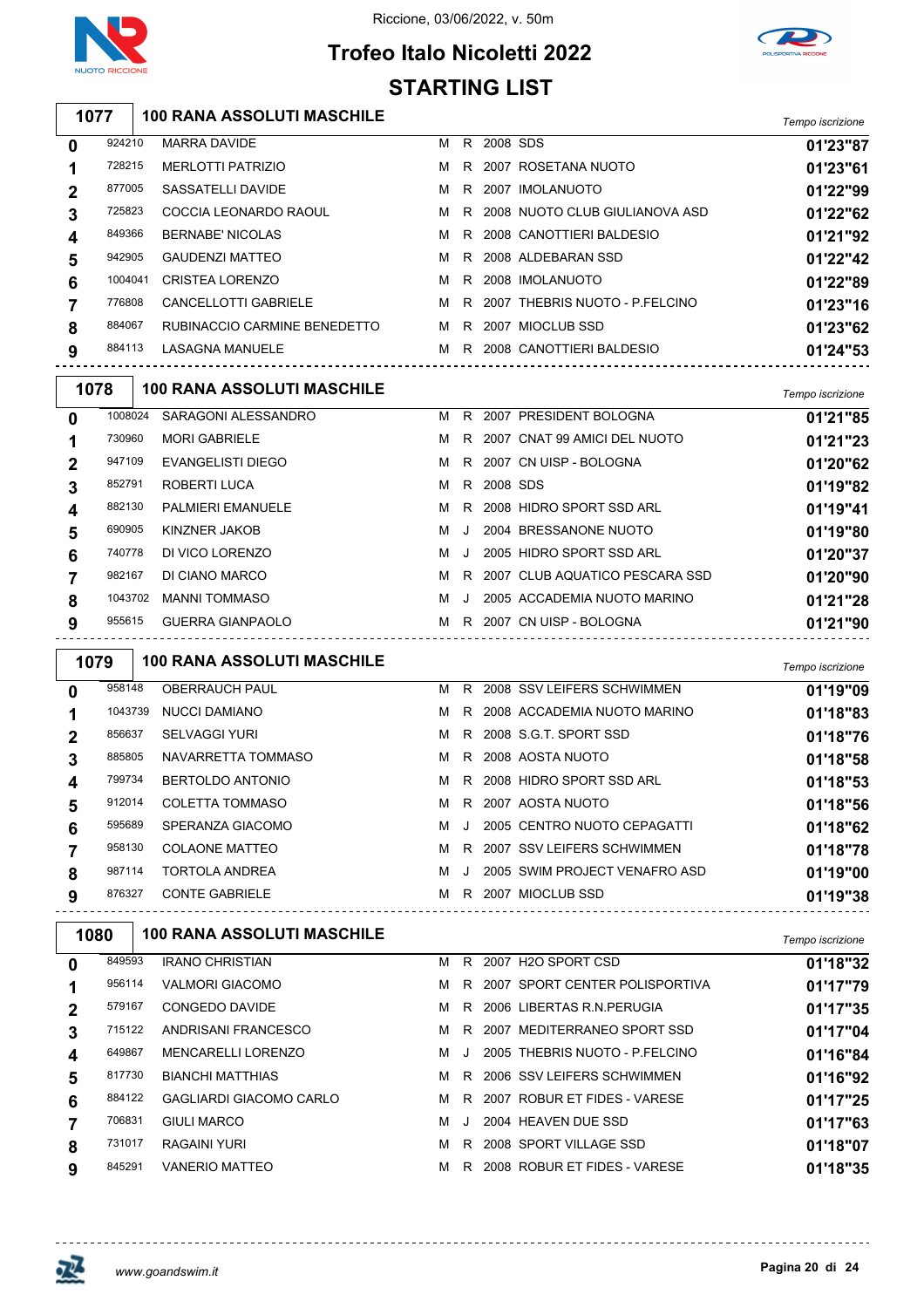

## **Trofeo Italo Nicoletti 2022** Riccione, 03/06/2022, v. 50m



# **STARTING LIST**

| 100 RANA ASSOLUTI MASCHILE | Tempo iscrizione |
|----------------------------|------------------|
|                            |                  |

| 0              | 924210  | <b>MARRA DAVIDE</b>          | м | R. | 2008 SDS |                                  | 01'23"87 |
|----------------|---------|------------------------------|---|----|----------|----------------------------------|----------|
| 1              | 728215  | <b>MERLOTTI PATRIZIO</b>     | M |    |          | R 2007 ROSETANA NUOTO            | 01'23"61 |
| $\overline{2}$ | 877005  | SASSATELLI DAVIDE            |   |    |          | M R 2007 IMOLANUOTO              | 01'22"99 |
| 3              | 725823  | COCCIA LEONARDO RAOUL        | M |    |          | R 2008 NUOTO CLUB GIULIANOVA ASD | 01'22"62 |
| 4              | 849366  | <b>BERNABE' NICOLAS</b>      | M |    |          | R 2008 CANOTTIERI BALDESIO       | 01'21"92 |
| 5              | 942905  | <b>GAUDENZI MATTEO</b>       |   |    |          | M R 2008 ALDEBARAN SSD           | 01'22"42 |
| 6              | 1004041 | <b>CRISTEA LORENZO</b>       | м |    |          | R 2008 IMOLANUOTO                | 01'22"89 |
| 7              | 776808  | <b>CANCELLOTTI GABRIELE</b>  | M |    |          | R 2007 THEBRIS NUOTO - P.FELCINO | 01'23"16 |
| 8              | 884067  | RUBINACCIO CARMINE BENEDETTO |   |    |          | M R 2007 MIOCLUB SSD             | 01'23"62 |
| 9              | 884113  | <b>LASAGNA MANUELE</b>       | м | R. |          | 2008 CANOTTIERI BALDESIO         | 01'24"53 |
|                |         |                              |   |    |          |                                  |          |

| 1078         |         | <b>100 RANA ASSOLUTI MASCHILE</b> |   |       |            |                                  | Tempo iscrizione |
|--------------|---------|-----------------------------------|---|-------|------------|----------------------------------|------------------|
| $\mathbf{0}$ | 1008024 | SARAGONI ALESSANDRO               | M |       |            | R 2007 PRESIDENT BOLOGNA         | 01'21"85         |
|              | 730960  | <b>MORI GABRIELE</b>              | M |       |            | R 2007 CNAT 99 AMICI DEL NUOTO   | 01'21"23         |
| $\mathbf{2}$ | 947109  | EVANGELISTI DIEGO                 | M |       |            | R 2007 CN UISP - BOLOGNA         | 01'20"62         |
| 3            | 852791  | ROBERTI LUCA                      | M |       | R 2008 SDS |                                  | 01'19"82         |
| 4            | 882130  | <b>PALMIERI EMANUELE</b>          | M |       |            | R 2008 HIDRO SPORT SSD ARL       | 01'19"41         |
| 5            | 690905  | KINZNER JAKOB                     | м | J     |            | 2004 BRESSANONE NUOTO            | 01'19"80         |
| 6            | 740778  | DI VICO LORENZO                   | м | . . I |            | 2005 HIDRO SPORT SSD ARL         | 01'20"37         |
|              | 982167  | DI CIANO MARCO                    | м |       |            | R 2007 CLUB AQUATICO PESCARA SSD | 01'20"90         |
| 8            | 1043702 | <b>MANNI TOMMASO</b>              | м | J.    |            | 2005 ACCADEMIA NUOTO MARINO      | 01'21"28         |
| 9            | 955615  | <b>GUERRA GIANPAOLO</b>           | M |       |            | R 2007 CN UISP - BOLOGNA         | 01'21"90         |

| 1079 |         | <b>100 RANA ASSOLUTI MASCHILE</b> |   |    |                               | Tempo iscrizione |
|------|---------|-----------------------------------|---|----|-------------------------------|------------------|
| 0    | 958148  | <b>OBERRAUCH PAUL</b>             | м | R. | 2008 SSV LEIFERS SCHWIMMEN    | 01'19"09         |
|      | 1043739 | <b>NUCCI DAMIANO</b>              | м |    | R 2008 ACCADEMIA NUOTO MARINO | 01'18"83         |
| 2    | 856637  | <b>SELVAGGI YURI</b>              | м |    | R 2008 S.G.T. SPORT SSD       | 01'18"76         |
| 3    | 885805  | NAVARRETTA TOMMASO                | м |    | R 2008 AOSTA NUOTO            | 01'18"58         |
| 4    | 799734  | BERTOLDO ANTONIO                  | м |    | R 2008 HIDRO SPORT SSD ARL    | 01'18"53         |
| 5    | 912014  | <b>COLETTA TOMMASO</b>            | м |    | R 2007 AOSTA NUOTO            | 01'18"56         |
| 6    | 595689  | SPERANZA GIACOMO                  | м | J  | 2005 CENTRO NUOTO CEPAGATTI   | 01'18"62         |
|      | 958130  | <b>COLAONE MATTEO</b>             | м |    | R 2007 SSV LEIFERS SCHWIMMEN  | 01'18"78         |
| 8    | 987114  | TORTOLA ANDREA                    | м |    | 2005 SWIM PROJECT VENAFRO ASD | 01'19"00         |
| 9    | 876327  | <b>CONTE GABRIELE</b>             | м | R. | 2007 MIOCLUB SSD              | 01'19"38         |

| <b>100 RANA ASSOLUTI MASCHILE</b> |                                                                                                  |           |          | Tempo iscrizione                                                                                                                                                                                                                                                                                     |
|-----------------------------------|--------------------------------------------------------------------------------------------------|-----------|----------|------------------------------------------------------------------------------------------------------------------------------------------------------------------------------------------------------------------------------------------------------------------------------------------------------|
| <b>IRANO CHRISTIAN</b>            | м                                                                                                | R         |          | 01'18"32                                                                                                                                                                                                                                                                                             |
| <b>VALMORI GIACOMO</b>            | м                                                                                                |           |          | 01'17"79                                                                                                                                                                                                                                                                                             |
| CONGEDO DAVIDE                    | M                                                                                                |           |          | 01'17"35                                                                                                                                                                                                                                                                                             |
| ANDRISANI FRANCESCO               | м                                                                                                | R.        |          | 01'17"04                                                                                                                                                                                                                                                                                             |
| <b>MENCARELLI LORENZO</b>         | м                                                                                                | $\cdot$ . |          | 01'16"84                                                                                                                                                                                                                                                                                             |
| <b>BIANCHI MATTHIAS</b>           | м                                                                                                | R.        |          | 01'16"92                                                                                                                                                                                                                                                                                             |
| <b>GAGLIARDI GIACOMO CARLO</b>    | м                                                                                                |           |          | 01'17"25                                                                                                                                                                                                                                                                                             |
| <b>GIULI MARCO</b>                | м                                                                                                | $\Box$    |          | 01'17"63                                                                                                                                                                                                                                                                                             |
| RAGAINI YURI                      | м                                                                                                | R.        |          | 01'18"07                                                                                                                                                                                                                                                                                             |
| <b>VANERIO MATTEO</b>             | м                                                                                                | R.        |          | 01'18"35                                                                                                                                                                                                                                                                                             |
| 1080                              | 849593<br>956114<br>579167<br>715122<br>649867<br>817730<br>884122<br>706831<br>731017<br>845291 |           | R.<br>R. | 2007 H2O SPORT CSD<br>2007 SPORT CENTER POLISPORTIVA<br>2006 LIBERTAS R.N. PERUGIA<br>2007 MEDITERRANEO SPORT SSD<br>2005 THEBRIS NUOTO - P.FELCINO<br>2006 SSV LEIFERS SCHWIMMEN<br>R 2007 ROBUR ET FIDES - VARESE<br>2004 HEAVEN DUE SSD<br>2008 SPORT VILLAGE SSD<br>2008 ROBUR ET FIDES - VARESE |

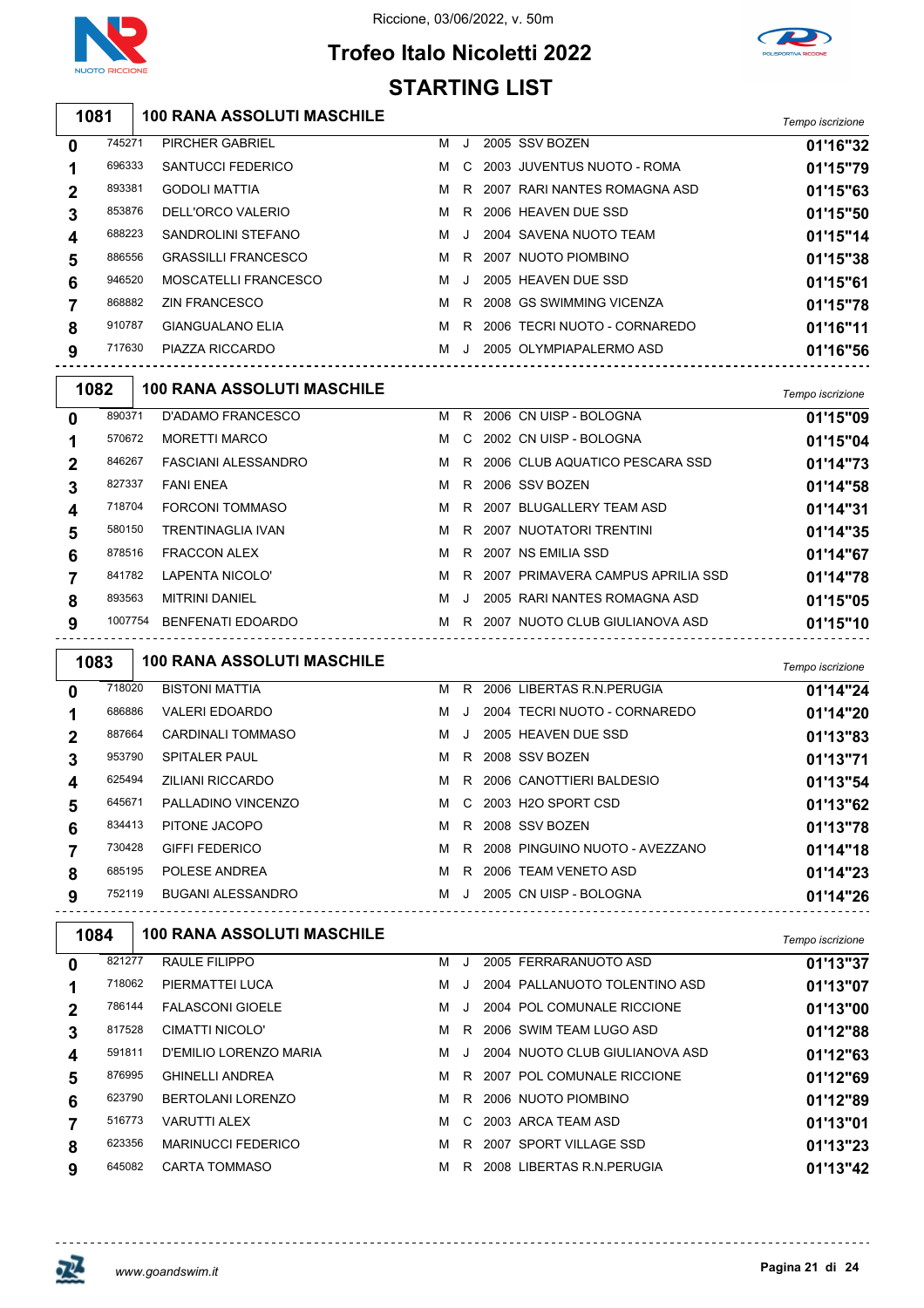

## **Trofeo Italo Nicoletti 2022 STARTING LIST**



| 1081        |        | <b>100 RANA ASSOLUTI MASCHILE</b> |   |              |                                | Tempo iscrizione |
|-------------|--------|-----------------------------------|---|--------------|--------------------------------|------------------|
| $\mathbf 0$ | 745271 | <b>PIRCHER GABRIEL</b>            | м | ٠.           | 2005 SSV BOZEN                 | 01'16"32         |
|             | 696333 | <b>SANTUCCI FEDERICO</b>          | м |              | C 2003 JUVENTUS NUOTO - ROMA   | 01'15"79         |
|             | 893381 | <b>GODOLI MATTIA</b>              | м |              | R 2007 RARI NANTES ROMAGNA ASD | 01'15"63         |
| 3           | 853876 | DELL'ORCO VALERIO                 | м | R.           | 2006 HEAVEN DUE SSD            | 01'15"50         |
| 4           | 688223 | SANDROLINI STEFANO                | м | $\mathbf{I}$ | 2004 SAVENA NUOTO TEAM         | 01'15"14         |
| 5           | 886556 | <b>GRASSILLI FRANCESCO</b>        | м | R.           | 2007 NUOTO PIOMBINO            | 01'15"38         |
| 6           | 946520 | MOSCATELLI FRANCESCO              | м | . . 1        | 2005 HEAVEN DUE SSD            | 01'15"61         |
|             | 868882 | <b>ZIN FRANCESCO</b>              | м | R.           | 2008 GS SWIMMING VICENZA       | 01'15"78         |
| 8           | 910787 | <b>GIANGUALANO ELIA</b>           | м | R.           | 2006 TECRI NUOTO - CORNAREDO   | 01'16"11         |
| 9           | 717630 | PIAZZA RICCARDO                   | м | J.           | 2005 OLYMPIAPALERMO ASD        | 01'16"56         |

| 1082         |         | <b>100 RANA ASSOLUTI MASCHILE</b> |   |    |      |                                   | Tempo iscrizione |
|--------------|---------|-----------------------------------|---|----|------|-----------------------------------|------------------|
| $\mathbf{0}$ | 890371  | D'ADAMO FRANCESCO                 | м | R  |      | 2006 CN UISP - BOLOGNA            | 01'15"09         |
| 1            | 570672  | <b>MORETTI MARCO</b>              | м | C. |      | 2002 CN UISP - BOLOGNA            | 01'15"04         |
| $\mathbf 2$  | 846267  | FASCIANI ALESSANDRO               | м | R  |      | 2006 CLUB AQUATICO PESCARA SSD    | 01'14"73         |
| 3            | 827337  | <b>FANI ENEA</b>                  | M | R. |      | 2006 SSV BOZEN                    | 01'14"58         |
| 4            | 718704  | <b>FORCONI TOMMASO</b>            | м | R  | 2007 | BLUGALLERY TEAM ASD               | 01'14"31         |
| 5            | 580150  | <b>TRENTINAGLIA IVAN</b>          | м | R. |      | 2007 NUOTATORI TRENTINI           | 01'14"35         |
| 6            | 878516  | <b>FRACCON ALEX</b>               | м | R  |      | 2007 NS EMILIA SSD                | 01'14"67         |
| 7            | 841782  | LAPENTA NICOLO'                   | м | R  |      | 2007 PRIMAVERA CAMPUS APRILIA SSD | 01'14"78         |
| 8            | 893563  | <b>MITRINI DANIEL</b>             | м |    |      | 2005 RARI NANTES ROMAGNA ASD      | 01'15"05         |
| 9            | 1007754 | BENFENATI EDOARDO                 | м | R  |      | 2007 NUOTO CLUB GIULIANOVA ASD    | 01'15"10         |

| 1083        |        | <b>100 RANA ASSOLUTI MASCHILE</b> |   |         |                                  | Tempo iscrizione |
|-------------|--------|-----------------------------------|---|---------|----------------------------------|------------------|
| 0           | 718020 | <b>BISTONI MATTIA</b>             | м | R.      | 2006 LIBERTAS R.N. PERUGIA       | 01'14"24         |
|             | 686886 | <b>VALERI EDOARDO</b>             | м |         | 2004 TECRI NUOTO - CORNAREDO     | 01'14"20         |
| $\mathbf 2$ | 887664 | <b>CARDINALI TOMMASO</b>          | м | $\cdot$ | 2005 HEAVEN DUE SSD              | 01'13"83         |
| 3           | 953790 | <b>SPITALER PAUL</b>              | м |         | R 2008 SSV BOZEN                 | 01'13"71         |
| 4           | 625494 | <b>ZILIANI RICCARDO</b>           | м | R.      | 2006 CANOTTIERI BALDESIO         | 01'13"54         |
| 5           | 645671 | PALLADINO VINCENZO                | м |         | C 2003 H2O SPORT CSD             | 01'13"62         |
| 6           | 834413 | PITONE JACOPO                     | м | R.      | 2008 SSV BOZEN                   | 01'13"78         |
|             | 730428 | <b>GIFFI FEDERICO</b>             | м |         | R 2008 PINGUINO NUOTO - AVEZZANO | 01'14"18         |
| 8           | 685195 | POLESE ANDREA                     | м | R.      | 2006 TEAM VENETO ASD             | 01'14"23         |
| 9           | 752119 | <b>BUGANI ALESSANDRO</b>          | м | $\cdot$ | 2005 CN UISP - BOLOGNA           | 01'14"26         |

| 1084         |        | <b>100 RANA ASSOLUTI MASCHILE</b> |   |    |                                | Tempo iscrizione |
|--------------|--------|-----------------------------------|---|----|--------------------------------|------------------|
| 0            | 821277 | <b>RAULE FILIPPO</b>              | м |    | 2005 FERRARANUOTO ASD          | 01'13"37         |
|              | 718062 | PIERMATTEI LUCA                   | м |    | 2004 PALLANUOTO TOLENTINO ASD  | 01'13"07         |
| $\mathbf{2}$ | 786144 | <b>FALASCONI GIOELE</b>           | м |    | 2004 POL COMUNALE RICCIONE     | 01'13"00         |
| 3            | 817528 | CIMATTI NICOLO'                   | м | R. | 2006 SWIM TEAM LUGO ASD        | 01'12"88         |
| 4            | 591811 | D'EMILIO LORENZO MARIA            | м |    | 2004 NUOTO CLUB GIULIANOVA ASD | 01'12"63         |
| 5            | 876995 | <b>GHINELLI ANDREA</b>            | м | R. | 2007 POL COMUNALE RICCIONE     | 01'12"69         |
| 6            | 623790 | <b>BERTOLANI LORENZO</b>          | м |    | R 2006 NUOTO PIOMBINO          | 01'12"89         |
|              | 516773 | <b>VARUTTI ALEX</b>               | м |    | C 2003 ARCA TEAM ASD           | 01'13"01         |
| 8            | 623356 | <b>MARINUCCI FEDERICO</b>         | м | R. | 2007 SPORT VILLAGE SSD         | 01'13"23         |
| 9            | 645082 | CARTA TOMMASO                     | м | R. | 2008 LIBERTAS R.N. PERUGIA     | 01'13"42         |



 $\mathsf{r}$ 

<u>. . . . . . . . . . . . . . .</u>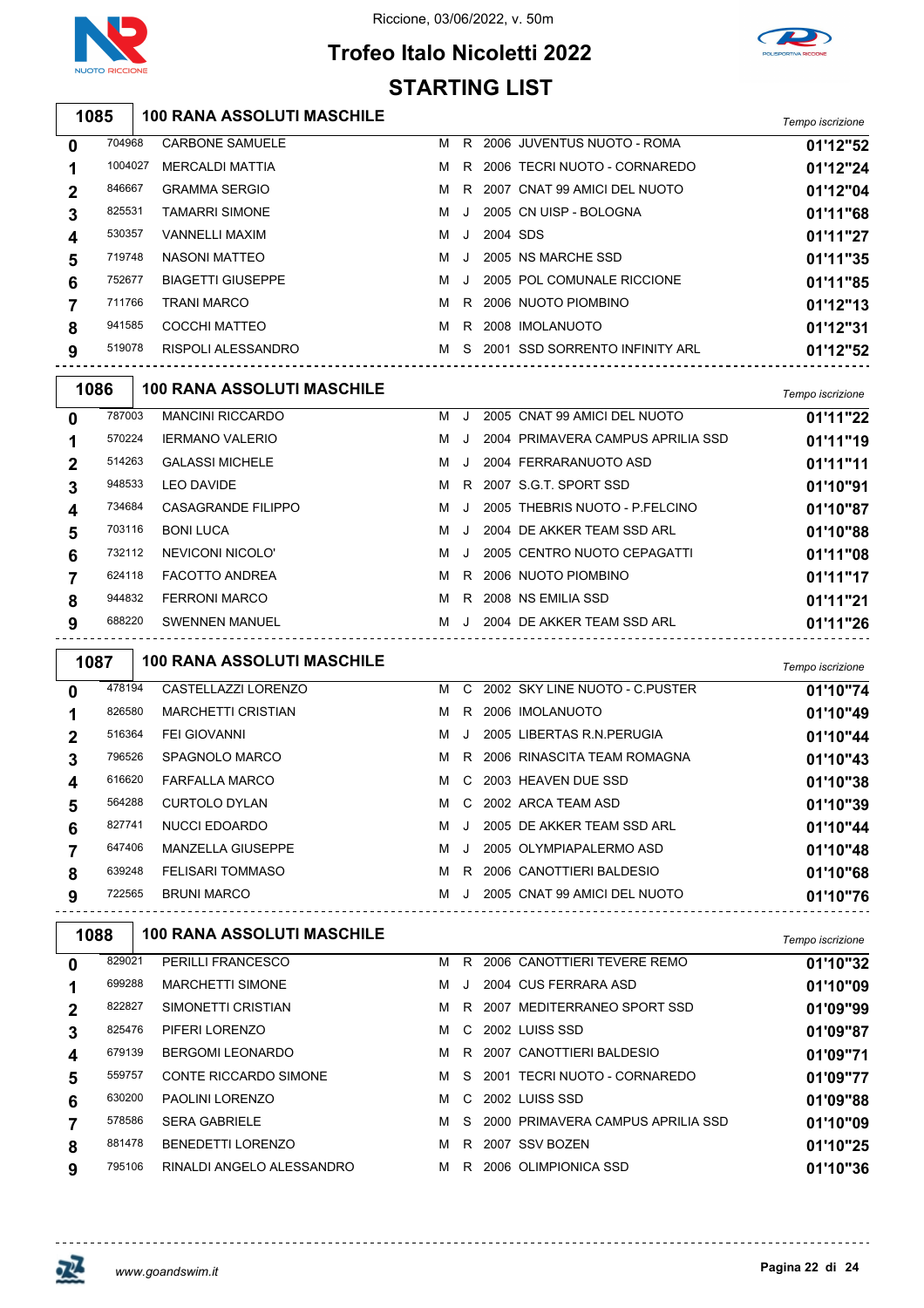



## **Trofeo Italo Nicoletti 2022 STARTING LIST**

**100 RANA ASSOLUTI MASCHILE** *Tempo iscrizione*

|         |                          |   |         |  | 1.911189.10011210110                                                                                                                                                                                                                                             |
|---------|--------------------------|---|---------|--|------------------------------------------------------------------------------------------------------------------------------------------------------------------------------------------------------------------------------------------------------------------|
| 704968  | <b>CARBONE SAMUELE</b>   | м | R       |  | 01'12"52                                                                                                                                                                                                                                                         |
| 1004027 | <b>MERCALDI MATTIA</b>   | м | R       |  | 01'12"24                                                                                                                                                                                                                                                         |
| 846667  | <b>GRAMMA SERGIO</b>     | м | R       |  | 01'12"04                                                                                                                                                                                                                                                         |
| 825531  | TAMARRI SIMONE           | M | -J      |  | 01'11"68                                                                                                                                                                                                                                                         |
| 530357  | <b>VANNELLI MAXIM</b>    | м | J.      |  | 01'11"27                                                                                                                                                                                                                                                         |
| 719748  | NASONI MATTEO            | м | J.      |  | 01'11"35                                                                                                                                                                                                                                                         |
| 752677  | <b>BIAGETTI GIUSEPPE</b> | м | $\cdot$ |  | 01'11"85                                                                                                                                                                                                                                                         |
| 711766  | TRANI MARCO              | м | R       |  | 01'12"13                                                                                                                                                                                                                                                         |
| 941585  | <b>COCCHI MATTEO</b>     | м | R       |  | 01'12"31                                                                                                                                                                                                                                                         |
| 519078  | RISPOLI ALESSANDRO       | м | S.      |  | 01'12"52                                                                                                                                                                                                                                                         |
|         |                          |   |         |  | 2006 JUVENTUS NUOTO - ROMA<br>2006 TECRI NUOTO - CORNAREDO<br>2007 CNAT 99 AMICI DEL NUOTO<br>2005 CN UISP - BOLOGNA<br>2004 SDS<br>2005 NS MARCHE SSD<br>2005 POL COMUNALE RICCIONE<br>2006 NUOTO PIOMBINO<br>2008 IMOLANUOTO<br>2001 SSD SORRENTO INFINITY ARL |

| 1086 |        | <b>100 RANA ASSOLUTI MASCHILE</b> |   |    |                                   | Tempo iscrizione |
|------|--------|-----------------------------------|---|----|-----------------------------------|------------------|
| 0    | 787003 | <b>MANCINI RICCARDO</b>           | м |    | 2005 CNAT 99 AMICI DEL NUOTO      | 01'11"22         |
|      | 570224 | <b>IERMANO VALERIO</b>            | м |    | 2004 PRIMAVERA CAMPUS APRILIA SSD | 01'11"19         |
| 2    | 514263 | <b>GALASSI MICHELE</b>            | м |    | 2004 FERRARANUOTO ASD             | 01'11"11         |
| 3    | 948533 | <b>LEO DAVIDE</b>                 | м | R. | 2007 S.G.T. SPORT SSD             | 01'10"91         |
| 4    | 734684 | <b>CASAGRANDE FILIPPO</b>         | м | J. | 2005 THEBRIS NUOTO - P.FELCINO    | 01'10"87         |
| 5    | 703116 | <b>BONI LUCA</b>                  | м | J  | 2004 DE AKKER TEAM SSD ARL        | 01'10"88         |
| 6    | 732112 | NEVICONI NICOLO'                  | м |    | 2005 CENTRO NUOTO CEPAGATTI       | 01'11"08         |
|      | 624118 | FACOTTO ANDREA                    | м | R. | 2006 NUOTO PIOMBINO               | 01'11"17         |
| 8    | 944832 | <b>FERRONI MARCO</b>              | м | R  | 2008 NS EMILIA SSD                | 01'11"21         |
| 9    | 688220 | <b>SWENNEN MANUEL</b>             | м |    | 2004 DE AKKER TEAM SSD ARL        | 01'11"26         |

| 1087 |        | <b>100 RANA ASSOLUTI MASCHILE</b> |   |              |                                | Tempo iscrizione |
|------|--------|-----------------------------------|---|--------------|--------------------------------|------------------|
| 0    | 478194 | CASTELLAZZI LORENZO               | M | C.           | 2002 SKY LINE NUOTO - C PUSTER | 01'10"74         |
|      | 826580 | <b>MARCHETTI CRISTIAN</b>         | м | R.           | 2006 IMOLANUOTO                | 01'10"49         |
| 2    | 516364 | <b>FEI GIOVANNI</b>               | м | . . 1        | 2005 LIBERTAS R.N. PERUGIA     | 01'10"44         |
| 3    | 796526 | SPAGNOLO MARCO                    | M |              | R 2006 RINASCITA TEAM ROMAGNA  | 01'10"43         |
| 4    | 616620 | <b>FARFALLA MARCO</b>             | м | $\mathbf{C}$ | 2003 HEAVEN DUE SSD            | 01'10"38         |
| 5    | 564288 | <b>CURTOLO DYLAN</b>              | м |              | C 2002 ARCA TEAM ASD           | 01'10"39         |
| 6    | 827741 | NUCCI EDOARDO                     | м | . . 1        | 2005 DE AKKER TEAM SSD ARL     | 01'10"44         |
|      | 647406 | <b>MANZELLA GIUSEPPE</b>          | м | $\cdot$      | 2005 OLYMPIAPALERMO ASD        | 01'10"48         |
| 8    | 639248 | <b>FELISARI TOMMASO</b>           | м | R.           | 2006 CANOTTIERI BALDESIO       | 01'10"68         |
| 9    | 722565 | <b>BRUNI MARCO</b>                | м | $\cdot$      | 2005 CNAT 99 AMICI DEL NUOTO   | 01'10"76         |

| 1088        |        | <b>100 RANA ASSOLUTI MASCHILE</b> |   |    |                                     | Tempo iscrizione |
|-------------|--------|-----------------------------------|---|----|-------------------------------------|------------------|
| 0           | 829021 | <b>PERILLI FRANCESCO</b>          | м | R  | 2006 CANOTTIERI TEVERE REMO         | 01'10"32         |
|             | 699288 | <b>MARCHETTI SIMONE</b>           | м |    | 2004 CUS FERRARA ASD                | 01'10"09         |
| $\mathbf 2$ | 822827 | SIMONETTI CRISTIAN                | м | R  | 2007 MEDITERRANEO SPORT SSD         | 01'09"99         |
| 3           | 825476 | PIFERI LORENZO                    | м |    | C 2002 LUISS SSD                    | 01'09"87         |
| 4           | 679139 | BERGOMI LEONARDO                  | м | R  | 2007 CANOTTIERI BALDESIO            | 01'09"71         |
| 5           | 559757 | CONTE RICCARDO SIMONE             | м | S. | 2001 TECRI NUOTO - CORNAREDO        | 01'09"77         |
| 6           | 630200 | <b>PAOLINI LORENZO</b>            | м | C. | 2002 LUISS SSD                      | 01'09"88         |
|             | 578586 | <b>SERA GABRIELE</b>              | м |    | S 2000 PRIMAVERA CAMPUS APRILIA SSD | 01'10"09         |
| 8           | 881478 | <b>BENEDETTI LORENZO</b>          | м | R  | 2007 SSV BOZEN                      | 01'10"25         |
| 9           | 795106 | RINALDI ANGELO ALESSANDRO         | м | R  | 2006 OLIMPIONICA SSD                | 01'10"36         |

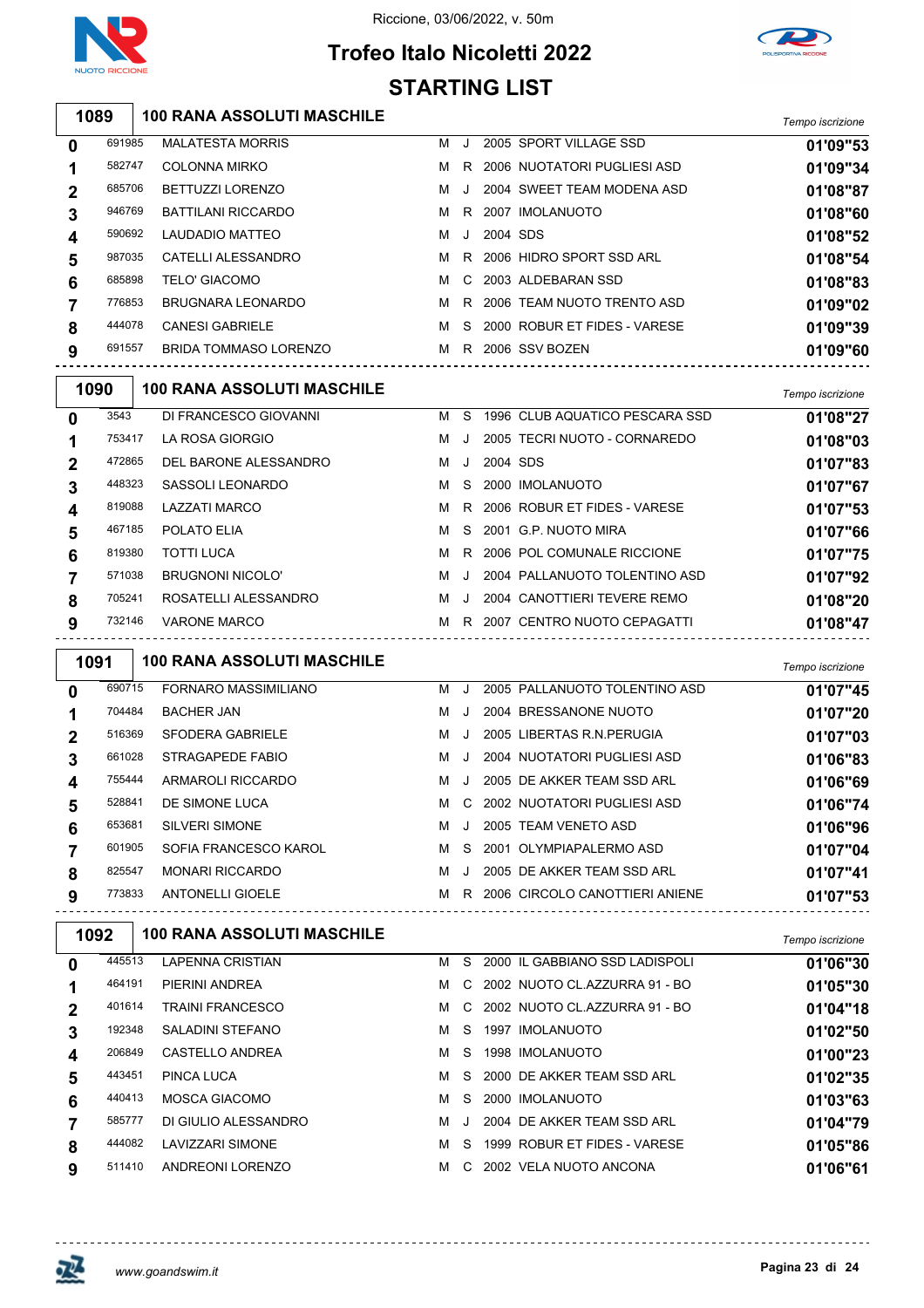



## **Trofeo Italo Nicoletti 2022 STARTING LIST**

|                | 1089   | <b>100 RANA ASSOLUTI MASCHILE</b>                             |   |     |          |                                    | Tempo iscrizione |
|----------------|--------|---------------------------------------------------------------|---|-----|----------|------------------------------------|------------------|
| $\mathbf 0$    | 691985 | <b>MALATESTA MORRIS</b>                                       |   |     |          | M J 2005 SPORT VILLAGE SSD         | 01'09"53         |
| 1              | 582747 | <b>COLONNA MIRKO</b>                                          |   |     |          | M R 2006 NUOTATORI PUGLIESI ASD    | 01'09"34         |
| $\mathbf 2$    | 685706 | BETTUZZI LORENZO                                              |   | MJ. |          | 2004 SWEET TEAM MODENA ASD         | 01'08"87         |
| 3              | 946769 | <b>BATTILANI RICCARDO</b>                                     | M |     |          | R 2007 IMOLANUOTO                  | 01'08"60         |
| 4              | 590692 | LAUDADIO MATTEO                                               | м | J   | 2004 SDS |                                    | 01'08"52         |
| 5              | 987035 | CATELLI ALESSANDRO                                            |   |     |          | M R 2006 HIDRO SPORT SSD ARL       | 01'08"54         |
| 6              | 685898 | <b>TELO' GIACOMO</b>                                          |   |     |          | M C 2003 ALDEBARAN SSD             | 01'08"83         |
| $\overline{7}$ | 776853 | <b>BRUGNARA LEONARDO</b>                                      |   |     |          | M R 2006 TEAM NUOTO TRENTO ASD     | 01'09"02         |
| 8              | 444078 | <b>CANESI GABRIELE</b>                                        |   |     |          | M S 2000 ROBUR ET FIDES - VARESE   | 01'09"39         |
| 9              | 691557 | BRIDA TOMMASO LORENZO<br>------------------------------------ |   |     |          | M R 2006 SSV BOZEN                 | 01'09"60         |
|                | 1090   | <b>100 RANA ASSOLUTI MASCHILE</b>                             |   |     |          |                                    | Tempo iscrizione |
| 0              | 3543   | DI FRANCESCO GIOVANNI                                         |   |     |          | M S 1996 CLUB AQUATICO PESCARA SSD | 01'08"27         |
| 1              | 753417 | LA ROSA GIORGIO                                               |   | M J |          | 2005 TECRI NUOTO - CORNAREDO       | 01'08"03         |
| $\mathbf 2$    | 472865 | DEL BARONE ALESSANDRO                                         |   | M J | 2004 SDS |                                    | 01'07"83         |
| 3              | 448323 | SASSOLI LEONARDO                                              |   | M S |          | 2000 IMOLANUOTO                    | 01'07"67         |
| 4              | 819088 | <b>LAZZATI MARCO</b>                                          |   |     |          | M R 2006 ROBUR ET FIDES - VARESE   | 01'07"53         |
| 5              | 467185 | POLATO ELIA                                                   |   | M S |          | 2001 G.P. NUOTO MIRA               | 01'07"66         |
| 6              | 819380 | <b>TOTTI LUCA</b>                                             |   |     |          | M R 2006 POL COMUNALE RICCIONE     | 01'07"75         |
| $\overline{7}$ | 571038 | <b>BRUGNONI NICOLO'</b>                                       |   | M J |          | 2004 PALLANUOTO TOLENTINO ASD      | 01'07"92         |
| 8              | 705241 | ROSATELLI ALESSANDRO                                          |   |     |          | M J 2004 CANOTTIERI TEVERE REMO    | 01'08"20         |
| 9              | 732146 | <b>VARONE MARCO</b><br>------------------------------         |   |     |          | M R 2007 CENTRO NUOTO CEPAGATTI    | 01'08"47         |
|                | 1091   | 100 RANA ASSOLUTI MASCHILE                                    |   |     |          |                                    | Tempo iscrizione |
| 0              | 690715 | FORNARO MASSIMILIANO                                          |   |     |          | M J 2005 PALLANUOTO TOLENTINO ASD  | 01'07"45         |
| 1              | 704484 | <b>BACHER JAN</b>                                             |   |     |          | M J 2004 BRESSANONE NUOTO          | 01'07"20         |
| $\mathbf 2$    | 516369 | <b>SFODERA GABRIELE</b>                                       |   |     |          | M J 2005 LIBERTAS R.N. PERUGIA     | 01'07"03         |
| 3              | 661028 | STRAGAPEDE FABIO                                              |   | M J |          | 2004 NUOTATORI PUGLIESI ASD        | 01'06"83         |
| 4              | 755444 | ARMAROLI RICCARDO                                             |   |     |          | M J 2005 DE AKKER TEAM SSD ARL     | 01'06"69         |
| 5              | 528841 | DE SIMONE LUCA                                                |   |     |          | M C 2002 NUOTATORI PUGLIESI ASD    | 01'06"74         |
| 6              | 653681 | <b>SILVERI SIMONE</b>                                         |   |     |          | M J 2005 TEAM VENETO ASD           | 01'06"96         |
| 7              | 601905 | SOFIA FRANCESCO KAROL                                         |   |     |          | M S 2001 OLYMPIAPALERMO ASD        | 01'07"04         |
| 8              | 825547 | <b>MONARI RICCARDO</b>                                        |   |     |          | M J 2005 DE AKKER TEAM SSD ARL     | 01'07"41         |
| 9              | 773833 | <b>ANTONELLI GIOELE</b>                                       |   |     |          | M R 2006 CIRCOLO CANOTTIERI ANIENE | 01'07"53         |
|                | 1092   | <b>100 RANA ASSOLUTI MASCHILE</b>                             |   |     |          |                                    | Tempo iscrizione |
| 0              | 445513 | <b>LAPENNA CRISTIAN</b>                                       |   |     |          | M S 2000 IL GABBIANO SSD LADISPOLI | 01'06"30         |
|                |        |                                                               |   |     |          |                                    |                  |

| Tempo iscrizione |  |  |
|------------------|--|--|
|                  |  |  |

| 0           | 445513 | LAPENNA CRISTIAN        | м | S.      | 2000 IL GABBIANO SSD LADISPOLI | 01'06"30 |
|-------------|--------|-------------------------|---|---------|--------------------------------|----------|
|             | 464191 | PIERINI ANDREA          | M |         | C 2002 NUOTO CLAZZURRA 91 - BO | 01'05"30 |
| $\mathbf 2$ | 401614 | TRAINI FRANCESCO        | м | C.      | 2002 NUOTO CL.AZZURRA 91 - BO  | 01'04"18 |
| 3           | 192348 | SALADINI STEFANO        | м | S.      | 1997 IMOLANUOTO                | 01'02"50 |
| 4           | 206849 | CASTELLO ANDREA         | м | S.      | 1998 IMOLANUOTO                | 01'00"23 |
| 5           | 443451 | PINCA LUCA              | м |         | S 2000 DE AKKER TEAM SSD ARL   | 01'02"35 |
| 6           | 440413 | MOSCA GIACOMO           | м | S.      | 2000 IMOLANUOTO                | 01'03"63 |
|             | 585777 | DI GIULIO ALESSANDRO    | м | $\cdot$ | 2004 DE AKKER TEAM SSD ARL     | 01'04"79 |
| 8           | 444082 | <b>LAVIZZARI SIMONE</b> | м | S.      | 1999 ROBUR ET FIDES - VARESE   | 01'05"86 |
| 9           | 511410 | <b>ANDREONI LORENZO</b> | м | C.      | 2002 VELA NUOTO ANCONA         | 01'06"61 |
|             |        |                         |   |         |                                |          |

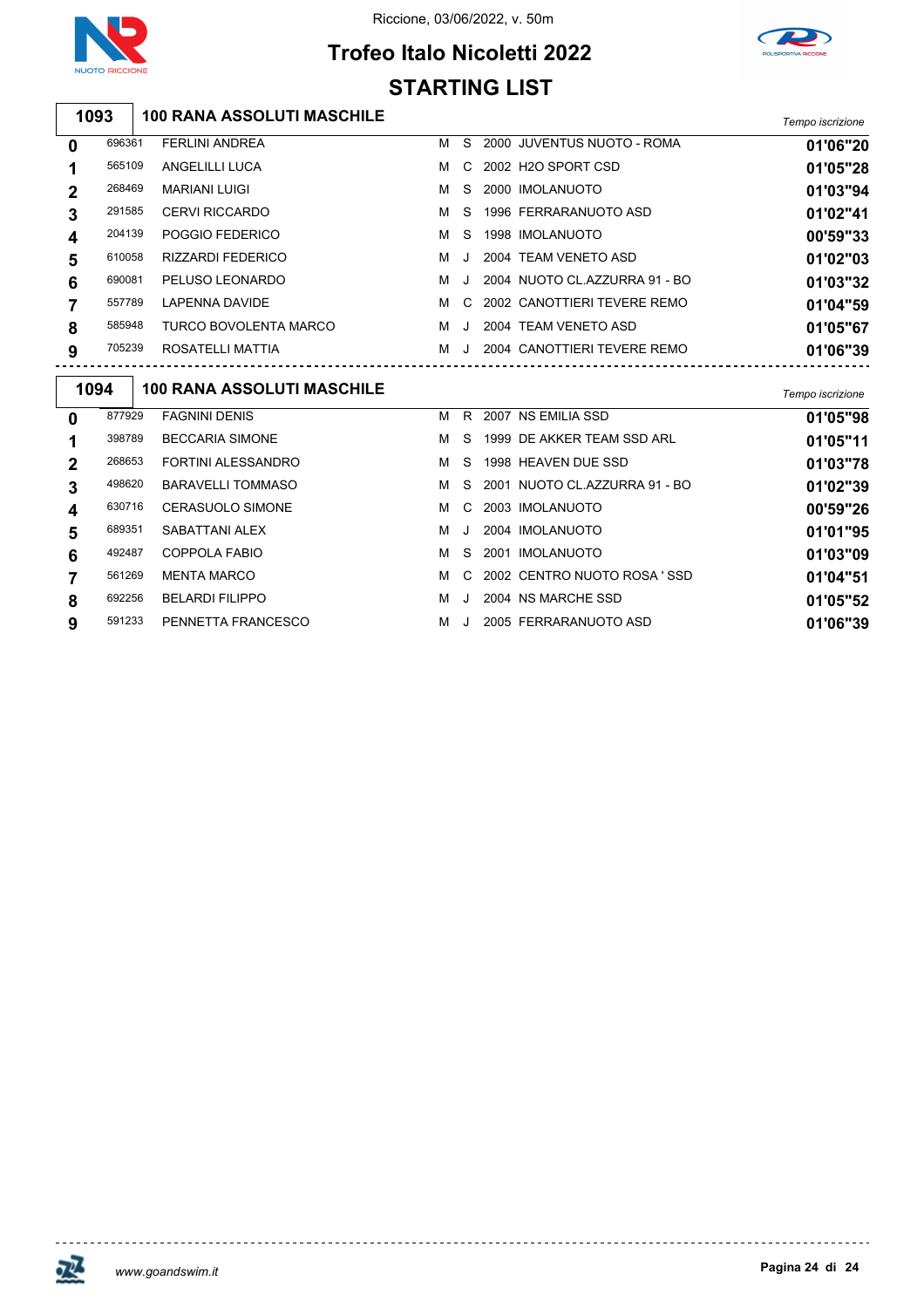

#### Riccione, 03/06/2022, v. 50m





#### **100 RANA ASSOLUTI MASCHILE** *Tempo iscrizione* FERLINI ANDREA M S 2000 JUVENTUS NUOTO - ROMA **01'06"20** ANGELILLI LUCA M C 2002 H2O SPORT CSD **01'05"28** MARIANI LUIGI M S 2000 IMOLANUOTO **01'03"94** CERVI RICCARDO M S 1996 FERRARANUOTO ASD **01'02"41** POGGIO FEDERICO M S 1998 IMOLANUOTO **00'59"33** RIZZARDI FEDERICO M J 2004 TEAM VENETO ASD **01'02"03** PELUSO LEONARDO M J 2004 NUOTO CL.AZZURRA 91 - BO **01'03"32** LAPENNA DAVIDE M C 2002 CANOTTIERI TEVERE REMO **01'04"59** TURCO BOVOLENTA MARCO M J 2004 TEAM VENETO ASD **01'05"67**

| <b>100 RANA ASSOLUTI MASCHILE</b><br>1094<br>877929<br>2007 NS EMILIA SSD<br><b>FAGNINI DENIS</b><br>R<br>м<br>$\bf{0}$<br>1999 DE AKKER TEAM SSD ARL<br><b>BECCARIA SIMONE</b><br>398789<br>м<br>-S.<br>1<br>FORTINI ALESSANDRO<br>268653<br>1998 HEAVEN DUE SSD<br>м<br>S.<br>$\mathbf 2$<br><b>BARAVELLI TOMMASO</b><br>2001 NUOTO CL.AZZURRA 91 - BO<br>498620<br>м<br>S.<br>3<br><b>CERASUOLO SIMONE</b><br>2003 IMOLANUOTO<br>630716<br>м<br>C.<br>4<br>689351<br>SABATTANI ALEX<br>2004 IMOLANUOTO<br>5<br>м<br>J<br>492487<br>COPPOLA FABIO<br>2001 IMOLANUOTO<br>м<br>S.<br>6<br>561269<br>C 2002 CENTRO NUOTO ROSA 'SSD<br><b>MENTA MARCO</b><br>7<br>м<br>692256<br><b>BELARDI FILIPPO</b><br>2004 NS MARCHE SSD<br>8<br>м<br>J<br>PENNETTA FRANCESCO<br>2005 FERRARANUOTO ASD<br>591233<br>M<br>9<br>J. |  |  |  |                  |
|---------------------------------------------------------------------------------------------------------------------------------------------------------------------------------------------------------------------------------------------------------------------------------------------------------------------------------------------------------------------------------------------------------------------------------------------------------------------------------------------------------------------------------------------------------------------------------------------------------------------------------------------------------------------------------------------------------------------------------------------------------------------------------------------------------------------|--|--|--|------------------|
|                                                                                                                                                                                                                                                                                                                                                                                                                                                                                                                                                                                                                                                                                                                                                                                                                     |  |  |  | Tempo iscrizione |
|                                                                                                                                                                                                                                                                                                                                                                                                                                                                                                                                                                                                                                                                                                                                                                                                                     |  |  |  | 01'05"98         |
|                                                                                                                                                                                                                                                                                                                                                                                                                                                                                                                                                                                                                                                                                                                                                                                                                     |  |  |  | 01'05"11         |
|                                                                                                                                                                                                                                                                                                                                                                                                                                                                                                                                                                                                                                                                                                                                                                                                                     |  |  |  | 01'03"78         |
|                                                                                                                                                                                                                                                                                                                                                                                                                                                                                                                                                                                                                                                                                                                                                                                                                     |  |  |  | 01'02"39         |
|                                                                                                                                                                                                                                                                                                                                                                                                                                                                                                                                                                                                                                                                                                                                                                                                                     |  |  |  | 00'59"26         |
|                                                                                                                                                                                                                                                                                                                                                                                                                                                                                                                                                                                                                                                                                                                                                                                                                     |  |  |  | 01'01"95         |
|                                                                                                                                                                                                                                                                                                                                                                                                                                                                                                                                                                                                                                                                                                                                                                                                                     |  |  |  | 01'03"09         |
|                                                                                                                                                                                                                                                                                                                                                                                                                                                                                                                                                                                                                                                                                                                                                                                                                     |  |  |  | 01'04"51         |
|                                                                                                                                                                                                                                                                                                                                                                                                                                                                                                                                                                                                                                                                                                                                                                                                                     |  |  |  | 01'05"52         |
|                                                                                                                                                                                                                                                                                                                                                                                                                                                                                                                                                                                                                                                                                                                                                                                                                     |  |  |  | 01'06"39         |

ROSATELLI MATTIA M J 2004 CANOTTIERI TEVERE REMO **01'06"39**

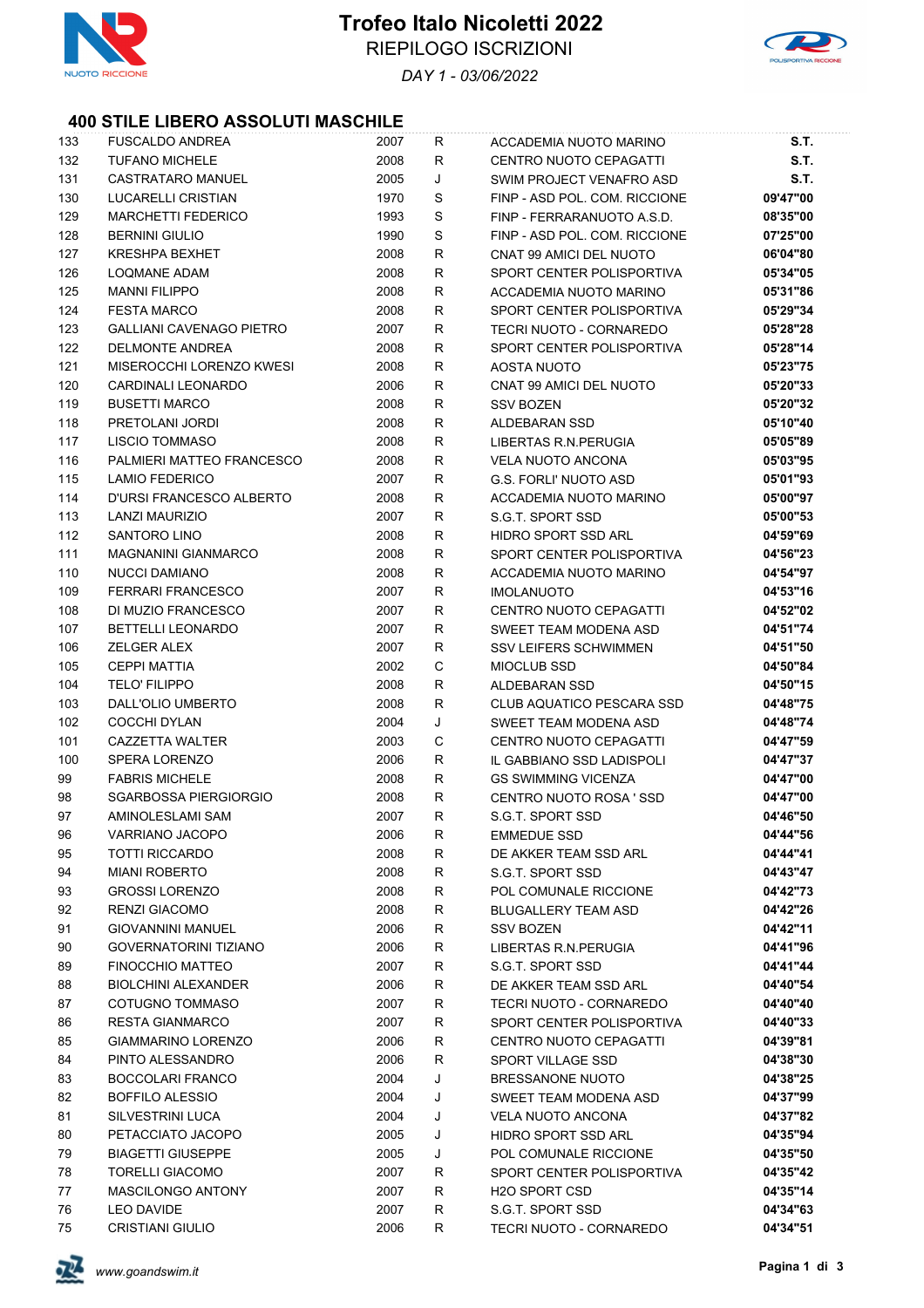



*DAY 1 - 03/06/2022*

#### **400 STILE LIBERO ASSOLUTI MASCHILE**

| 133 | <b>FUSCALDO ANDREA</b>          | 2007 | R | ACCADEMIA NUOTO MARINO           | S.T.        |
|-----|---------------------------------|------|---|----------------------------------|-------------|
| 132 | <b>TUFANO MICHELE</b>           | 2008 | R | CENTRO NUOTO CEPAGATTI           | <b>S.T.</b> |
| 131 | <b>CASTRATARO MANUEL</b>        | 2005 | J | SWIM PROJECT VENAFRO ASD         | <b>S.T.</b> |
| 130 | LUCARELLI CRISTIAN              | 1970 | S | FINP - ASD POL. COM. RICCIONE    | 09'47"00    |
| 129 | <b>MARCHETTI FEDERICO</b>       | 1993 | S | FINP - FERRARANUOTO A.S.D.       | 08'35"00    |
| 128 | <b>BERNINI GIULIO</b>           | 1990 | S | FINP - ASD POL. COM. RICCIONE    | 07'25"00    |
| 127 | <b>KRESHPA BEXHET</b>           | 2008 | R | CNAT 99 AMICI DEL NUOTO          | 06'04"80    |
| 126 | <b>LOQMANE ADAM</b>             | 2008 | R | SPORT CENTER POLISPORTIVA        | 05'34"05    |
| 125 | <b>MANNI FILIPPO</b>            | 2008 | R | ACCADEMIA NUOTO MARINO           | 05'31"86    |
| 124 | <b>FESTA MARCO</b>              | 2008 | R | SPORT CENTER POLISPORTIVA        | 05'29"34    |
| 123 | <b>GALLIANI CAVENAGO PIETRO</b> | 2007 | R | TECRI NUOTO - CORNAREDO          | 05'28"28    |
| 122 | <b>DELMONTE ANDREA</b>          | 2008 | R | SPORT CENTER POLISPORTIVA        | 05'28"14    |
| 121 | MISEROCCHI LORENZO KWESI        | 2008 | R | AOSTA NUOTO                      | 05'23"75    |
| 120 | CARDINALI LEONARDO              | 2006 | R | CNAT 99 AMICI DEL NUOTO          | 05'20"33    |
| 119 | <b>BUSETTI MARCO</b>            | 2008 | R | <b>SSV BOZEN</b>                 | 05'20"32    |
| 118 | PRETOLANI JORDI                 | 2008 | R | ALDEBARAN SSD                    | 05'10"40    |
| 117 | <b>LISCIO TOMMASO</b>           | 2008 | R | LIBERTAS R.N. PERUGIA            | 05'05"89    |
| 116 | PALMIERI MATTEO FRANCESCO       | 2008 | R | <b>VELA NUOTO ANCONA</b>         | 05'03"95    |
| 115 | <b>LAMIO FEDERICO</b>           | 2007 | R | <b>G.S. FORLI' NUOTO ASD</b>     | 05'01"93    |
| 114 | D'URSI FRANCESCO ALBERTO        | 2008 | R | ACCADEMIA NUOTO MARINO           | 05'00"97    |
| 113 | LANZI MAURIZIO                  | 2007 | R | S.G.T. SPORT SSD                 | 05'00"53    |
| 112 | <b>SANTORO LINO</b>             | 2008 | R | <b>HIDRO SPORT SSD ARL</b>       | 04'59"69    |
| 111 | <b>MAGNANINI GIANMARCO</b>      | 2008 | R | SPORT CENTER POLISPORTIVA        | 04'56"23    |
| 110 | NUCCI DAMIANO                   | 2008 | R | ACCADEMIA NUOTO MARINO           | 04'54"97    |
| 109 | <b>FERRARI FRANCESCO</b>        | 2007 | R | <b>IMOLANUOTO</b>                | 04'53"16    |
| 108 | DI MUZIO FRANCESCO              | 2007 | R | CENTRO NUOTO CEPAGATTI           | 04'52"02    |
| 107 | <b>BETTELLI LEONARDO</b>        | 2007 | R | SWEET TEAM MODENA ASD            | 04'51"74    |
| 106 | <b>ZELGER ALEX</b>              | 2007 | R | <b>SSV LEIFERS SCHWIMMEN</b>     | 04'51"50    |
| 105 | <b>CEPPI MATTIA</b>             | 2002 | С | <b>MIOCLUB SSD</b>               | 04'50"84    |
| 104 | <b>TELO' FILIPPO</b>            | 2008 | R | ALDEBARAN SSD                    | 04'50"15    |
| 103 | DALL'OLIO UMBERTO               | 2008 | R | <b>CLUB AQUATICO PESCARA SSD</b> | 04'48"75    |
| 102 | COCCHI DYLAN                    | 2004 | J | SWEET TEAM MODENA ASD            | 04'48"74    |
| 101 | CAZZETTA WALTER                 | 2003 | С | <b>CENTRO NUOTO CEPAGATTI</b>    | 04'47"59    |
| 100 | <b>SPERA LORENZO</b>            | 2006 | R | IL GABBIANO SSD LADISPOLI        | 04'47"37    |
| 99  | <b>FABRIS MICHELE</b>           | 2008 | R | <b>GS SWIMMING VICENZA</b>       | 04'47"00    |
| 98  | <b>SGARBOSSA PIERGIORGIO</b>    | 2008 | R | CENTRO NUOTO ROSA ' SSD          | 04'47"00    |
| 97  | AMINOLESLAMI SAM                | 2007 | R | S.G.T. SPORT SSD                 | 04'46"50    |
| 96  | VARRIANO JACOPO                 | 2006 | R | <b>EMMEDUE SSD</b>               | 04'44"56    |
| 95  | <b>TOTTI RICCARDO</b>           | 2008 | R | DE AKKER TEAM SSD ARL            | 04'44"41    |
| 94  | <b>MIANI ROBERTO</b>            | 2008 | R | S.G.T. SPORT SSD                 | 04'43"47    |
| 93  | <b>GROSSI LORENZO</b>           | 2008 | R | POL COMUNALE RICCIONE            | 04'42"73    |
| 92  | <b>RENZI GIACOMO</b>            | 2008 | R | <b>BLUGALLERY TEAM ASD</b>       | 04'42"26    |
| 91  | <b>GIOVANNINI MANUEL</b>        | 2006 | R | SSV BOZEN                        | 04'42"11    |
| 90  | <b>GOVERNATORINI TIZIANO</b>    | 2006 | R | LIBERTAS R.N. PERUGIA            | 04'41"96    |
| 89  | <b>FINOCCHIO MATTEO</b>         | 2007 | R | S.G.T. SPORT SSD                 | 04'41"44    |
| 88  | <b>BIOLCHINI ALEXANDER</b>      | 2006 | R | DE AKKER TEAM SSD ARL            | 04'40"54    |
| 87  | COTUGNO TOMMASO                 | 2007 | R | TECRI NUOTO - CORNAREDO          | 04'40"40    |
| 86  | <b>RESTA GIANMARCO</b>          | 2007 | R | SPORT CENTER POLISPORTIVA        | 04'40"33    |
| 85  | GIAMMARINO LORENZO              | 2006 | R | CENTRO NUOTO CEPAGATTI           | 04'39"81    |
| 84  | PINTO ALESSANDRO                | 2006 | R | SPORT VILLAGE SSD                | 04'38"30    |
| 83  | <b>BOCCOLARI FRANCO</b>         | 2004 | J | <b>BRESSANONE NUOTO</b>          | 04'38"25    |
| 82  | <b>BOFFILO ALESSIO</b>          | 2004 | J | SWEET TEAM MODENA ASD            | 04'37"99    |
| 81  | <b>SILVESTRINI LUCA</b>         | 2004 | J | <b>VELA NUOTO ANCONA</b>         | 04'37"82    |
| 80  | PETACCIATO JACOPO               | 2005 | J | <b>HIDRO SPORT SSD ARL</b>       | 04'35"94    |
| 79  | <b>BIAGETTI GIUSEPPE</b>        | 2005 | J | POL COMUNALE RICCIONE            | 04'35"50    |
| 78  | <b>TORELLI GIACOMO</b>          | 2007 | R | SPORT CENTER POLISPORTIVA        | 04'35"42    |
| 77  | <b>MASCILONGO ANTONY</b>        | 2007 | R | <b>H2O SPORT CSD</b>             | 04'35"14    |
| 76  | <b>LEO DAVIDE</b>               | 2007 | R | S.G.T. SPORT SSD                 | 04'34"63    |
| 75  | <b>CRISTIANI GIULIO</b>         | 2006 | R | TECRI NUOTO - CORNAREDO          | 04'34"51    |
|     |                                 |      |   |                                  |             |

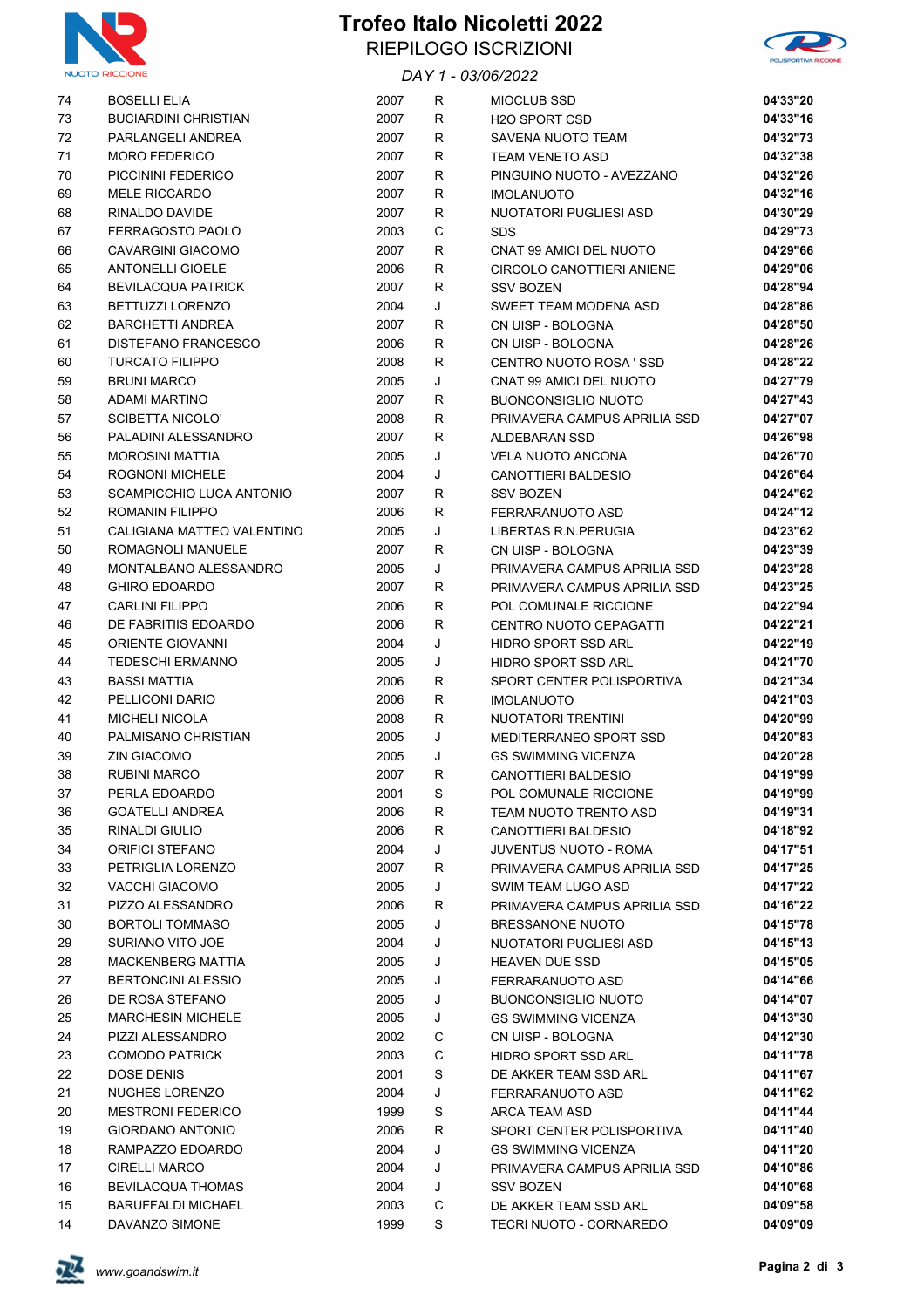

#### **Trofeo Italo Nicoletti 2022** RIEPILOGO ISCRIZIONI



#### *DAY 1 - 03/06/2022*

| 74 | <b>BOSELLI ELIA</b>                                | 2007 | R            | <b>MIOCLUB SSD</b>            | 04'33"20 |
|----|----------------------------------------------------|------|--------------|-------------------------------|----------|
| 73 | <b>BUCIARDINI CHRISTIAN</b>                        | 2007 | $\mathsf{R}$ | <b>H2O SPORT CSD</b>          | 04'33"16 |
| 72 | PARLANGELI ANDREA                                  | 2007 | R            | SAVENA NUOTO TEAM             | 04'32"73 |
| 71 | <b>MORO FEDERICO</b>                               | 2007 | R            | <b>TEAM VENETO ASD</b>        | 04'32"38 |
| 70 | PICCININI FEDERICO                                 | 2007 | R            | PINGUINO NUOTO - AVEZZANO     | 04'32"26 |
| 69 | <b>MELE RICCARDO</b>                               | 2007 | R            | <b>IMOLANUOTO</b>             | 04'32"16 |
| 68 | RINALDO DAVIDE                                     | 2007 | R            | NUOTATORI PUGLIESI ASD        | 04'30"29 |
| 67 | <b>FERRAGOSTO PAOLO</b>                            | 2003 | C            | <b>SDS</b>                    | 04'29"73 |
| 66 | <b>CAVARGINI GIACOMO</b>                           | 2007 | R            | CNAT 99 AMICI DEL NUOTO       | 04'29"66 |
| 65 | <b>ANTONELLI GIOELE</b>                            | 2006 | R            | CIRCOLO CANOTTIERI ANIENE     | 04'29"06 |
| 64 | <b>BEVILACQUA PATRICK</b>                          | 2007 | R            | <b>SSV BOZEN</b>              | 04'28"94 |
| 63 | <b>BETTUZZI LORENZO</b>                            | 2004 | J            | SWEET TEAM MODENA ASD         | 04'28"86 |
| 62 | <b>BARCHETTI ANDREA</b>                            | 2007 | R            | CN UISP - BOLOGNA             | 04'28"50 |
| 61 | DISTEFANO FRANCESCO                                | 2006 | R            | CN UISP - BOLOGNA             | 04'28"26 |
| 60 | <b>TURCATO FILIPPO</b>                             | 2008 | R            | CENTRO NUOTO ROSA ' SSD       | 04'28"22 |
| 59 | <b>BRUNI MARCO</b>                                 | 2005 | J            | CNAT 99 AMICI DEL NUOTO       | 04'27"79 |
| 58 | <b>ADAMI MARTINO</b>                               | 2007 | R            | <b>BUONCONSIGLIO NUOTO</b>    | 04'27"43 |
| 57 | <b>SCIBETTA NICOLO'</b>                            | 2008 | R            | PRIMAVERA CAMPUS APRILIA SSD  | 04'27"07 |
| 56 | PALADINI ALESSANDRO                                | 2007 | R            | ALDEBARAN SSD                 | 04'26"98 |
| 55 | <b>MOROSINI MATTIA</b>                             | 2005 | J            | VELA NUOTO ANCONA             | 04'26"70 |
| 54 | <b>ROGNONI MICHELE</b><br>SCAMPICCHIO LUCA ANTONIO | 2004 | J            | <b>CANOTTIERI BALDESIO</b>    | 04'26"64 |
| 53 |                                                    | 2007 | R            | <b>SSV BOZEN</b>              | 04'24"62 |
| 52 | <b>ROMANIN FILIPPO</b>                             | 2006 | R            | FERRARANUOTO ASD              | 04'24"12 |
| 51 | CALIGIANA MATTEO VALENTINO                         | 2005 | J            | <b>LIBERTAS R.N.PERUGIA</b>   | 04'23"62 |
| 50 | ROMAGNOLI MANUELE                                  | 2007 | R            | CN UISP - BOLOGNA             | 04'23"39 |
| 49 | MONTALBANO ALESSANDRO                              | 2005 | J            | PRIMAVERA CAMPUS APRILIA SSD  | 04'23"28 |
| 48 | <b>GHIRO EDOARDO</b>                               | 2007 | R            | PRIMAVERA CAMPUS APRILIA SSD  | 04'23"25 |
| 47 | <b>CARLINI FILIPPO</b>                             | 2006 | R            | POL COMUNALE RICCIONE         | 04'22"94 |
| 46 | DE FABRITIIS EDOARDO                               | 2006 | R            | CENTRO NUOTO CEPAGATTI        | 04'22"21 |
| 45 | ORIENTE GIOVANNI                                   | 2004 | J            | HIDRO SPORT SSD ARL           | 04'22"19 |
| 44 | <b>TEDESCHI ERMANNO</b>                            | 2005 | J            | HIDRO SPORT SSD ARL           | 04'21"70 |
| 43 | <b>BASSI MATTIA</b>                                | 2006 | R            | SPORT CENTER POLISPORTIVA     | 04'21"34 |
| 42 | PELLICONI DARIO                                    | 2006 | R            | <b>IMOLANUOTO</b>             | 04'21"03 |
| 41 | <b>MICHELI NICOLA</b>                              | 2008 | R            | NUOTATORI TRENTINI            | 04'20"99 |
| 40 | PALMISANO CHRISTIAN                                | 2005 | J            | MEDITERRANEO SPORT SSD        | 04'20"83 |
| 39 | <b>ZIN GIACOMO</b>                                 | 2005 | J            | <b>GS SWIMMING VICENZA</b>    | 04'20"28 |
| 38 | <b>RUBINI MARCO</b>                                | 2007 | R            | CANOTTIERI BALDESIO           | 04'19"99 |
| 37 | PERLA EDOARDO                                      | 2001 | S            | POL COMUNALE RICCIONE         | 04'19"99 |
| 36 | <b>GOATELLI ANDREA</b>                             | 2006 | R            | TEAM NUOTO TRENTO ASD         | 04'19"31 |
| 35 | RINALDI GIULIO                                     | 2006 | R            | CANOTTIERI BALDESIO           | 04'18"92 |
| 34 | ORIFICI STEFANO                                    | 2004 | J            | JUVENTUS NUOTO - ROMA         | 04'17"51 |
| 33 | PETRIGLIA LORENZO                                  | 2007 | R            | PRIMAVERA CAMPUS APRILIA SSD  | 04'17"25 |
| 32 | <b>VACCHI GIACOMO</b>                              | 2005 | J            | SWIM TEAM LUGO ASD            | 04'17"22 |
| 31 | PIZZO ALESSANDRO                                   | 2006 | R            | PRIMAVERA CAMPUS APRILIA SSD  | 04'16"22 |
| 30 | <b>BORTOLI TOMMASO</b>                             | 2005 | J            | <b>BRESSANONE NUOTO</b>       | 04'15"78 |
| 29 | SURIANO VITO JOE                                   | 2004 | J            | <b>NUOTATORI PUGLIESI ASD</b> | 04'15"13 |
| 28 | <b>MACKENBERG MATTIA</b>                           | 2005 | J            | <b>HEAVEN DUE SSD</b>         | 04'15"05 |
| 27 | <b>BERTONCINI ALESSIO</b>                          | 2005 | J            | FERRARANUOTO ASD              | 04'14"66 |
| 26 | DE ROSA STEFANO                                    | 2005 | J            | <b>BUONCONSIGLIO NUOTO</b>    | 04'14"07 |
| 25 | <b>MARCHESIN MICHELE</b>                           | 2005 | J            | <b>GS SWIMMING VICENZA</b>    | 04'13"30 |
| 24 | PIZZI ALESSANDRO                                   | 2002 | С            | CN UISP - BOLOGNA             | 04'12"30 |
| 23 | <b>COMODO PATRICK</b>                              | 2003 | С            | HIDRO SPORT SSD ARL           | 04'11"78 |
| 22 | DOSE DENIS                                         | 2001 | S            | DE AKKER TEAM SSD ARL         | 04'11"67 |
| 21 | NUGHES LORENZO                                     | 2004 | J            | FERRARANUOTO ASD              | 04'11"62 |
| 20 | <b>MESTRONI FEDERICO</b>                           | 1999 | S            | ARCA TEAM ASD                 | 04'11"44 |
| 19 | GIORDANO ANTONIO                                   | 2006 | R            | SPORT CENTER POLISPORTIVA     | 04'11"40 |
| 18 | RAMPAZZO EDOARDO                                   | 2004 | J            | <b>GS SWIMMING VICENZA</b>    | 04'11"20 |
| 17 | <b>CIRELLI MARCO</b>                               | 2004 | J            | PRIMAVERA CAMPUS APRILIA SSD  | 04'10"86 |
| 16 | <b>BEVILACQUA THOMAS</b>                           | 2004 | J            | SSV BOZEN                     | 04'10"68 |
| 15 | <b>BARUFFALDI MICHAEL</b>                          | 2003 | C            | DE AKKER TEAM SSD ARL         | 04'09"58 |
| 14 | DAVANZO SIMONE                                     | 1999 | S            | TECRI NUOTO - CORNAREDO       | 04'09"09 |